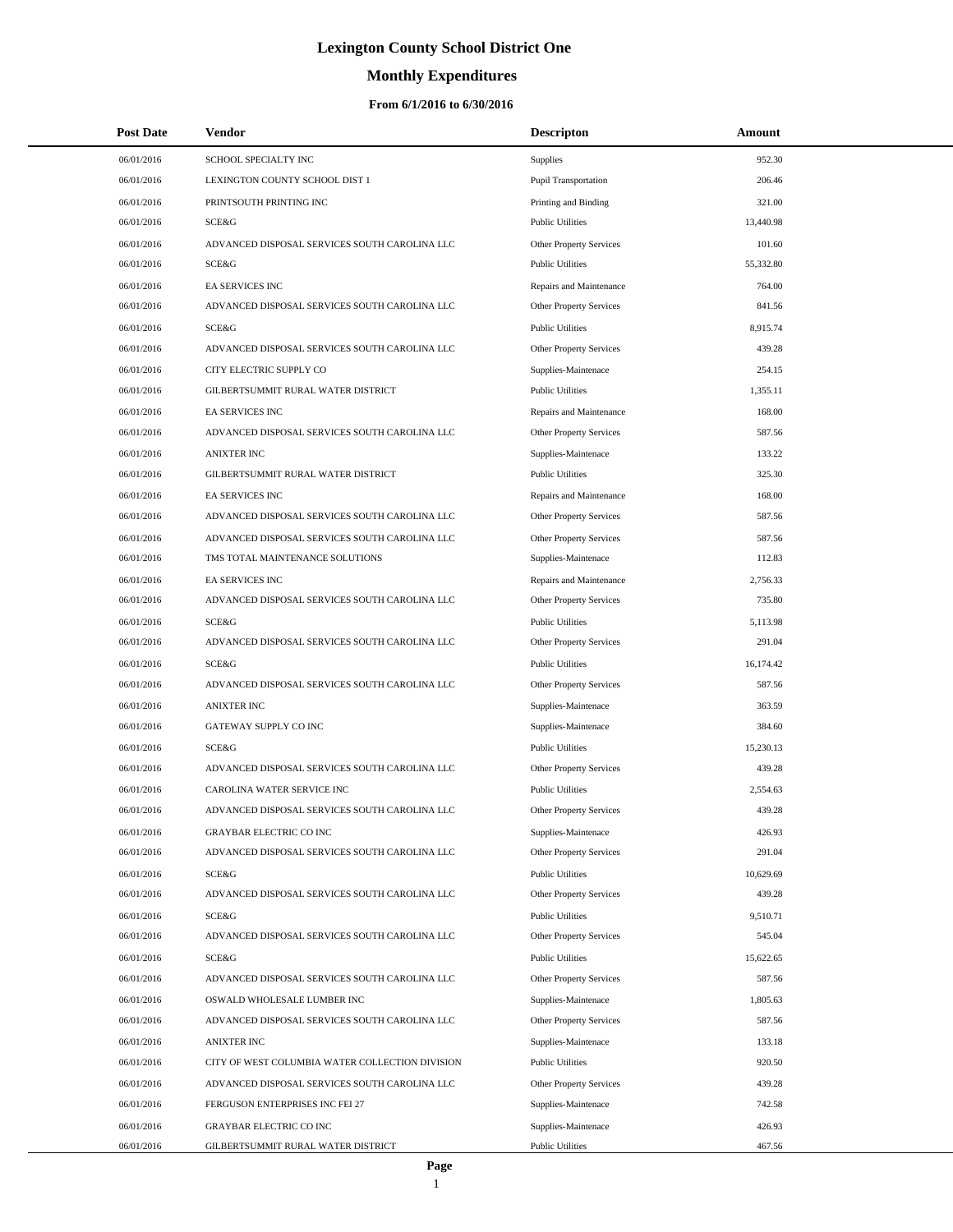# **Monthly Expenditures**

| <b>Post Date</b> | Vendor                                          | <b>Descripton</b>              | Amount           |
|------------------|-------------------------------------------------|--------------------------------|------------------|
| 06/01/2016       | SCHOOL SPECIALTY INC                            | Supplies                       | 952.30           |
| 06/01/2016       | LEXINGTON COUNTY SCHOOL DIST 1                  | Pupil Transportation           | 206.46           |
| 06/01/2016       | PRINTSOUTH PRINTING INC                         | Printing and Binding           | 321.00           |
| 06/01/2016       | SCE&G                                           | <b>Public Utilities</b>        | 13,440.98        |
| 06/01/2016       | ADVANCED DISPOSAL SERVICES SOUTH CAROLINA LLC   | Other Property Services        | 101.60           |
| 06/01/2016       | SCE&G                                           | <b>Public Utilities</b>        | 55,332.80        |
| 06/01/2016       | <b>EA SERVICES INC</b>                          | Repairs and Maintenance        | 764.00           |
| 06/01/2016       | ADVANCED DISPOSAL SERVICES SOUTH CAROLINA LLC   | Other Property Services        | 841.56           |
| 06/01/2016       | SCE&G                                           | <b>Public Utilities</b>        | 8,915.74         |
| 06/01/2016       | ADVANCED DISPOSAL SERVICES SOUTH CAROLINA LLC   | Other Property Services        | 439.28           |
| 06/01/2016       | CITY ELECTRIC SUPPLY CO                         | Supplies-Maintenace            | 254.15           |
| 06/01/2016       | GILBERTSUMMIT RURAL WATER DISTRICT              | <b>Public Utilities</b>        | 1,355.11         |
| 06/01/2016       | <b>EA SERVICES INC</b>                          | Repairs and Maintenance        | 168.00           |
| 06/01/2016       | ADVANCED DISPOSAL SERVICES SOUTH CAROLINA LLC   | Other Property Services        | 587.56           |
| 06/01/2016       | <b>ANIXTER INC</b>                              | Supplies-Maintenace            | 133.22           |
| 06/01/2016       | GILBERTSUMMIT RURAL WATER DISTRICT              | <b>Public Utilities</b>        | 325.30           |
| 06/01/2016       | EA SERVICES INC                                 | Repairs and Maintenance        | 168.00           |
| 06/01/2016       | ADVANCED DISPOSAL SERVICES SOUTH CAROLINA LLC   | Other Property Services        | 587.56           |
| 06/01/2016       | ADVANCED DISPOSAL SERVICES SOUTH CAROLINA LLC   | Other Property Services        | 587.56           |
| 06/01/2016       | TMS TOTAL MAINTENANCE SOLUTIONS                 | Supplies-Maintenace            | 112.83           |
| 06/01/2016       | <b>EA SERVICES INC</b>                          | Repairs and Maintenance        | 2,756.33         |
| 06/01/2016       | ADVANCED DISPOSAL SERVICES SOUTH CAROLINA LLC   | Other Property Services        | 735.80           |
| 06/01/2016       | SCE&G                                           | <b>Public Utilities</b>        | 5,113.98         |
| 06/01/2016       | ADVANCED DISPOSAL SERVICES SOUTH CAROLINA LLC   | Other Property Services        | 291.04           |
| 06/01/2016       | SCE&G                                           | <b>Public Utilities</b>        | 16,174.42        |
| 06/01/2016       | ADVANCED DISPOSAL SERVICES SOUTH CAROLINA LLC   | Other Property Services        | 587.56           |
| 06/01/2016       | <b>ANIXTER INC</b>                              | Supplies-Maintenace            | 363.59           |
| 06/01/2016       | GATEWAY SUPPLY CO INC                           | Supplies-Maintenace            | 384.60           |
| 06/01/2016       | SCE&G                                           | <b>Public Utilities</b>        | 15,230.13        |
| 06/01/2016       | ADVANCED DISPOSAL SERVICES SOUTH CAROLINA LLC   | Other Property Services        | 439.28           |
| 06/01/2016       | CAROLINA WATER SERVICE INC                      | <b>Public Utilities</b>        | 2,554.63         |
| 06/01/2016       | ADVANCED DISPOSAL SERVICES SOUTH CAROLINA LLC   | Other Property Services        | 439.28           |
| 06/01/2016       | <b>GRAYBAR ELECTRIC CO INC</b>                  | Supplies-Maintenace            | 426.93           |
| 06/01/2016       | ADVANCED DISPOSAL SERVICES SOUTH CAROLINA LLC   | Other Property Services        | 291.04           |
| 06/01/2016       | SCE&G                                           | <b>Public Utilities</b>        | 10,629.69        |
| 06/01/2016       | ADVANCED DISPOSAL SERVICES SOUTH CAROLINA LLC   | Other Property Services        | 439.28           |
| 06/01/2016       | SCE&G                                           | <b>Public Utilities</b>        | 9,510.71         |
| 06/01/2016       | ADVANCED DISPOSAL SERVICES SOUTH CAROLINA LLC   | <b>Other Property Services</b> | 545.04           |
| 06/01/2016       | SCE&G                                           | <b>Public Utilities</b>        | 15,622.65        |
| 06/01/2016       | ADVANCED DISPOSAL SERVICES SOUTH CAROLINA LLC   | Other Property Services        | 587.56           |
| 06/01/2016       | OSWALD WHOLESALE LUMBER INC                     | Supplies-Maintenace            | 1,805.63         |
| 06/01/2016       | ADVANCED DISPOSAL SERVICES SOUTH CAROLINA LLC   | Other Property Services        | 587.56           |
| 06/01/2016       | <b>ANIXTER INC</b>                              | Supplies-Maintenace            | 133.18           |
| 06/01/2016       | CITY OF WEST COLUMBIA WATER COLLECTION DIVISION | <b>Public Utilities</b>        | 920.50           |
| 06/01/2016       | ADVANCED DISPOSAL SERVICES SOUTH CAROLINA LLC   | Other Property Services        | 439.28           |
| 06/01/2016       | FERGUSON ENTERPRISES INC FEI 27                 | Supplies-Maintenace            | 742.58           |
| 06/01/2016       | <b>GRAYBAR ELECTRIC CO INC</b>                  | Supplies-Maintenace            | 426.93<br>467.56 |
| 06/01/2016       | GILBERTSUMMIT RURAL WATER DISTRICT              | <b>Public Utilities</b>        |                  |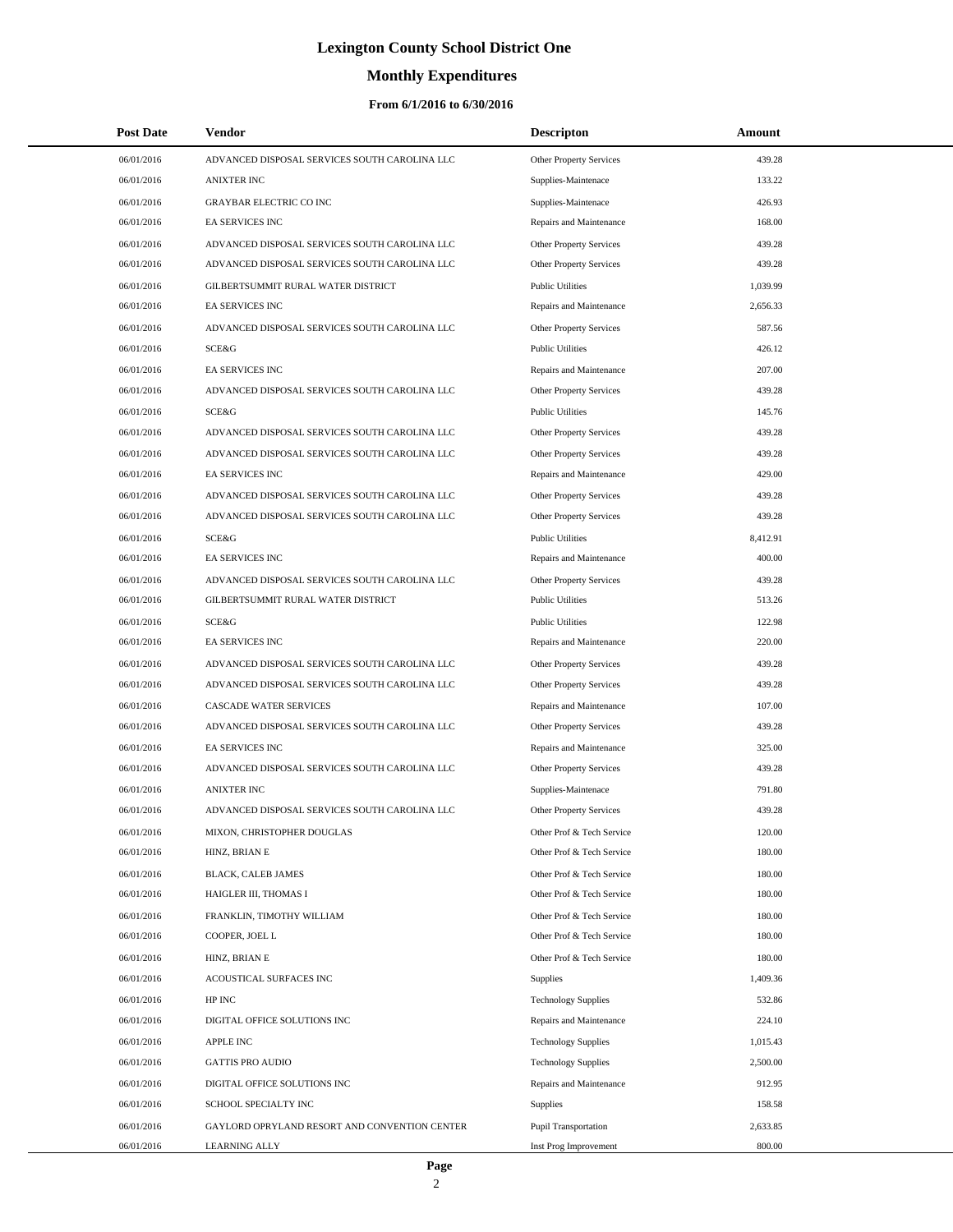# **Monthly Expenditures**

| <b>Post Date</b> | Vendor                                        | <b>Descripton</b>              | Amount   |  |
|------------------|-----------------------------------------------|--------------------------------|----------|--|
| 06/01/2016       | ADVANCED DISPOSAL SERVICES SOUTH CAROLINA LLC | Other Property Services        | 439.28   |  |
| 06/01/2016       | <b>ANIXTER INC</b>                            | Supplies-Maintenace            | 133.22   |  |
| 06/01/2016       | <b>GRAYBAR ELECTRIC CO INC</b>                | Supplies-Maintenace            | 426.93   |  |
| 06/01/2016       | <b>EA SERVICES INC</b>                        | Repairs and Maintenance        | 168.00   |  |
| 06/01/2016       | ADVANCED DISPOSAL SERVICES SOUTH CAROLINA LLC | Other Property Services        | 439.28   |  |
| 06/01/2016       | ADVANCED DISPOSAL SERVICES SOUTH CAROLINA LLC | Other Property Services        | 439.28   |  |
| 06/01/2016       | GILBERTSUMMIT RURAL WATER DISTRICT            | <b>Public Utilities</b>        | 1,039.99 |  |
| 06/01/2016       | <b>EA SERVICES INC</b>                        | Repairs and Maintenance        | 2,656.33 |  |
| 06/01/2016       | ADVANCED DISPOSAL SERVICES SOUTH CAROLINA LLC | Other Property Services        | 587.56   |  |
| 06/01/2016       | SCE&G                                         | <b>Public Utilities</b>        | 426.12   |  |
| 06/01/2016       | EA SERVICES INC                               | Repairs and Maintenance        | 207.00   |  |
| 06/01/2016       | ADVANCED DISPOSAL SERVICES SOUTH CAROLINA LLC | Other Property Services        | 439.28   |  |
| 06/01/2016       | SCE&G                                         | <b>Public Utilities</b>        | 145.76   |  |
| 06/01/2016       | ADVANCED DISPOSAL SERVICES SOUTH CAROLINA LLC | Other Property Services        | 439.28   |  |
| 06/01/2016       | ADVANCED DISPOSAL SERVICES SOUTH CAROLINA LLC | Other Property Services        | 439.28   |  |
| 06/01/2016       | <b>EA SERVICES INC</b>                        | Repairs and Maintenance        | 429.00   |  |
| 06/01/2016       | ADVANCED DISPOSAL SERVICES SOUTH CAROLINA LLC | Other Property Services        | 439.28   |  |
| 06/01/2016       | ADVANCED DISPOSAL SERVICES SOUTH CAROLINA LLC | <b>Other Property Services</b> | 439.28   |  |
| 06/01/2016       | SCE&G                                         | <b>Public Utilities</b>        | 8,412.91 |  |
| 06/01/2016       | <b>EA SERVICES INC</b>                        | Repairs and Maintenance        | 400.00   |  |
| 06/01/2016       | ADVANCED DISPOSAL SERVICES SOUTH CAROLINA LLC | Other Property Services        | 439.28   |  |
| 06/01/2016       | GILBERTSUMMIT RURAL WATER DISTRICT            | <b>Public Utilities</b>        | 513.26   |  |
| 06/01/2016       | SCE&G                                         | <b>Public Utilities</b>        | 122.98   |  |
| 06/01/2016       | <b>EA SERVICES INC</b>                        | Repairs and Maintenance        | 220.00   |  |
| 06/01/2016       | ADVANCED DISPOSAL SERVICES SOUTH CAROLINA LLC | Other Property Services        | 439.28   |  |
| 06/01/2016       | ADVANCED DISPOSAL SERVICES SOUTH CAROLINA LLC | Other Property Services        | 439.28   |  |
| 06/01/2016       | CASCADE WATER SERVICES                        | Repairs and Maintenance        | 107.00   |  |
| 06/01/2016       | ADVANCED DISPOSAL SERVICES SOUTH CAROLINA LLC | Other Property Services        | 439.28   |  |
| 06/01/2016       | EA SERVICES INC                               | Repairs and Maintenance        | 325.00   |  |
| 06/01/2016       | ADVANCED DISPOSAL SERVICES SOUTH CAROLINA LLC | Other Property Services        | 439.28   |  |
| 06/01/2016       | <b>ANIXTER INC</b>                            | Supplies-Maintenace            | 791.80   |  |
| 06/01/2016       | ADVANCED DISPOSAL SERVICES SOUTH CAROLINA LLC | Other Property Services        | 439.28   |  |
| 06/01/2016       | MIXON, CHRISTOPHER DOUGLAS                    | Other Prof & Tech Service      | 120.00   |  |
| 06/01/2016       | HINZ, BRIAN E                                 | Other Prof & Tech Service      | 180.00   |  |
| 06/01/2016       | BLACK, CALEB JAMES                            | Other Prof & Tech Service      | 180.00   |  |
| 06/01/2016       | HAIGLER III, THOMAS I                         | Other Prof & Tech Service      | 180.00   |  |
| 06/01/2016       | FRANKLIN, TIMOTHY WILLIAM                     | Other Prof & Tech Service      | 180.00   |  |
| 06/01/2016       | COOPER, JOEL L                                | Other Prof & Tech Service      | 180.00   |  |
| 06/01/2016       | HINZ, BRIAN E                                 | Other Prof & Tech Service      | 180.00   |  |
| 06/01/2016       | ACOUSTICAL SURFACES INC                       | <b>Supplies</b>                | 1,409.36 |  |
| 06/01/2016       | HP INC                                        | <b>Technology Supplies</b>     | 532.86   |  |
| 06/01/2016       | DIGITAL OFFICE SOLUTIONS INC                  | Repairs and Maintenance        | 224.10   |  |
| 06/01/2016       | <b>APPLE INC</b>                              | <b>Technology Supplies</b>     | 1,015.43 |  |
| 06/01/2016       | <b>GATTIS PRO AUDIO</b>                       | <b>Technology Supplies</b>     | 2,500.00 |  |
| 06/01/2016       | DIGITAL OFFICE SOLUTIONS INC                  | Repairs and Maintenance        | 912.95   |  |
| 06/01/2016       | SCHOOL SPECIALTY INC                          | Supplies                       | 158.58   |  |
| 06/01/2016       | GAYLORD OPRYLAND RESORT AND CONVENTION CENTER | Pupil Transportation           | 2,633.85 |  |
| 06/01/2016       | <b>LEARNING ALLY</b>                          | Inst Prog Improvement          | 800.00   |  |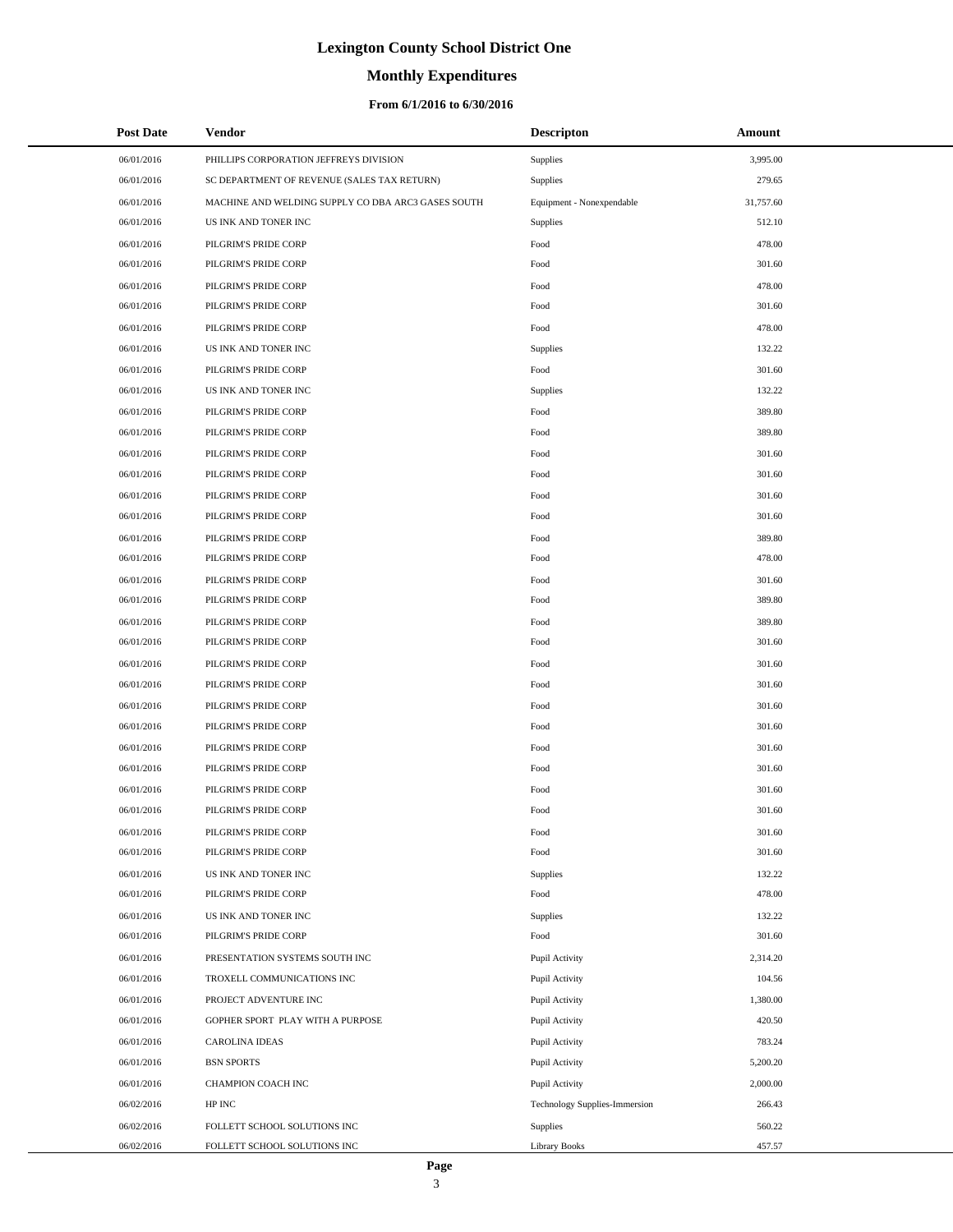# **Monthly Expenditures**

### **From 6/1/2016 to 6/30/2016**

| <b>Post Date</b> | Vendor                                             | <b>Descripton</b>             | Amount    |
|------------------|----------------------------------------------------|-------------------------------|-----------|
| 06/01/2016       | PHILLIPS CORPORATION JEFFREYS DIVISION             | Supplies                      | 3,995.00  |
| 06/01/2016       | SC DEPARTMENT OF REVENUE (SALES TAX RETURN)        | Supplies                      | 279.65    |
| 06/01/2016       | MACHINE AND WELDING SUPPLY CO DBA ARC3 GASES SOUTH | Equipment - Nonexpendable     | 31,757.60 |
| 06/01/2016       | US INK AND TONER INC                               | Supplies                      | 512.10    |
| 06/01/2016       | PILGRIM'S PRIDE CORP                               | Food                          | 478.00    |
| 06/01/2016       | PILGRIM'S PRIDE CORP                               | Food                          | 301.60    |
| 06/01/2016       | PILGRIM'S PRIDE CORP                               | Food                          | 478.00    |
| 06/01/2016       | PILGRIM'S PRIDE CORP                               | Food                          | 301.60    |
| 06/01/2016       | PILGRIM'S PRIDE CORP                               | Food                          | 478.00    |
| 06/01/2016       | US INK AND TONER INC                               | Supplies                      | 132.22    |
| 06/01/2016       | PILGRIM'S PRIDE CORP                               | Food                          | 301.60    |
| 06/01/2016       | US INK AND TONER INC                               | Supplies                      | 132.22    |
| 06/01/2016       | PILGRIM'S PRIDE CORP                               | Food                          | 389.80    |
| 06/01/2016       | PILGRIM'S PRIDE CORP                               | Food                          | 389.80    |
| 06/01/2016       | PILGRIM'S PRIDE CORP                               | Food                          | 301.60    |
| 06/01/2016       | PILGRIM'S PRIDE CORP                               | Food                          | 301.60    |
| 06/01/2016       | PILGRIM'S PRIDE CORP                               | Food                          | 301.60    |
| 06/01/2016       | PILGRIM'S PRIDE CORP                               | Food                          | 301.60    |
| 06/01/2016       | PILGRIM'S PRIDE CORP                               | Food                          | 389.80    |
| 06/01/2016       | PILGRIM'S PRIDE CORP                               | Food                          | 478.00    |
| 06/01/2016       | PILGRIM'S PRIDE CORP                               | Food                          | 301.60    |
| 06/01/2016       | PILGRIM'S PRIDE CORP                               | Food                          | 389.80    |
| 06/01/2016       | PILGRIM'S PRIDE CORP                               | Food                          | 389.80    |
| 06/01/2016       | PILGRIM'S PRIDE CORP                               | Food                          | 301.60    |
| 06/01/2016       | PILGRIM'S PRIDE CORP                               | Food                          | 301.60    |
| 06/01/2016       | PILGRIM'S PRIDE CORP                               | Food                          | 301.60    |
| 06/01/2016       | PILGRIM'S PRIDE CORP                               | Food                          | 301.60    |
| 06/01/2016       | PILGRIM'S PRIDE CORP                               | Food                          | 301.60    |
| 06/01/2016       | PILGRIM'S PRIDE CORP                               | Food                          | 301.60    |
| 06/01/2016       | PILGRIM'S PRIDE CORP                               | Food                          | 301.60    |
| 06/01/2016       | PILGRIM'S PRIDE CORP                               | Food                          | 301.60    |
| 06/01/2016       | PILGRIM'S PRIDE CORP                               | Food                          | 301.60    |
| 06/01/2016       | PILGRIM'S PRIDE CORP                               | Food                          | 301.60    |
| 06/01/2016       | PILGRIM'S PRIDE CORP                               | Food                          | 301.60    |
| 06/01/2016       | US INK AND TONER INC                               | Supplies                      | 132.22    |
| 06/01/2016       | PILGRIM'S PRIDE CORP                               | Food                          | 478.00    |
| 06/01/2016       | US INK AND TONER INC                               | Supplies                      | 132.22    |
| 06/01/2016       | PILGRIM'S PRIDE CORP                               | Food                          | 301.60    |
| 06/01/2016       | PRESENTATION SYSTEMS SOUTH INC                     | Pupil Activity                | 2,314.20  |
| 06/01/2016       | TROXELL COMMUNICATIONS INC                         | Pupil Activity                | 104.56    |
| 06/01/2016       | PROJECT ADVENTURE INC                              | Pupil Activity                | 1,380.00  |
| 06/01/2016       | GOPHER SPORT PLAY WITH A PURPOSE                   | Pupil Activity                | 420.50    |
| 06/01/2016       | <b>CAROLINA IDEAS</b>                              | Pupil Activity                | 783.24    |
| 06/01/2016       | <b>BSN SPORTS</b>                                  | Pupil Activity                | 5,200.20  |
| 06/01/2016       | CHAMPION COACH INC                                 | Pupil Activity                | 2,000.00  |
| 06/02/2016       | HP INC                                             | Technology Supplies-Immersion | 266.43    |
| 06/02/2016       | FOLLETT SCHOOL SOLUTIONS INC                       | Supplies                      | 560.22    |
| 06/02/2016       | FOLLETT SCHOOL SOLUTIONS INC                       | <b>Library Books</b>          | 457.57    |

 $\overline{a}$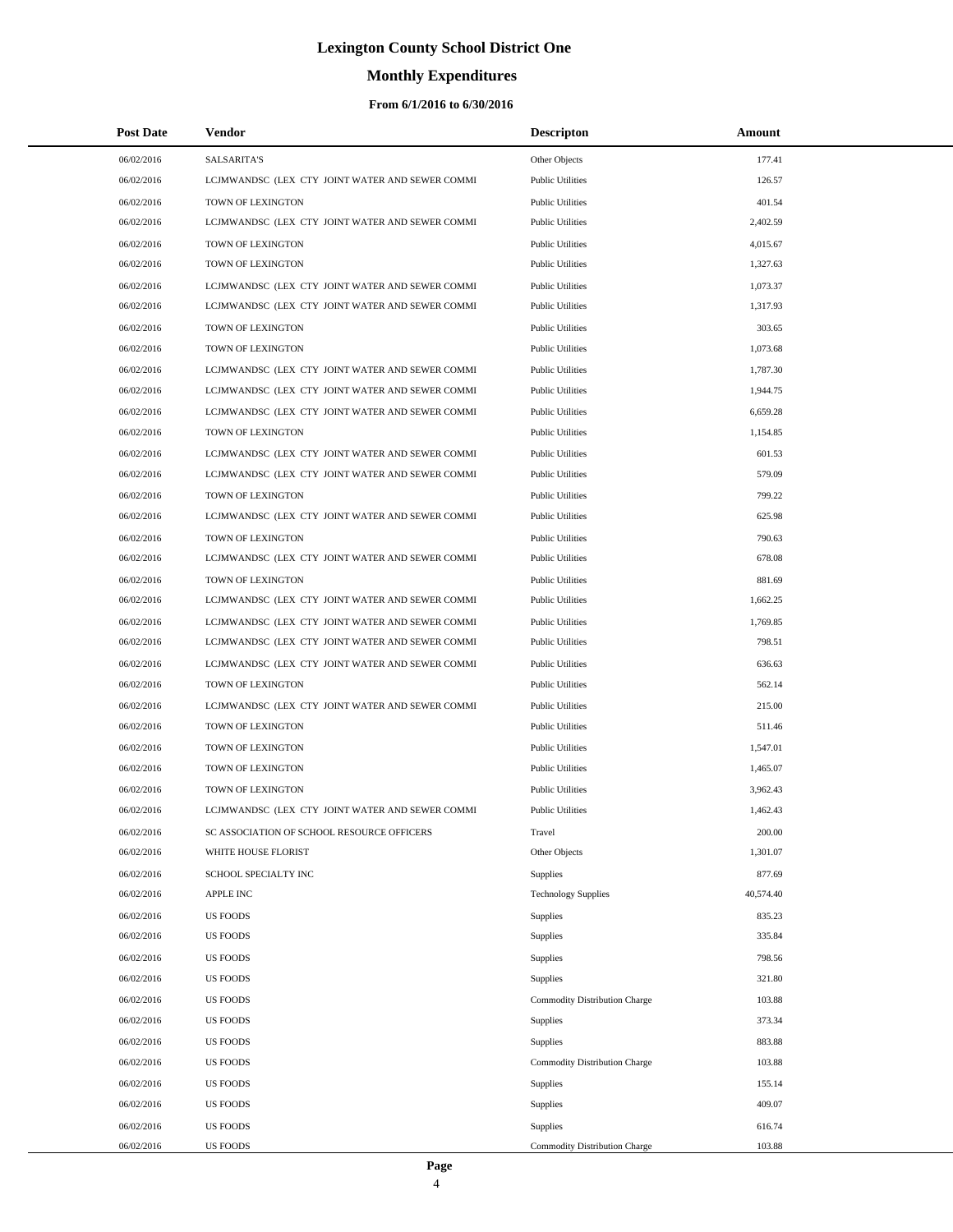# **Monthly Expenditures**

### **From 6/1/2016 to 6/30/2016**

| <b>Post Date</b> | Vendor                                          | <b>Descripton</b>             | Amount    |
|------------------|-------------------------------------------------|-------------------------------|-----------|
| 06/02/2016       | <b>SALSARITA'S</b>                              | Other Objects                 | 177.41    |
| 06/02/2016       | LCJMWANDSC (LEX CTY JOINT WATER AND SEWER COMMI | <b>Public Utilities</b>       | 126.57    |
| 06/02/2016       | TOWN OF LEXINGTON                               | <b>Public Utilities</b>       | 401.54    |
| 06/02/2016       | LCJMWANDSC (LEX CTY JOINT WATER AND SEWER COMMI | <b>Public Utilities</b>       | 2,402.59  |
| 06/02/2016       | TOWN OF LEXINGTON                               | <b>Public Utilities</b>       | 4,015.67  |
| 06/02/2016       | TOWN OF LEXINGTON                               | <b>Public Utilities</b>       | 1,327.63  |
| 06/02/2016       | LCJMWANDSC (LEX CTY JOINT WATER AND SEWER COMMI | <b>Public Utilities</b>       | 1,073.37  |
| 06/02/2016       | LCJMWANDSC (LEX CTY JOINT WATER AND SEWER COMMI | <b>Public Utilities</b>       | 1,317.93  |
| 06/02/2016       | TOWN OF LEXINGTON                               | <b>Public Utilities</b>       | 303.65    |
| 06/02/2016       | TOWN OF LEXINGTON                               | <b>Public Utilities</b>       | 1,073.68  |
| 06/02/2016       | LCJMWANDSC (LEX CTY JOINT WATER AND SEWER COMMI | <b>Public Utilities</b>       | 1,787.30  |
| 06/02/2016       | LCJMWANDSC (LEX CTY JOINT WATER AND SEWER COMMI | <b>Public Utilities</b>       | 1,944.75  |
| 06/02/2016       | LCJMWANDSC (LEX CTY JOINT WATER AND SEWER COMMI | <b>Public Utilities</b>       | 6,659.28  |
| 06/02/2016       | TOWN OF LEXINGTON                               | <b>Public Utilities</b>       | 1,154.85  |
| 06/02/2016       | LCJMWANDSC (LEX CTY JOINT WATER AND SEWER COMMI | <b>Public Utilities</b>       | 601.53    |
| 06/02/2016       | LCJMWANDSC (LEX CTY JOINT WATER AND SEWER COMMI | <b>Public Utilities</b>       | 579.09    |
| 06/02/2016       | TOWN OF LEXINGTON                               | <b>Public Utilities</b>       | 799.22    |
| 06/02/2016       | LCJMWANDSC (LEX CTY JOINT WATER AND SEWER COMMI | <b>Public Utilities</b>       | 625.98    |
| 06/02/2016       | TOWN OF LEXINGTON                               | <b>Public Utilities</b>       | 790.63    |
| 06/02/2016       | LCJMWANDSC (LEX CTY JOINT WATER AND SEWER COMMI | <b>Public Utilities</b>       | 678.08    |
| 06/02/2016       | TOWN OF LEXINGTON                               | <b>Public Utilities</b>       | 881.69    |
| 06/02/2016       | LCJMWANDSC (LEX CTY JOINT WATER AND SEWER COMMI | <b>Public Utilities</b>       | 1,662.25  |
| 06/02/2016       | LCJMWANDSC (LEX CTY JOINT WATER AND SEWER COMMI | <b>Public Utilities</b>       | 1,769.85  |
| 06/02/2016       | LCJMWANDSC (LEX CTY JOINT WATER AND SEWER COMMI | <b>Public Utilities</b>       | 798.51    |
| 06/02/2016       | LCJMWANDSC (LEX CTY JOINT WATER AND SEWER COMMI | <b>Public Utilities</b>       | 636.63    |
| 06/02/2016       | TOWN OF LEXINGTON                               | <b>Public Utilities</b>       | 562.14    |
| 06/02/2016       | LCJMWANDSC (LEX CTY JOINT WATER AND SEWER COMMI | <b>Public Utilities</b>       | 215.00    |
| 06/02/2016       | TOWN OF LEXINGTON                               | <b>Public Utilities</b>       | 511.46    |
| 06/02/2016       | TOWN OF LEXINGTON                               | <b>Public Utilities</b>       | 1,547.01  |
| 06/02/2016       | TOWN OF LEXINGTON                               | <b>Public Utilities</b>       | 1,465.07  |
| 06/02/2016       | TOWN OF LEXINGTON                               | <b>Public Utilities</b>       | 3,962.43  |
| 06/02/2016       | LCJMWANDSC (LEX CTY JOINT WATER AND SEWER COMMI | <b>Public Utilities</b>       | 1,462.43  |
| 06/02/2016       | SC ASSOCIATION OF SCHOOL RESOURCE OFFICERS      | Travel                        | 200.00    |
| 06/02/2016       | WHITE HOUSE FLORIST                             | Other Objects                 | 1,301.07  |
| 06/02/2016       | SCHOOL SPECIALTY INC                            | Supplies                      | 877.69    |
| 06/02/2016       | APPLE INC                                       | <b>Technology Supplies</b>    | 40,574.40 |
| 06/02/2016       | <b>US FOODS</b>                                 | Supplies                      | 835.23    |
| 06/02/2016       | <b>US FOODS</b>                                 | Supplies                      | 335.84    |
| 06/02/2016       | <b>US FOODS</b>                                 | Supplies                      | 798.56    |
| 06/02/2016       | <b>US FOODS</b>                                 | Supplies                      | 321.80    |
| 06/02/2016       | <b>US FOODS</b>                                 | Commodity Distribution Charge | 103.88    |
| 06/02/2016       | <b>US FOODS</b>                                 | Supplies                      | 373.34    |
| 06/02/2016       | <b>US FOODS</b>                                 | Supplies                      | 883.88    |
| 06/02/2016       | <b>US FOODS</b>                                 | Commodity Distribution Charge | 103.88    |
| 06/02/2016       | <b>US FOODS</b>                                 | Supplies                      | 155.14    |
| 06/02/2016       | <b>US FOODS</b>                                 | Supplies                      | 409.07    |
| 06/02/2016       | <b>US FOODS</b>                                 | Supplies                      | 616.74    |
| 06/02/2016       | <b>US FOODS</b>                                 | Commodity Distribution Charge | 103.88    |

L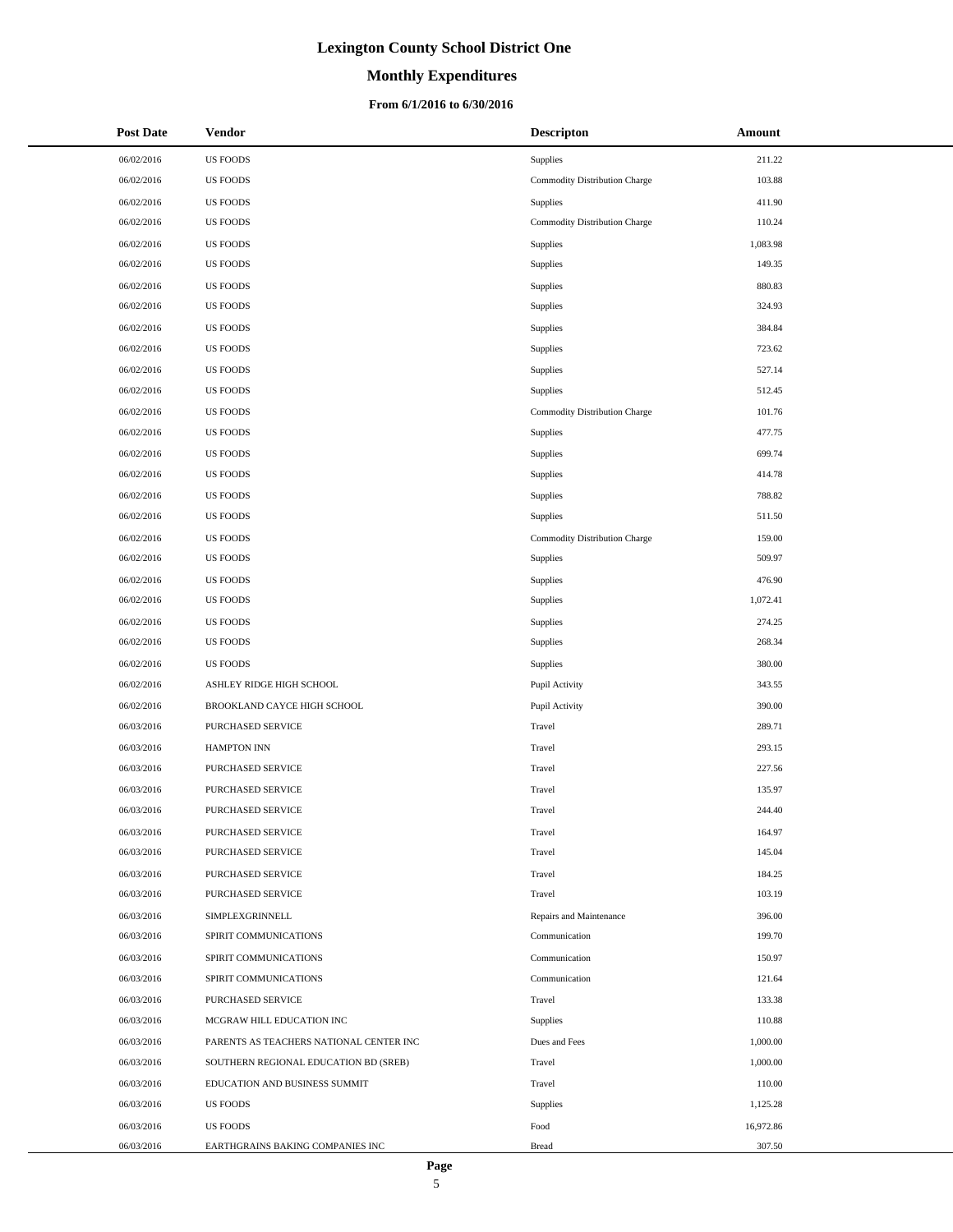### **Monthly Expenditures**

### **From 6/1/2016 to 6/30/2016**

| <b>Post Date</b> | <b>Vendor</b>                           | <b>Descripton</b>             | Amount    |
|------------------|-----------------------------------------|-------------------------------|-----------|
| 06/02/2016       | <b>US FOODS</b>                         | Supplies                      | 211.22    |
| 06/02/2016       | <b>US FOODS</b>                         | Commodity Distribution Charge | 103.88    |
| 06/02/2016       | <b>US FOODS</b>                         | Supplies                      | 411.90    |
| 06/02/2016       | <b>US FOODS</b>                         | Commodity Distribution Charge | 110.24    |
| 06/02/2016       | <b>US FOODS</b>                         | Supplies                      | 1,083.98  |
| 06/02/2016       | <b>US FOODS</b>                         | Supplies                      | 149.35    |
| 06/02/2016       | <b>US FOODS</b>                         | Supplies                      | 880.83    |
| 06/02/2016       | <b>US FOODS</b>                         | Supplies                      | 324.93    |
| 06/02/2016       | <b>US FOODS</b>                         | Supplies                      | 384.84    |
| 06/02/2016       | <b>US FOODS</b>                         | Supplies                      | 723.62    |
| 06/02/2016       | <b>US FOODS</b>                         | Supplies                      | 527.14    |
| 06/02/2016       | <b>US FOODS</b>                         | Supplies                      | 512.45    |
| 06/02/2016       | <b>US FOODS</b>                         | Commodity Distribution Charge | 101.76    |
| 06/02/2016       | <b>US FOODS</b>                         | <b>Supplies</b>               | 477.75    |
| 06/02/2016       | <b>US FOODS</b>                         | Supplies                      | 699.74    |
| 06/02/2016       | <b>US FOODS</b>                         | Supplies                      | 414.78    |
| 06/02/2016       | <b>US FOODS</b>                         | Supplies                      | 788.82    |
| 06/02/2016       | <b>US FOODS</b>                         | Supplies                      | 511.50    |
| 06/02/2016       | <b>US FOODS</b>                         | Commodity Distribution Charge | 159.00    |
| 06/02/2016       | <b>US FOODS</b>                         | Supplies                      | 509.97    |
| 06/02/2016       | <b>US FOODS</b>                         | Supplies                      | 476.90    |
| 06/02/2016       | <b>US FOODS</b>                         | Supplies                      | 1,072.41  |
| 06/02/2016       | <b>US FOODS</b>                         | Supplies                      | 274.25    |
| 06/02/2016       | <b>US FOODS</b>                         | Supplies                      | 268.34    |
| 06/02/2016       | <b>US FOODS</b>                         | Supplies                      | 380.00    |
| 06/02/2016       | ASHLEY RIDGE HIGH SCHOOL                | Pupil Activity                | 343.55    |
| 06/02/2016       | BROOKLAND CAYCE HIGH SCHOOL             | Pupil Activity                | 390.00    |
| 06/03/2016       | PURCHASED SERVICE                       | Travel                        | 289.71    |
| 06/03/2016       | <b>HAMPTON INN</b>                      | Travel                        | 293.15    |
| 06/03/2016       | <b>PURCHASED SERVICE</b>                | Travel                        | 227.56    |
| 06/03/2016       | PURCHASED SERVICE                       | Travel                        | 135.97    |
| 06/03/2016       | <b>PURCHASED SERVICE</b>                | Travel                        | 244.40    |
| 06/03/2016       | PURCHASED SERVICE                       | Travel                        | 164.97    |
| 06/03/2016       | PURCHASED SERVICE                       | Travel                        | 145.04    |
| 06/03/2016       | <b>PURCHASED SERVICE</b>                | Travel                        | 184.25    |
| 06/03/2016       | PURCHASED SERVICE                       | Travel                        | 103.19    |
| 06/03/2016       | SIMPLEXGRINNELL                         | Repairs and Maintenance       | 396.00    |
| 06/03/2016       | SPIRIT COMMUNICATIONS                   | Communication                 | 199.70    |
| 06/03/2016       | SPIRIT COMMUNICATIONS                   | Communication                 | 150.97    |
| 06/03/2016       | SPIRIT COMMUNICATIONS                   | Communication                 | 121.64    |
| 06/03/2016       | PURCHASED SERVICE                       | Travel                        | 133.38    |
| 06/03/2016       | MCGRAW HILL EDUCATION INC               | Supplies                      | 110.88    |
| 06/03/2016       | PARENTS AS TEACHERS NATIONAL CENTER INC | Dues and Fees                 | 1,000.00  |
| 06/03/2016       | SOUTHERN REGIONAL EDUCATION BD (SREB)   | Travel                        | 1,000.00  |
| 06/03/2016       | EDUCATION AND BUSINESS SUMMIT           | Travel                        | 110.00    |
| 06/03/2016       | <b>US FOODS</b>                         | Supplies                      | 1,125.28  |
| 06/03/2016       | <b>US FOODS</b>                         | Food                          | 16,972.86 |
| 06/03/2016       | EARTHGRAINS BAKING COMPANIES INC        | <b>Bread</b>                  | 307.50    |

 $\overline{a}$  $\overline{\phantom{a}}$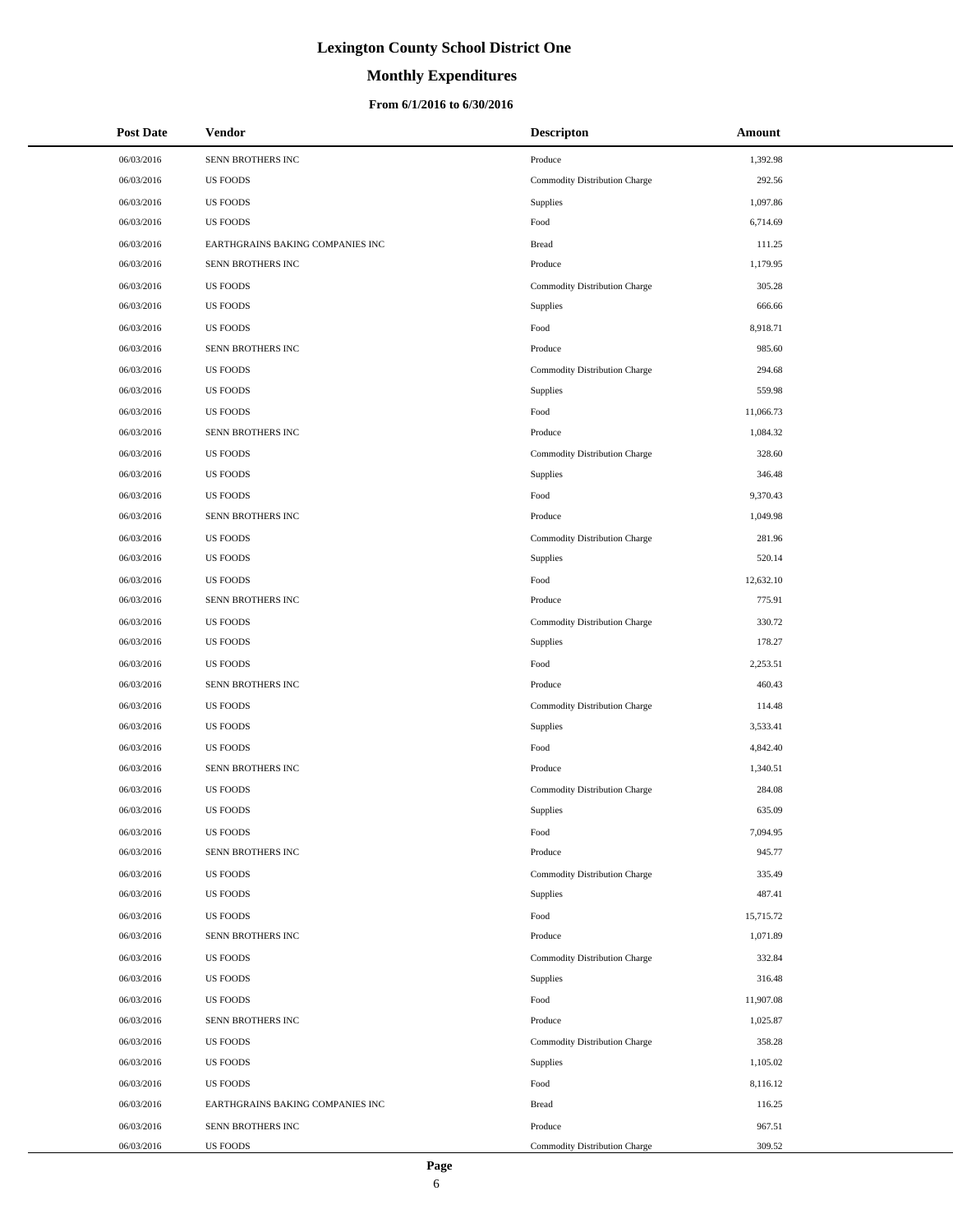# **Monthly Expenditures**

### **From 6/1/2016 to 6/30/2016**

| <b>Post Date</b> | <b>Vendor</b>                    | <b>Descripton</b>             | Amount    |
|------------------|----------------------------------|-------------------------------|-----------|
| 06/03/2016       | SENN BROTHERS INC                | Produce                       | 1,392.98  |
| 06/03/2016       | <b>US FOODS</b>                  | Commodity Distribution Charge | 292.56    |
| 06/03/2016       | <b>US FOODS</b>                  | Supplies                      | 1,097.86  |
| 06/03/2016       | <b>US FOODS</b>                  | Food                          | 6,714.69  |
| 06/03/2016       | EARTHGRAINS BAKING COMPANIES INC | <b>Bread</b>                  | 111.25    |
| 06/03/2016       | SENN BROTHERS INC                | Produce                       | 1,179.95  |
| 06/03/2016       | <b>US FOODS</b>                  | Commodity Distribution Charge | 305.28    |
| 06/03/2016       | <b>US FOODS</b>                  | Supplies                      | 666.66    |
| 06/03/2016       | <b>US FOODS</b>                  | Food                          | 8,918.71  |
| 06/03/2016       | SENN BROTHERS INC                | Produce                       | 985.60    |
| 06/03/2016       | <b>US FOODS</b>                  | Commodity Distribution Charge | 294.68    |
| 06/03/2016       | <b>US FOODS</b>                  | Supplies                      | 559.98    |
| 06/03/2016       | <b>US FOODS</b>                  | Food                          | 11,066.73 |
| 06/03/2016       | SENN BROTHERS INC                | Produce                       | 1.084.32  |
| 06/03/2016       | <b>US FOODS</b>                  | Commodity Distribution Charge | 328.60    |
| 06/03/2016       | <b>US FOODS</b>                  | Supplies                      | 346.48    |
| 06/03/2016       | <b>US FOODS</b>                  | Food                          | 9,370.43  |
| 06/03/2016       | SENN BROTHERS INC                | Produce                       | 1,049.98  |
| 06/03/2016       | <b>US FOODS</b>                  | Commodity Distribution Charge | 281.96    |
| 06/03/2016       | <b>US FOODS</b>                  | Supplies                      | 520.14    |
| 06/03/2016       | <b>US FOODS</b>                  | Food                          | 12,632.10 |
| 06/03/2016       | SENN BROTHERS INC                | Produce                       | 775.91    |
| 06/03/2016       | <b>US FOODS</b>                  | Commodity Distribution Charge | 330.72    |
| 06/03/2016       | <b>US FOODS</b>                  | Supplies                      | 178.27    |
| 06/03/2016       | <b>US FOODS</b>                  | Food                          | 2,253.51  |
| 06/03/2016       | SENN BROTHERS INC                | Produce                       | 460.43    |
| 06/03/2016       | <b>US FOODS</b>                  | Commodity Distribution Charge | 114.48    |
| 06/03/2016       | <b>US FOODS</b>                  | Supplies                      | 3,533.41  |
| 06/03/2016       | <b>US FOODS</b>                  | Food                          | 4,842.40  |
| 06/03/2016       | SENN BROTHERS INC                | Produce                       | 1,340.51  |
| 06/03/2016       | <b>US FOODS</b>                  | Commodity Distribution Charge | 284.08    |
| 06/03/2016       | <b>US FOODS</b>                  | Supplies                      | 635.09    |
| 06/03/2016       | <b>US FOODS</b>                  | Food                          | 7,094.95  |
| 06/03/2016       | SENN BROTHERS INC                | Produce                       | 945.77    |
| 06/03/2016       | <b>US FOODS</b>                  | Commodity Distribution Charge | 335.49    |
| 06/03/2016       | <b>US FOODS</b>                  | <b>Supplies</b>               | 487.41    |
| 06/03/2016       | <b>US FOODS</b>                  | Food                          | 15,715.72 |
| 06/03/2016       | SENN BROTHERS INC                | Produce                       | 1,071.89  |
| 06/03/2016       | <b>US FOODS</b>                  | Commodity Distribution Charge | 332.84    |
| 06/03/2016       | <b>US FOODS</b>                  | Supplies                      | 316.48    |
| 06/03/2016       | <b>US FOODS</b>                  | Food                          | 11,907.08 |
| 06/03/2016       | SENN BROTHERS INC                | Produce                       | 1,025.87  |
| 06/03/2016       | <b>US FOODS</b>                  | Commodity Distribution Charge | 358.28    |
| 06/03/2016       | <b>US FOODS</b>                  | <b>Supplies</b>               | 1,105.02  |
| 06/03/2016       | <b>US FOODS</b>                  | Food                          | 8,116.12  |
| 06/03/2016       | EARTHGRAINS BAKING COMPANIES INC | <b>Bread</b>                  | 116.25    |
| 06/03/2016       | SENN BROTHERS INC                | Produce                       | 967.51    |
| 06/03/2016       | <b>US FOODS</b>                  | Commodity Distribution Charge | 309.52    |

÷.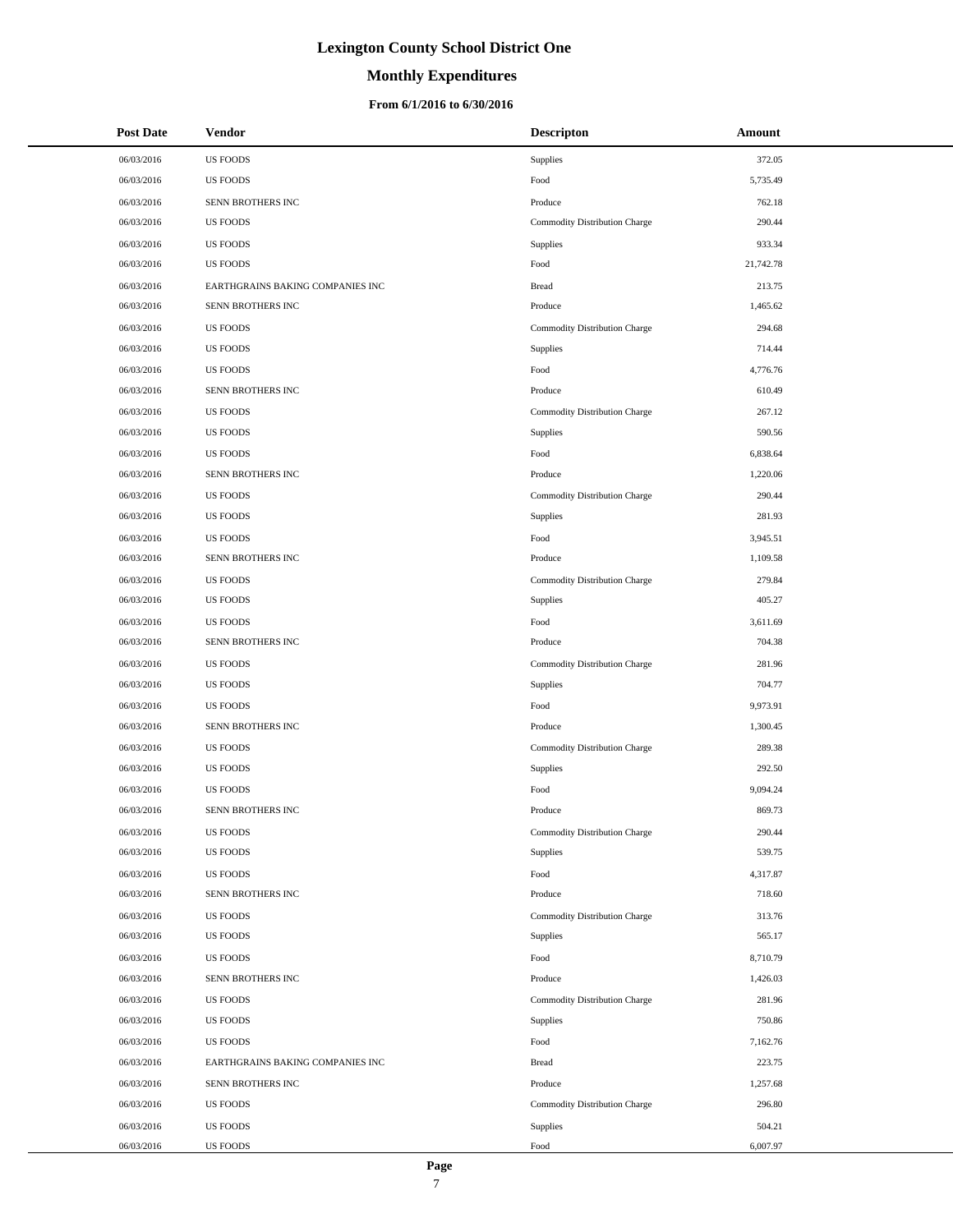### **Monthly Expenditures**

### **From 6/1/2016 to 6/30/2016**

| <b>Post Date</b> | <b>Vendor</b>                    | <b>Descripton</b>             | Amount    |
|------------------|----------------------------------|-------------------------------|-----------|
| 06/03/2016       | <b>US FOODS</b>                  | Supplies                      | 372.05    |
| 06/03/2016       | <b>US FOODS</b>                  | Food                          | 5,735.49  |
| 06/03/2016       | SENN BROTHERS INC                | Produce                       | 762.18    |
| 06/03/2016       | <b>US FOODS</b>                  | Commodity Distribution Charge | 290.44    |
| 06/03/2016       | <b>US FOODS</b>                  | Supplies                      | 933.34    |
| 06/03/2016       | <b>US FOODS</b>                  | Food                          | 21,742.78 |
| 06/03/2016       | EARTHGRAINS BAKING COMPANIES INC | <b>Bread</b>                  | 213.75    |
| 06/03/2016       | SENN BROTHERS INC                | Produce                       | 1,465.62  |
| 06/03/2016       | <b>US FOODS</b>                  | Commodity Distribution Charge | 294.68    |
| 06/03/2016       | <b>US FOODS</b>                  | Supplies                      | 714.44    |
| 06/03/2016       | <b>US FOODS</b>                  | Food                          | 4,776.76  |
| 06/03/2016       | SENN BROTHERS INC                | Produce                       | 610.49    |
| 06/03/2016       | <b>US FOODS</b>                  | Commodity Distribution Charge | 267.12    |
| 06/03/2016       | <b>US FOODS</b>                  | Supplies                      | 590.56    |
| 06/03/2016       | <b>US FOODS</b>                  | Food                          | 6,838.64  |
| 06/03/2016       | SENN BROTHERS INC                | Produce                       | 1,220.06  |
| 06/03/2016       | <b>US FOODS</b>                  | Commodity Distribution Charge | 290.44    |
| 06/03/2016       | <b>US FOODS</b>                  | Supplies                      | 281.93    |
| 06/03/2016       | <b>US FOODS</b>                  | Food                          | 3,945.51  |
| 06/03/2016       | SENN BROTHERS INC                | Produce                       | 1,109.58  |
| 06/03/2016       | <b>US FOODS</b>                  | Commodity Distribution Charge | 279.84    |
| 06/03/2016       | <b>US FOODS</b>                  | Supplies                      | 405.27    |
| 06/03/2016       | <b>US FOODS</b>                  | Food                          | 3,611.69  |
| 06/03/2016       | SENN BROTHERS INC                | Produce                       | 704.38    |
| 06/03/2016       | <b>US FOODS</b>                  | Commodity Distribution Charge | 281.96    |
| 06/03/2016       | <b>US FOODS</b>                  | Supplies                      | 704.77    |
| 06/03/2016       | <b>US FOODS</b>                  | Food                          | 9,973.91  |
| 06/03/2016       | SENN BROTHERS INC                | Produce                       | 1,300.45  |
| 06/03/2016       | <b>US FOODS</b>                  | Commodity Distribution Charge | 289.38    |
| 06/03/2016       | <b>US FOODS</b>                  | Supplies                      | 292.50    |
| 06/03/2016       | <b>US FOODS</b>                  | Food                          | 9,094.24  |
| 06/03/2016       | SENN BROTHERS INC                | Produce                       | 869.73    |
| 06/03/2016       | <b>US FOODS</b>                  | Commodity Distribution Charge | 290.44    |
| 06/03/2016       | <b>US FOODS</b>                  | Supplies                      | 539.75    |
| 06/03/2016       | <b>US FOODS</b>                  | Food                          | 4,317.87  |
| 06/03/2016       | SENN BROTHERS INC                | Produce                       | 718.60    |
| 06/03/2016       | <b>US FOODS</b>                  | Commodity Distribution Charge | 313.76    |
| 06/03/2016       | <b>US FOODS</b>                  | Supplies                      | 565.17    |
| 06/03/2016       | <b>US FOODS</b>                  | Food                          | 8,710.79  |
| 06/03/2016       | SENN BROTHERS INC                | Produce                       | 1,426.03  |
| 06/03/2016       | <b>US FOODS</b>                  | Commodity Distribution Charge | 281.96    |
| 06/03/2016       | <b>US FOODS</b>                  | Supplies                      | 750.86    |
| 06/03/2016       | <b>US FOODS</b>                  | Food                          | 7,162.76  |
| 06/03/2016       | EARTHGRAINS BAKING COMPANIES INC | <b>Bread</b>                  | 223.75    |
| 06/03/2016       | SENN BROTHERS INC                | Produce                       | 1,257.68  |
| 06/03/2016       | <b>US FOODS</b>                  | Commodity Distribution Charge | 296.80    |
| 06/03/2016       | <b>US FOODS</b>                  | Supplies                      | 504.21    |
| 06/03/2016       | <b>US FOODS</b>                  | Food                          | 6,007.97  |

 $\overline{a}$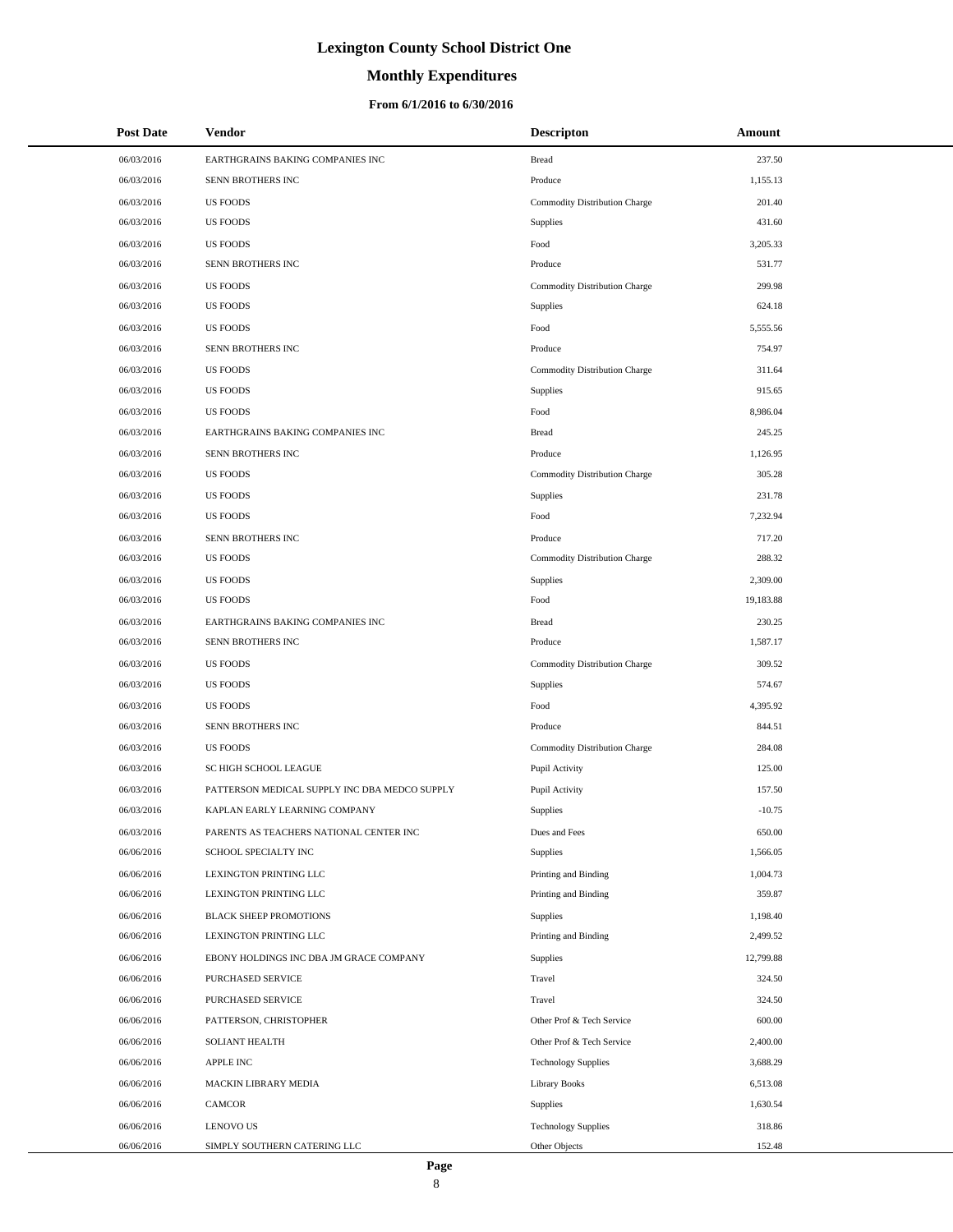# **Monthly Expenditures**

### **From 6/1/2016 to 6/30/2016**

| <b>Post Date</b> | Vendor                                        | <b>Descripton</b>             | Amount    |
|------------------|-----------------------------------------------|-------------------------------|-----------|
| 06/03/2016       | EARTHGRAINS BAKING COMPANIES INC              | <b>Bread</b>                  | 237.50    |
| 06/03/2016       | SENN BROTHERS INC                             | Produce                       | 1,155.13  |
| 06/03/2016       | <b>US FOODS</b>                               | Commodity Distribution Charge | 201.40    |
| 06/03/2016       | <b>US FOODS</b>                               | Supplies                      | 431.60    |
| 06/03/2016       | <b>US FOODS</b>                               | Food                          | 3,205.33  |
| 06/03/2016       | SENN BROTHERS INC                             | Produce                       | 531.77    |
| 06/03/2016       | <b>US FOODS</b>                               | Commodity Distribution Charge | 299.98    |
| 06/03/2016       | <b>US FOODS</b>                               | Supplies                      | 624.18    |
| 06/03/2016       | <b>US FOODS</b>                               | Food                          | 5,555.56  |
| 06/03/2016       | SENN BROTHERS INC                             | Produce                       | 754.97    |
| 06/03/2016       | <b>US FOODS</b>                               | Commodity Distribution Charge | 311.64    |
| 06/03/2016       | <b>US FOODS</b>                               | Supplies                      | 915.65    |
| 06/03/2016       | <b>US FOODS</b>                               | Food                          | 8,986.04  |
| 06/03/2016       | EARTHGRAINS BAKING COMPANIES INC              | <b>Bread</b>                  | 245.25    |
| 06/03/2016       | SENN BROTHERS INC                             | Produce                       | 1,126.95  |
| 06/03/2016       | <b>US FOODS</b>                               | Commodity Distribution Charge | 305.28    |
| 06/03/2016       | <b>US FOODS</b>                               | Supplies                      | 231.78    |
| 06/03/2016       | <b>US FOODS</b>                               | Food                          | 7,232.94  |
| 06/03/2016       | SENN BROTHERS INC                             | Produce                       | 717.20    |
| 06/03/2016       | <b>US FOODS</b>                               | Commodity Distribution Charge | 288.32    |
| 06/03/2016       | <b>US FOODS</b>                               | Supplies                      | 2,309.00  |
| 06/03/2016       | <b>US FOODS</b>                               | Food                          | 19,183.88 |
| 06/03/2016       | EARTHGRAINS BAKING COMPANIES INC              | <b>Bread</b>                  | 230.25    |
| 06/03/2016       | SENN BROTHERS INC                             | Produce                       | 1,587.17  |
| 06/03/2016       | <b>US FOODS</b>                               | Commodity Distribution Charge | 309.52    |
| 06/03/2016       | <b>US FOODS</b>                               | Supplies                      | 574.67    |
| 06/03/2016       | <b>US FOODS</b>                               | Food                          | 4,395.92  |
| 06/03/2016       | SENN BROTHERS INC                             | Produce                       | 844.51    |
| 06/03/2016       | <b>US FOODS</b>                               | Commodity Distribution Charge | 284.08    |
| 06/03/2016       | SC HIGH SCHOOL LEAGUE                         | Pupil Activity                | 125.00    |
| 06/03/2016       | PATTERSON MEDICAL SUPPLY INC DBA MEDCO SUPPLY | Pupil Activity                | 157.50    |
| 06/03/2016       | KAPLAN EARLY LEARNING COMPANY                 | Supplies                      | $-10.75$  |
| 06/03/2016       | PARENTS AS TEACHERS NATIONAL CENTER INC       | Dues and Fees                 | 650.00    |
| 06/06/2016       | SCHOOL SPECIALTY INC                          | Supplies                      | 1,566.05  |
| 06/06/2016       | LEXINGTON PRINTING LLC                        | Printing and Binding          | 1,004.73  |
| 06/06/2016       | LEXINGTON PRINTING LLC                        | Printing and Binding          | 359.87    |
| 06/06/2016       | <b>BLACK SHEEP PROMOTIONS</b>                 | Supplies                      | 1,198.40  |
| 06/06/2016       | LEXINGTON PRINTING LLC                        | Printing and Binding          | 2,499.52  |
| 06/06/2016       | EBONY HOLDINGS INC DBA JM GRACE COMPANY       | Supplies                      | 12,799.88 |
| 06/06/2016       | PURCHASED SERVICE                             | Travel                        | 324.50    |
| 06/06/2016       | PURCHASED SERVICE                             | Travel                        | 324.50    |
| 06/06/2016       | PATTERSON, CHRISTOPHER                        | Other Prof & Tech Service     | 600.00    |
| 06/06/2016       | SOLIANT HEALTH                                | Other Prof & Tech Service     | 2,400.00  |
| 06/06/2016       | <b>APPLE INC</b>                              | <b>Technology Supplies</b>    | 3,688.29  |
| 06/06/2016       | MACKIN LIBRARY MEDIA                          | <b>Library Books</b>          | 6,513.08  |
| 06/06/2016       | CAMCOR                                        | Supplies                      | 1,630.54  |
| 06/06/2016       | <b>LENOVO US</b>                              | <b>Technology Supplies</b>    | 318.86    |
| 06/06/2016       | SIMPLY SOUTHERN CATERING LLC                  | Other Objects                 | 152.48    |

 $\overline{a}$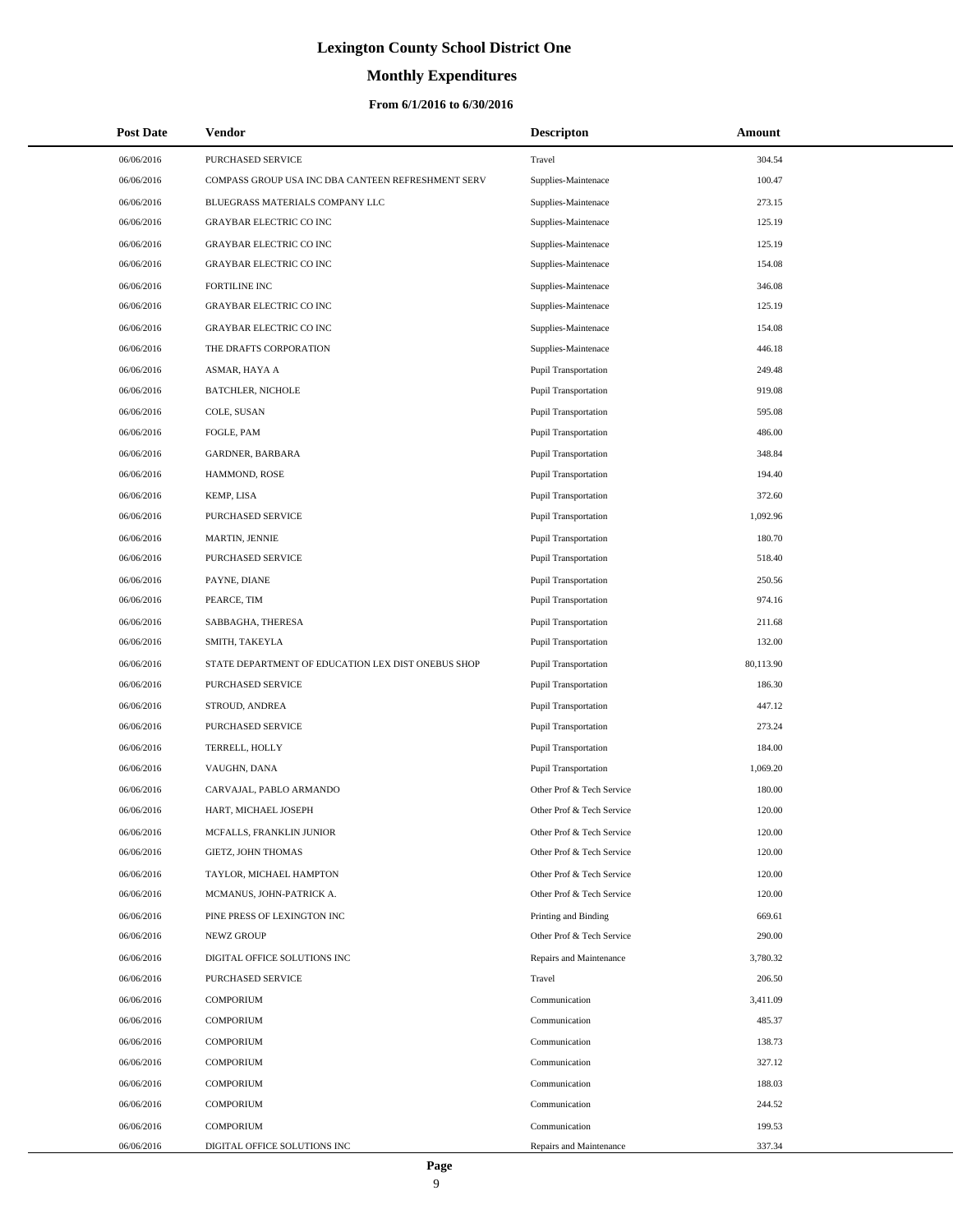# **Monthly Expenditures**

### **From 6/1/2016 to 6/30/2016**

| <b>Post Date</b> | <b>Vendor</b>                                      | <b>Descripton</b>           | Amount    |  |
|------------------|----------------------------------------------------|-----------------------------|-----------|--|
| 06/06/2016       | PURCHASED SERVICE                                  | Travel                      | 304.54    |  |
| 06/06/2016       | COMPASS GROUP USA INC DBA CANTEEN REFRESHMENT SERV | Supplies-Maintenace         | 100.47    |  |
| 06/06/2016       | BLUEGRASS MATERIALS COMPANY LLC                    | Supplies-Maintenace         | 273.15    |  |
| 06/06/2016       | <b>GRAYBAR ELECTRIC CO INC</b>                     | Supplies-Maintenace         | 125.19    |  |
| 06/06/2016       | GRAYBAR ELECTRIC CO INC                            | Supplies-Maintenace         | 125.19    |  |
| 06/06/2016       | GRAYBAR ELECTRIC CO INC                            | Supplies-Maintenace         | 154.08    |  |
| 06/06/2016       | <b>FORTILINE INC</b>                               | Supplies-Maintenace         | 346.08    |  |
| 06/06/2016       | GRAYBAR ELECTRIC CO INC                            | Supplies-Maintenace         | 125.19    |  |
| 06/06/2016       | <b>GRAYBAR ELECTRIC CO INC</b>                     | Supplies-Maintenace         | 154.08    |  |
| 06/06/2016       | THE DRAFTS CORPORATION                             | Supplies-Maintenace         | 446.18    |  |
| 06/06/2016       | ASMAR, HAYA A                                      | <b>Pupil Transportation</b> | 249.48    |  |
| 06/06/2016       | <b>BATCHLER, NICHOLE</b>                           | <b>Pupil Transportation</b> | 919.08    |  |
| 06/06/2016       | COLE, SUSAN                                        | <b>Pupil Transportation</b> | 595.08    |  |
| 06/06/2016       | FOGLE, PAM                                         | <b>Pupil Transportation</b> | 486.00    |  |
| 06/06/2016       | <b>GARDNER, BARBARA</b>                            | <b>Pupil Transportation</b> | 348.84    |  |
| 06/06/2016       | HAMMOND, ROSE                                      | <b>Pupil Transportation</b> | 194.40    |  |
| 06/06/2016       | KEMP, LISA                                         | <b>Pupil Transportation</b> | 372.60    |  |
| 06/06/2016       | PURCHASED SERVICE                                  | <b>Pupil Transportation</b> | 1,092.96  |  |
| 06/06/2016       | MARTIN, JENNIE                                     | <b>Pupil Transportation</b> | 180.70    |  |
| 06/06/2016       | PURCHASED SERVICE                                  | <b>Pupil Transportation</b> | 518.40    |  |
| 06/06/2016       | PAYNE, DIANE                                       | <b>Pupil Transportation</b> | 250.56    |  |
| 06/06/2016       | PEARCE, TIM                                        | <b>Pupil Transportation</b> | 974.16    |  |
| 06/06/2016       | SABBAGHA, THERESA                                  | <b>Pupil Transportation</b> | 211.68    |  |
| 06/06/2016       | SMITH, TAKEYLA                                     | <b>Pupil Transportation</b> | 132.00    |  |
| 06/06/2016       | STATE DEPARTMENT OF EDUCATION LEX DIST ONEBUS SHOP | <b>Pupil Transportation</b> | 80,113.90 |  |
| 06/06/2016       | PURCHASED SERVICE                                  | <b>Pupil Transportation</b> | 186.30    |  |
| 06/06/2016       | STROUD, ANDREA                                     | Pupil Transportation        | 447.12    |  |
| 06/06/2016       | PURCHASED SERVICE                                  | <b>Pupil Transportation</b> | 273.24    |  |
| 06/06/2016       | TERRELL, HOLLY                                     | <b>Pupil Transportation</b> | 184.00    |  |
| 06/06/2016       | VAUGHN, DANA                                       | <b>Pupil Transportation</b> | 1,069.20  |  |
| 06/06/2016       | CARVAJAL, PABLO ARMANDO                            | Other Prof & Tech Service   | 180.00    |  |
| 06/06/2016       | HART, MICHAEL JOSEPH                               | Other Prof & Tech Service   | 120.00    |  |
| 06/06/2016       | MCFALLS, FRANKLIN JUNIOR                           | Other Prof & Tech Service   | 120.00    |  |
| 06/06/2016       | GIETZ, JOHN THOMAS                                 | Other Prof & Tech Service   | 120.00    |  |
| 06/06/2016       | TAYLOR, MICHAEL HAMPTON                            | Other Prof & Tech Service   | 120.00    |  |
| 06/06/2016       | MCMANUS, JOHN-PATRICK A.                           | Other Prof & Tech Service   | 120.00    |  |
| 06/06/2016       | PINE PRESS OF LEXINGTON INC                        | Printing and Binding        | 669.61    |  |
| 06/06/2016       | NEWZ GROUP                                         | Other Prof & Tech Service   | 290.00    |  |
| 06/06/2016       | DIGITAL OFFICE SOLUTIONS INC                       | Repairs and Maintenance     | 3,780.32  |  |
| 06/06/2016       | <b>PURCHASED SERVICE</b>                           | Travel                      | 206.50    |  |
| 06/06/2016       | <b>COMPORIUM</b>                                   | Communication               | 3,411.09  |  |
| 06/06/2016       | <b>COMPORIUM</b>                                   | Communication               | 485.37    |  |
| 06/06/2016       | <b>COMPORIUM</b>                                   | Communication               | 138.73    |  |
| 06/06/2016       | COMPORIUM                                          | Communication               | 327.12    |  |
| 06/06/2016       | <b>COMPORIUM</b>                                   | Communication               | 188.03    |  |
| 06/06/2016       | <b>COMPORIUM</b>                                   | Communication               | 244.52    |  |
| 06/06/2016       | <b>COMPORIUM</b>                                   | Communication               | 199.53    |  |
| 06/06/2016       | DIGITAL OFFICE SOLUTIONS INC                       | Repairs and Maintenance     | 337.34    |  |

L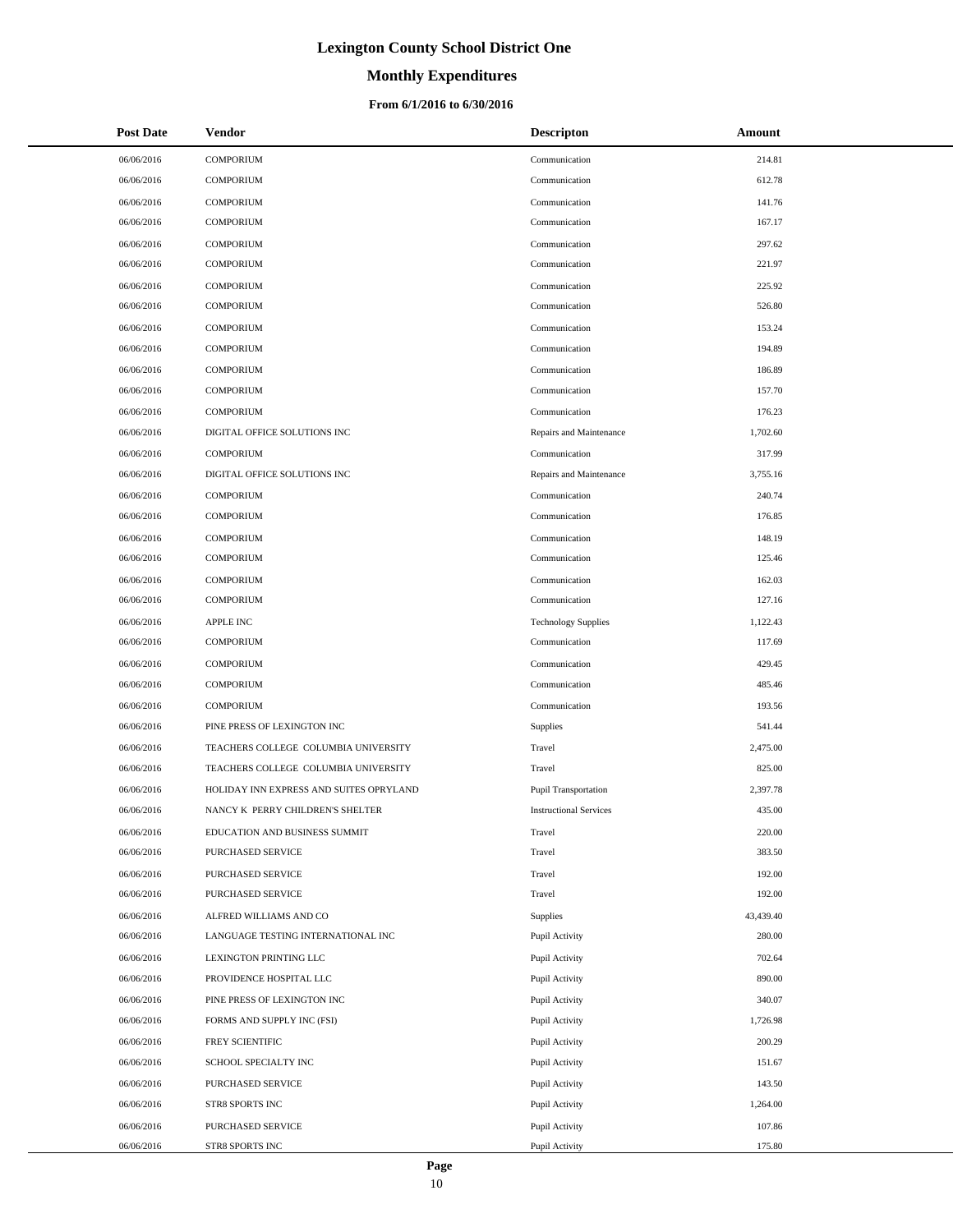# **Monthly Expenditures**

| <b>Post Date</b> | Vendor                                  | <b>Descripton</b>             | Amount    |
|------------------|-----------------------------------------|-------------------------------|-----------|
| 06/06/2016       | <b>COMPORIUM</b>                        | Communication                 | 214.81    |
| 06/06/2016       | <b>COMPORIUM</b>                        | Communication                 | 612.78    |
| 06/06/2016       | <b>COMPORIUM</b>                        | Communication                 | 141.76    |
| 06/06/2016       | <b>COMPORIUM</b>                        | Communication                 | 167.17    |
| 06/06/2016       | <b>COMPORIUM</b>                        | Communication                 | 297.62    |
| 06/06/2016       | <b>COMPORIUM</b>                        | Communication                 | 221.97    |
| 06/06/2016       | <b>COMPORIUM</b>                        | Communication                 | 225.92    |
| 06/06/2016       | <b>COMPORIUM</b>                        | Communication                 | 526.80    |
| 06/06/2016       | <b>COMPORIUM</b>                        | Communication                 | 153.24    |
| 06/06/2016       | <b>COMPORIUM</b>                        | Communication                 | 194.89    |
| 06/06/2016       | <b>COMPORIUM</b>                        | Communication                 | 186.89    |
| 06/06/2016       | <b>COMPORIUM</b>                        | Communication                 | 157.70    |
| 06/06/2016       | <b>COMPORIUM</b>                        | Communication                 | 176.23    |
| 06/06/2016       | DIGITAL OFFICE SOLUTIONS INC            | Repairs and Maintenance       | 1,702.60  |
| 06/06/2016       | <b>COMPORIUM</b>                        | Communication                 | 317.99    |
| 06/06/2016       | DIGITAL OFFICE SOLUTIONS INC            | Repairs and Maintenance       | 3,755.16  |
| 06/06/2016       | <b>COMPORIUM</b>                        | Communication                 | 240.74    |
| 06/06/2016       | <b>COMPORIUM</b>                        | Communication                 | 176.85    |
| 06/06/2016       | <b>COMPORIUM</b>                        | Communication                 | 148.19    |
| 06/06/2016       | <b>COMPORIUM</b>                        | Communication                 | 125.46    |
| 06/06/2016       | <b>COMPORIUM</b>                        | Communication                 | 162.03    |
| 06/06/2016       | <b>COMPORIUM</b>                        | Communication                 | 127.16    |
| 06/06/2016       | <b>APPLE INC</b>                        | <b>Technology Supplies</b>    | 1,122.43  |
| 06/06/2016       | <b>COMPORIUM</b>                        | Communication                 | 117.69    |
| 06/06/2016       | <b>COMPORIUM</b>                        | Communication                 | 429.45    |
| 06/06/2016       | <b>COMPORIUM</b>                        | Communication                 | 485.46    |
| 06/06/2016       | <b>COMPORIUM</b>                        | Communication                 | 193.56    |
| 06/06/2016       | PINE PRESS OF LEXINGTON INC             | <b>Supplies</b>               | 541.44    |
| 06/06/2016       | TEACHERS COLLEGE COLUMBIA UNIVERSITY    | Travel                        | 2,475.00  |
| 06/06/2016       | TEACHERS COLLEGE COLUMBIA UNIVERSITY    | Travel                        | 825.00    |
| 06/06/2016       | HOLIDAY INN EXPRESS AND SUITES OPRYLAND | <b>Pupil Transportation</b>   | 2,397.78  |
| 06/06/2016       | NANCY K PERRY CHILDREN'S SHELTER        | <b>Instructional Services</b> | 435.00    |
| 06/06/2016       | EDUCATION AND BUSINESS SUMMIT           | Travel                        | 220.00    |
| 06/06/2016       | PURCHASED SERVICE                       | Travel                        | 383.50    |
| 06/06/2016       | PURCHASED SERVICE                       | Travel                        | 192.00    |
| 06/06/2016       | PURCHASED SERVICE                       | Travel                        | 192.00    |
| 06/06/2016       | ALFRED WILLIAMS AND CO                  | Supplies                      | 43,439.40 |
| 06/06/2016       | LANGUAGE TESTING INTERNATIONAL INC      | Pupil Activity                | 280.00    |
| 06/06/2016       | LEXINGTON PRINTING LLC                  | Pupil Activity                | 702.64    |
| 06/06/2016       | PROVIDENCE HOSPITAL LLC                 | Pupil Activity                | 890.00    |
| 06/06/2016       | PINE PRESS OF LEXINGTON INC             | Pupil Activity                | 340.07    |
| 06/06/2016       | FORMS AND SUPPLY INC (FSI)              | Pupil Activity                | 1,726.98  |
| 06/06/2016       | FREY SCIENTIFIC                         | Pupil Activity                | 200.29    |
| 06/06/2016       | SCHOOL SPECIALTY INC                    | Pupil Activity                | 151.67    |
| 06/06/2016       | PURCHASED SERVICE                       | Pupil Activity                | 143.50    |
| 06/06/2016       | STR8 SPORTS INC                         | Pupil Activity                | 1,264.00  |
| 06/06/2016       | PURCHASED SERVICE                       | Pupil Activity                | 107.86    |
| 06/06/2016       | STR8 SPORTS INC                         | Pupil Activity                | 175.80    |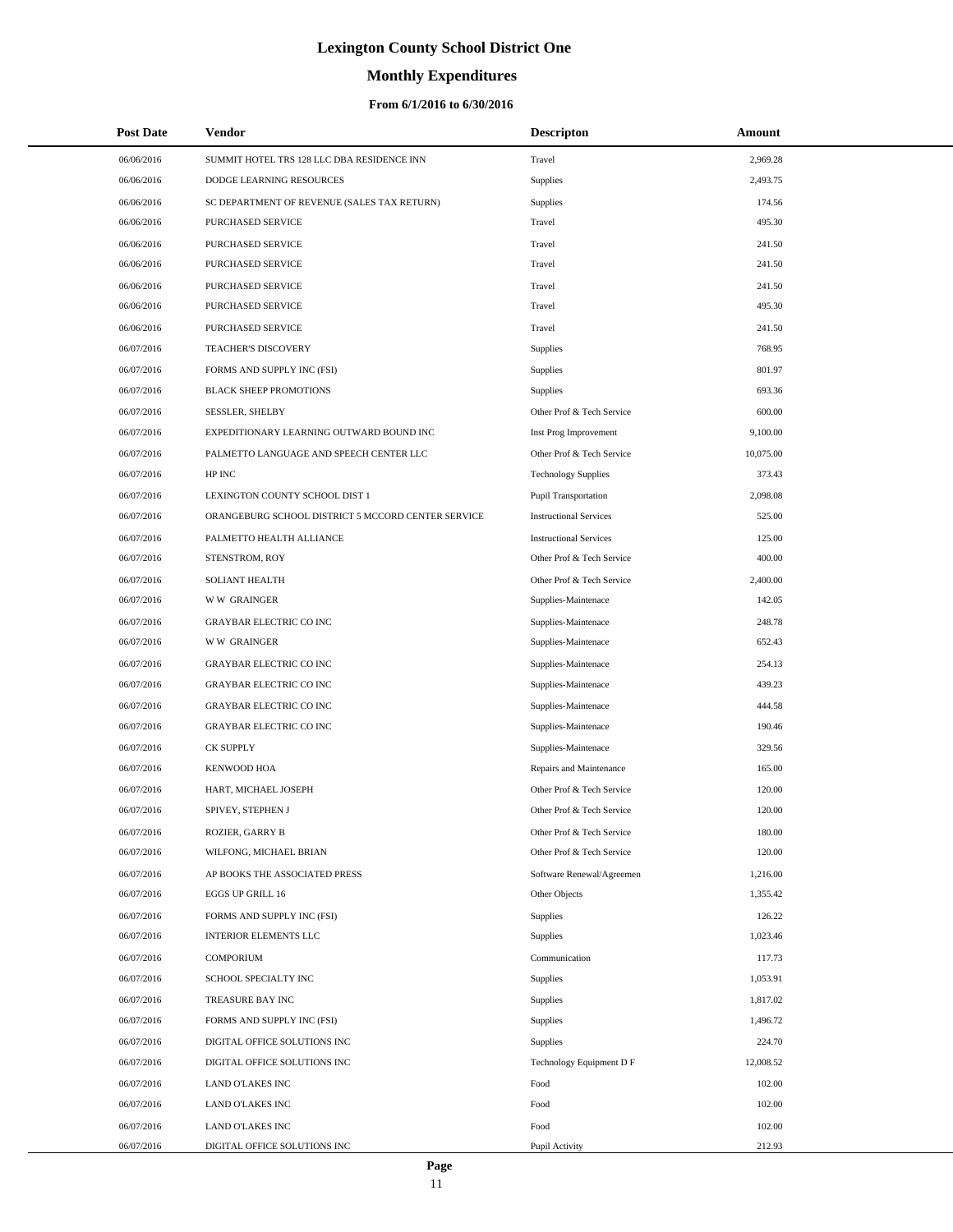# **Monthly Expenditures**

| <b>Post Date</b> | Vendor                                             | <b>Descripton</b>             | Amount    |
|------------------|----------------------------------------------------|-------------------------------|-----------|
| 06/06/2016       | SUMMIT HOTEL TRS 128 LLC DBA RESIDENCE INN         | Travel                        | 2,969.28  |
| 06/06/2016       | DODGE LEARNING RESOURCES                           | Supplies                      | 2,493.75  |
| 06/06/2016       | SC DEPARTMENT OF REVENUE (SALES TAX RETURN)        | Supplies                      | 174.56    |
| 06/06/2016       | PURCHASED SERVICE                                  | Travel                        | 495.30    |
| 06/06/2016       | PURCHASED SERVICE                                  | Travel                        | 241.50    |
| 06/06/2016       | PURCHASED SERVICE                                  | Travel                        | 241.50    |
| 06/06/2016       | PURCHASED SERVICE                                  | Travel                        | 241.50    |
| 06/06/2016       | PURCHASED SERVICE                                  | Travel                        | 495.30    |
| 06/06/2016       | <b>PURCHASED SERVICE</b>                           | Travel                        | 241.50    |
| 06/07/2016       | <b>TEACHER'S DISCOVERY</b>                         | Supplies                      | 768.95    |
| 06/07/2016       | FORMS AND SUPPLY INC (FSI)                         | Supplies                      | 801.97    |
| 06/07/2016       | <b>BLACK SHEEP PROMOTIONS</b>                      | Supplies                      | 693.36    |
| 06/07/2016       | <b>SESSLER, SHELBY</b>                             | Other Prof & Tech Service     | 600.00    |
| 06/07/2016       | EXPEDITIONARY LEARNING OUTWARD BOUND INC           | Inst Prog Improvement         | 9,100.00  |
| 06/07/2016       | PALMETTO LANGUAGE AND SPEECH CENTER LLC            | Other Prof & Tech Service     | 10,075.00 |
| 06/07/2016       | HP INC                                             | <b>Technology Supplies</b>    | 373.43    |
| 06/07/2016       | LEXINGTON COUNTY SCHOOL DIST 1                     | <b>Pupil Transportation</b>   | 2,098.08  |
| 06/07/2016       | ORANGEBURG SCHOOL DISTRICT 5 MCCORD CENTER SERVICE | <b>Instructional Services</b> | 525.00    |
| 06/07/2016       | PALMETTO HEALTH ALLIANCE                           | <b>Instructional Services</b> | 125.00    |
| 06/07/2016       | STENSTROM, ROY                                     | Other Prof & Tech Service     | 400.00    |
| 06/07/2016       | <b>SOLIANT HEALTH</b>                              | Other Prof & Tech Service     | 2,400.00  |
| 06/07/2016       | <b>WW GRAINGER</b>                                 | Supplies-Maintenace           | 142.05    |
| 06/07/2016       | <b>GRAYBAR ELECTRIC CO INC</b>                     | Supplies-Maintenace           | 248.78    |
| 06/07/2016       | <b>WW GRAINGER</b>                                 | Supplies-Maintenace           | 652.43    |
| 06/07/2016       | <b>GRAYBAR ELECTRIC CO INC</b>                     | Supplies-Maintenace           | 254.13    |
| 06/07/2016       | <b>GRAYBAR ELECTRIC CO INC</b>                     | Supplies-Maintenace           | 439.23    |
| 06/07/2016       | <b>GRAYBAR ELECTRIC CO INC</b>                     | Supplies-Maintenace           | 444.58    |
| 06/07/2016       | <b>GRAYBAR ELECTRIC CO INC</b>                     | Supplies-Maintenace           | 190.46    |
| 06/07/2016       | <b>CK SUPPLY</b>                                   | Supplies-Maintenace           | 329.56    |
| 06/07/2016       | <b>KENWOOD HOA</b>                                 | Repairs and Maintenance       | 165.00    |
| 06/07/2016       | HART, MICHAEL JOSEPH                               | Other Prof & Tech Service     | 120.00    |
| 06/07/2016       | SPIVEY, STEPHEN J                                  | Other Prof & Tech Service     | 120.00    |
| 06/07/2016       | ROZIER, GARRY B                                    | Other Prof & Tech Service     | 180.00    |
| 06/07/2016       | WILFONG, MICHAEL BRIAN                             | Other Prof & Tech Service     | 120.00    |
| 06/07/2016       | AP BOOKS THE ASSOCIATED PRESS                      | Software Renewal/Agreemen     | 1,216.00  |
| 06/07/2016       | EGGS UP GRILL 16                                   | Other Objects                 | 1,355.42  |
| 06/07/2016       | FORMS AND SUPPLY INC (FSI)                         | Supplies                      | 126.22    |
| 06/07/2016       | INTERIOR ELEMENTS LLC                              | Supplies                      | 1,023.46  |
| 06/07/2016       | <b>COMPORIUM</b>                                   | Communication                 | 117.73    |
| 06/07/2016       | SCHOOL SPECIALTY INC                               | <b>Supplies</b>               | 1,053.91  |
| 06/07/2016       | TREASURE BAY INC                                   | Supplies                      | 1,817.02  |
| 06/07/2016       | FORMS AND SUPPLY INC (FSI)                         | <b>Supplies</b>               | 1,496.72  |
| 06/07/2016       | DIGITAL OFFICE SOLUTIONS INC                       | <b>Supplies</b>               | 224.70    |
| 06/07/2016       | DIGITAL OFFICE SOLUTIONS INC                       | Technology Equipment D F      | 12,008.52 |
| 06/07/2016       | LAND O'LAKES INC                                   | Food                          | 102.00    |
| 06/07/2016       | LAND O'LAKES INC                                   | Food                          | 102.00    |
| 06/07/2016       | LAND O'LAKES INC                                   | Food                          | 102.00    |
| 06/07/2016       | DIGITAL OFFICE SOLUTIONS INC                       | Pupil Activity                | 212.93    |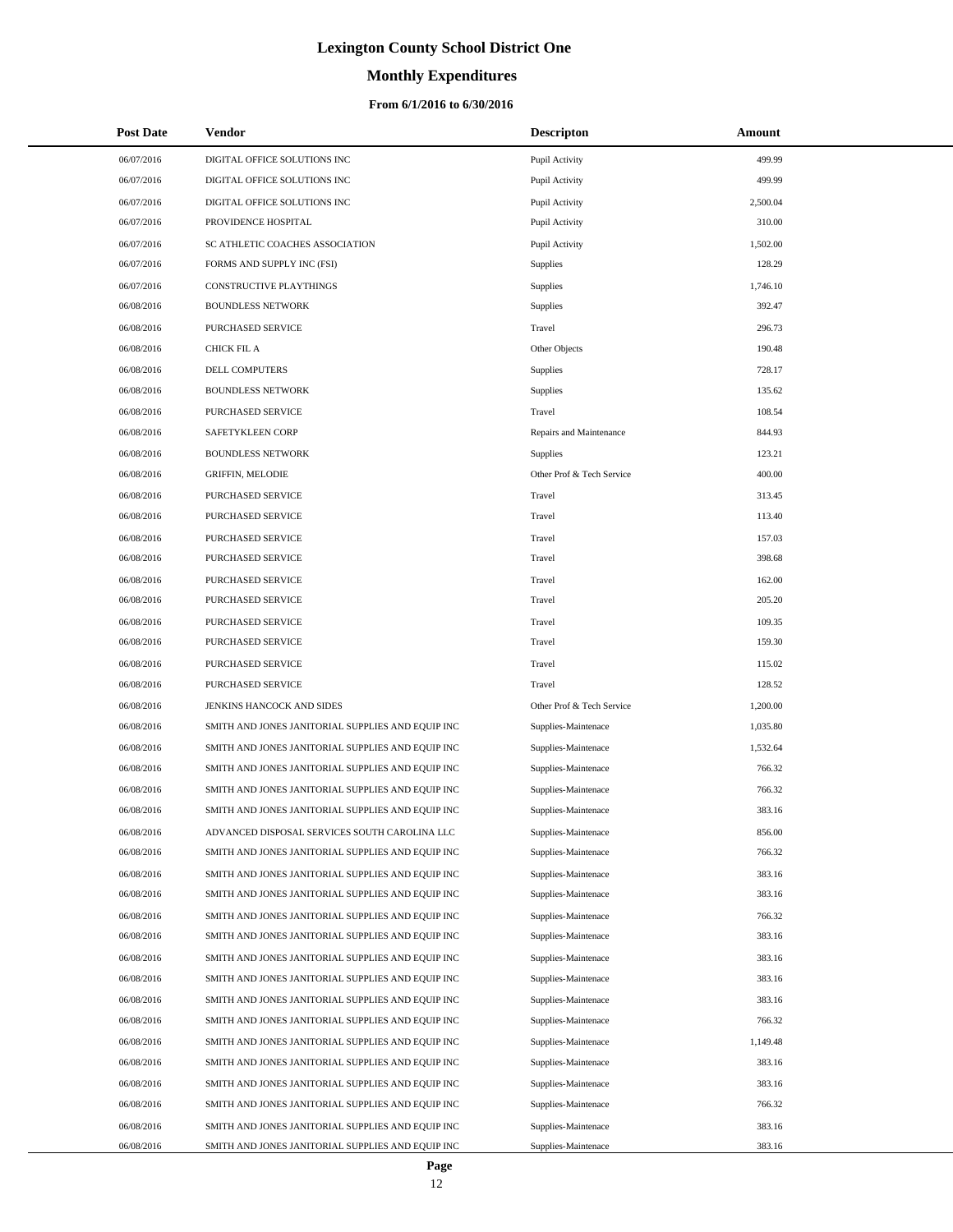# **Monthly Expenditures**

### **From 6/1/2016 to 6/30/2016**

| <b>Post Date</b> | Vendor                                            | <b>Descripton</b>         | Amount   |
|------------------|---------------------------------------------------|---------------------------|----------|
| 06/07/2016       | DIGITAL OFFICE SOLUTIONS INC                      | Pupil Activity            | 499.99   |
| 06/07/2016       | DIGITAL OFFICE SOLUTIONS INC                      | Pupil Activity            | 499.99   |
| 06/07/2016       | DIGITAL OFFICE SOLUTIONS INC                      | Pupil Activity            | 2,500.04 |
| 06/07/2016       | PROVIDENCE HOSPITAL                               | Pupil Activity            | 310.00   |
| 06/07/2016       | SC ATHLETIC COACHES ASSOCIATION                   | Pupil Activity            | 1,502.00 |
| 06/07/2016       | FORMS AND SUPPLY INC (FSI)                        | Supplies                  | 128.29   |
| 06/07/2016       | CONSTRUCTIVE PLAYTHINGS                           | <b>Supplies</b>           | 1,746.10 |
| 06/08/2016       | <b>BOUNDLESS NETWORK</b>                          | <b>Supplies</b>           | 392.47   |
| 06/08/2016       | <b>PURCHASED SERVICE</b>                          | Travel                    | 296.73   |
| 06/08/2016       | CHICK FIL A                                       | Other Objects             | 190.48   |
| 06/08/2016       | DELL COMPUTERS                                    | <b>Supplies</b>           | 728.17   |
| 06/08/2016       | <b>BOUNDLESS NETWORK</b>                          | Supplies                  | 135.62   |
| 06/08/2016       | PURCHASED SERVICE                                 | Travel                    | 108.54   |
| 06/08/2016       | <b>SAFETYKLEEN CORP</b>                           | Repairs and Maintenance   | 844.93   |
| 06/08/2016       | <b>BOUNDLESS NETWORK</b>                          | Supplies                  | 123.21   |
| 06/08/2016       | <b>GRIFFIN, MELODIE</b>                           | Other Prof & Tech Service | 400.00   |
| 06/08/2016       | PURCHASED SERVICE                                 | Travel                    | 313.45   |
| 06/08/2016       | PURCHASED SERVICE                                 | Travel                    | 113.40   |
| 06/08/2016       | PURCHASED SERVICE                                 | Travel                    | 157.03   |
| 06/08/2016       | PURCHASED SERVICE                                 | Travel                    | 398.68   |
| 06/08/2016       | PURCHASED SERVICE                                 | Travel                    | 162.00   |
| 06/08/2016       | PURCHASED SERVICE                                 | Travel                    | 205.20   |
| 06/08/2016       | PURCHASED SERVICE                                 | Travel                    | 109.35   |
| 06/08/2016       | PURCHASED SERVICE                                 | Travel                    | 159.30   |
| 06/08/2016       | PURCHASED SERVICE                                 | Travel                    | 115.02   |
| 06/08/2016       | PURCHASED SERVICE                                 | Travel                    | 128.52   |
| 06/08/2016       | JENKINS HANCOCK AND SIDES                         | Other Prof & Tech Service | 1,200.00 |
| 06/08/2016       | SMITH AND JONES JANITORIAL SUPPLIES AND EQUIP INC | Supplies-Maintenace       | 1,035.80 |
| 06/08/2016       | SMITH AND JONES JANITORIAL SUPPLIES AND EQUIP INC | Supplies-Maintenace       | 1,532.64 |
| 06/08/2016       | SMITH AND JONES JANITORIAL SUPPLIES AND EQUIP INC | Supplies-Maintenace       | 766.32   |
| 06/08/2016       | SMITH AND JONES JANITORIAL SUPPLIES AND EQUIP INC | Supplies-Maintenace       | 766.32   |
| 06/08/2016       | SMITH AND JONES JANITORIAL SUPPLIES AND EQUIP INC | Supplies-Maintenace       | 383.16   |
| 06/08/2016       | ADVANCED DISPOSAL SERVICES SOUTH CAROLINA LLC     | Supplies-Maintenace       | 856.00   |
| 06/08/2016       | SMITH AND JONES JANITORIAL SUPPLIES AND EQUIP INC | Supplies-Maintenace       | 766.32   |
| 06/08/2016       | SMITH AND JONES JANITORIAL SUPPLIES AND EQUIP INC | Supplies-Maintenace       | 383.16   |
| 06/08/2016       | SMITH AND JONES JANITORIAL SUPPLIES AND EQUIP INC | Supplies-Maintenace       | 383.16   |
| 06/08/2016       | SMITH AND JONES JANITORIAL SUPPLIES AND EQUIP INC | Supplies-Maintenace       | 766.32   |
| 06/08/2016       | SMITH AND JONES JANITORIAL SUPPLIES AND EQUIP INC | Supplies-Maintenace       | 383.16   |
| 06/08/2016       | SMITH AND JONES JANITORIAL SUPPLIES AND EQUIP INC | Supplies-Maintenace       | 383.16   |
| 06/08/2016       | SMITH AND JONES JANITORIAL SUPPLIES AND EQUIP INC | Supplies-Maintenace       | 383.16   |
| 06/08/2016       | SMITH AND JONES JANITORIAL SUPPLIES AND EQUIP INC | Supplies-Maintenace       | 383.16   |
| 06/08/2016       | SMITH AND JONES JANITORIAL SUPPLIES AND EQUIP INC | Supplies-Maintenace       | 766.32   |
| 06/08/2016       | SMITH AND JONES JANITORIAL SUPPLIES AND EQUIP INC | Supplies-Maintenace       | 1,149.48 |
| 06/08/2016       | SMITH AND JONES JANITORIAL SUPPLIES AND EQUIP INC | Supplies-Maintenace       | 383.16   |
| 06/08/2016       | SMITH AND JONES JANITORIAL SUPPLIES AND EQUIP INC | Supplies-Maintenace       | 383.16   |
| 06/08/2016       | SMITH AND JONES JANITORIAL SUPPLIES AND EQUIP INC | Supplies-Maintenace       | 766.32   |
| 06/08/2016       | SMITH AND JONES JANITORIAL SUPPLIES AND EQUIP INC | Supplies-Maintenace       | 383.16   |
| 06/08/2016       | SMITH AND JONES JANITORIAL SUPPLIES AND EQUIP INC | Supplies-Maintenace       | 383.16   |

 $\overline{\phantom{0}}$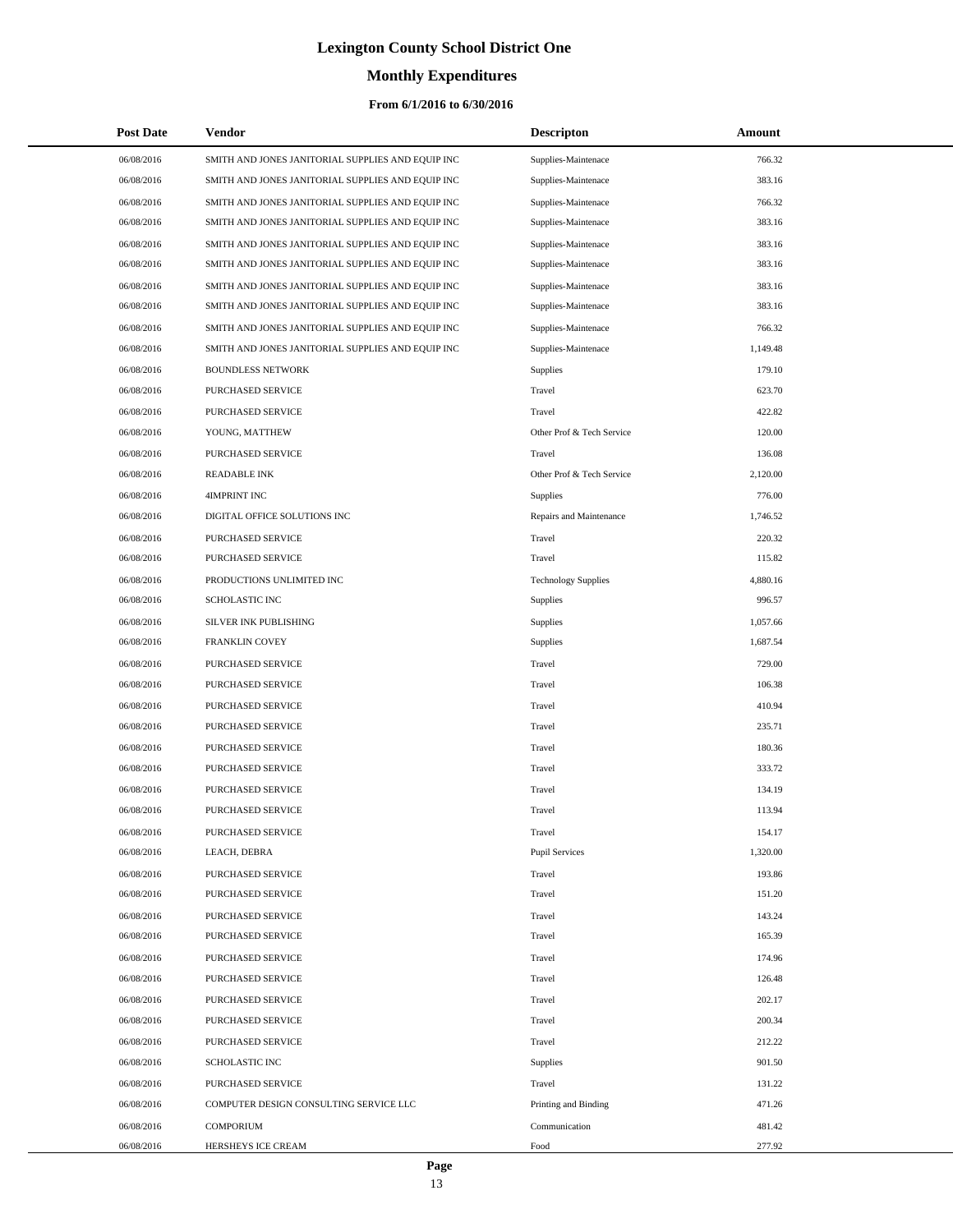# **Monthly Expenditures**

### **From 6/1/2016 to 6/30/2016**

| <b>Post Date</b> | <b>Vendor</b>                                     | <b>Descripton</b>          | Amount   |
|------------------|---------------------------------------------------|----------------------------|----------|
| 06/08/2016       | SMITH AND JONES JANITORIAL SUPPLIES AND EQUIP INC | Supplies-Maintenace        | 766.32   |
| 06/08/2016       | SMITH AND JONES JANITORIAL SUPPLIES AND EQUIP INC | Supplies-Maintenace        | 383.16   |
| 06/08/2016       | SMITH AND JONES JANITORIAL SUPPLIES AND EQUIP INC | Supplies-Maintenace        | 766.32   |
| 06/08/2016       | SMITH AND JONES JANITORIAL SUPPLIES AND EQUIP INC | Supplies-Maintenace        | 383.16   |
| 06/08/2016       | SMITH AND JONES JANITORIAL SUPPLIES AND EQUIP INC | Supplies-Maintenace        | 383.16   |
| 06/08/2016       | SMITH AND JONES JANITORIAL SUPPLIES AND EQUIP INC | Supplies-Maintenace        | 383.16   |
| 06/08/2016       | SMITH AND JONES JANITORIAL SUPPLIES AND EQUIP INC | Supplies-Maintenace        | 383.16   |
| 06/08/2016       | SMITH AND JONES JANITORIAL SUPPLIES AND EQUIP INC | Supplies-Maintenace        | 383.16   |
| 06/08/2016       | SMITH AND JONES JANITORIAL SUPPLIES AND EQUIP INC | Supplies-Maintenace        | 766.32   |
| 06/08/2016       | SMITH AND JONES JANITORIAL SUPPLIES AND EQUIP INC | Supplies-Maintenace        | 1,149.48 |
| 06/08/2016       | <b>BOUNDLESS NETWORK</b>                          | Supplies                   | 179.10   |
| 06/08/2016       | PURCHASED SERVICE                                 | Travel                     | 623.70   |
| 06/08/2016       | PURCHASED SERVICE                                 | Travel                     | 422.82   |
| 06/08/2016       | YOUNG, MATTHEW                                    | Other Prof & Tech Service  | 120.00   |
| 06/08/2016       | PURCHASED SERVICE                                 | Travel                     | 136.08   |
| 06/08/2016       | <b>READABLE INK</b>                               | Other Prof & Tech Service  | 2,120.00 |
| 06/08/2016       | 4IMPRINT INC                                      | Supplies                   | 776.00   |
| 06/08/2016       | DIGITAL OFFICE SOLUTIONS INC                      | Repairs and Maintenance    | 1,746.52 |
| 06/08/2016       | PURCHASED SERVICE                                 | Travel                     | 220.32   |
| 06/08/2016       | PURCHASED SERVICE                                 | Travel                     | 115.82   |
| 06/08/2016       | PRODUCTIONS UNLIMITED INC                         | <b>Technology Supplies</b> | 4,880.16 |
| 06/08/2016       | <b>SCHOLASTIC INC</b>                             | Supplies                   | 996.57   |
| 06/08/2016       | SILVER INK PUBLISHING                             | Supplies                   | 1,057.66 |
| 06/08/2016       | FRANKLIN COVEY                                    | Supplies                   | 1,687.54 |
| 06/08/2016       | PURCHASED SERVICE                                 | Travel                     | 729.00   |
| 06/08/2016       | PURCHASED SERVICE                                 | Travel                     | 106.38   |
| 06/08/2016       | PURCHASED SERVICE                                 | Travel                     | 410.94   |
| 06/08/2016       | PURCHASED SERVICE                                 | Travel                     | 235.71   |
| 06/08/2016       | PURCHASED SERVICE                                 | Travel                     | 180.36   |
| 06/08/2016       | PURCHASED SERVICE                                 | Travel                     | 333.72   |
| 06/08/2016       | PURCHASED SERVICE                                 | Travel                     | 134.19   |
| 06/08/2016       | PURCHASED SERVICE                                 | Travel                     | 113.94   |
| 06/08/2016       | PURCHASED SERVICE                                 | Travel                     | 154.17   |
| 06/08/2016       | LEACH, DEBRA                                      | <b>Pupil Services</b>      | 1,320.00 |
| 06/08/2016       | PURCHASED SERVICE                                 | Travel                     | 193.86   |
| 06/08/2016       | PURCHASED SERVICE                                 | Travel                     | 151.20   |
| 06/08/2016       | PURCHASED SERVICE                                 | Travel                     | 143.24   |
| 06/08/2016       | PURCHASED SERVICE                                 | Travel                     | 165.39   |
| 06/08/2016       | PURCHASED SERVICE                                 | Travel                     | 174.96   |
| 06/08/2016       | PURCHASED SERVICE                                 | Travel                     | 126.48   |
| 06/08/2016       | PURCHASED SERVICE                                 | Travel                     | 202.17   |
| 06/08/2016       | PURCHASED SERVICE                                 | Travel                     | 200.34   |
| 06/08/2016       | PURCHASED SERVICE                                 | Travel                     | 212.22   |
| 06/08/2016       | SCHOLASTIC INC                                    | Supplies                   | 901.50   |
| 06/08/2016       | PURCHASED SERVICE                                 | Travel                     | 131.22   |
| 06/08/2016       | COMPUTER DESIGN CONSULTING SERVICE LLC            | Printing and Binding       | 471.26   |
| 06/08/2016       | <b>COMPORIUM</b>                                  | Communication              | 481.42   |
| 06/08/2016       | HERSHEYS ICE CREAM                                | Food                       | 277.92   |

 $\overline{\phantom{0}}$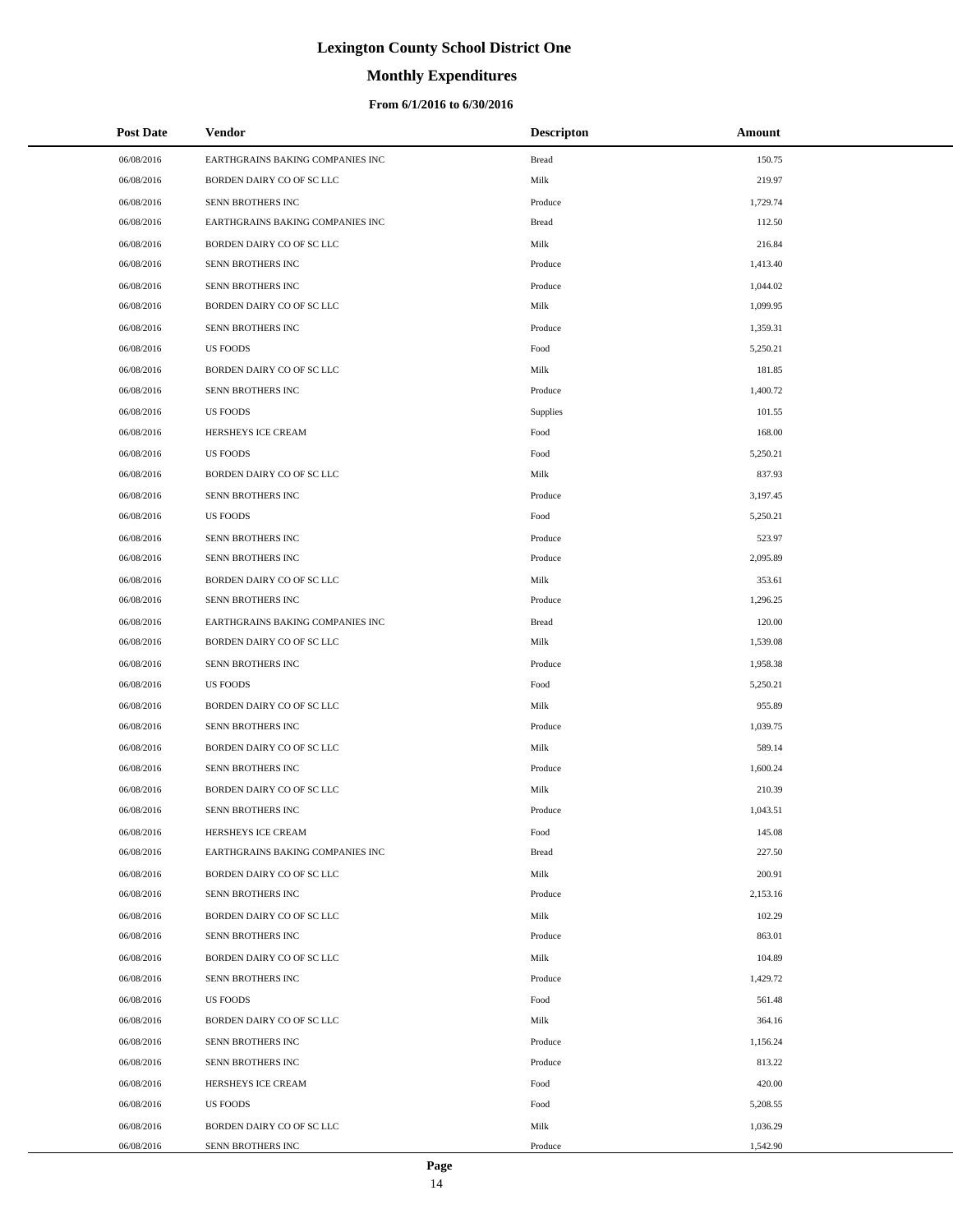# **Monthly Expenditures**

### **From 6/1/2016 to 6/30/2016**

| <b>Post Date</b> | Vendor                           | <b>Descripton</b> | Amount   |  |
|------------------|----------------------------------|-------------------|----------|--|
| 06/08/2016       | EARTHGRAINS BAKING COMPANIES INC | <b>Bread</b>      | 150.75   |  |
| 06/08/2016       | BORDEN DAIRY CO OF SC LLC        | Milk              | 219.97   |  |
| 06/08/2016       | SENN BROTHERS INC                | Produce           | 1,729.74 |  |
| 06/08/2016       | EARTHGRAINS BAKING COMPANIES INC | <b>Bread</b>      | 112.50   |  |
| 06/08/2016       | BORDEN DAIRY CO OF SC LLC        | Milk              | 216.84   |  |
| 06/08/2016       | SENN BROTHERS INC                | Produce           | 1,413.40 |  |
| 06/08/2016       | SENN BROTHERS INC                | Produce           | 1,044.02 |  |
| 06/08/2016       | BORDEN DAIRY CO OF SC LLC        | Milk              | 1,099.95 |  |
| 06/08/2016       | SENN BROTHERS INC                | Produce           | 1,359.31 |  |
| 06/08/2016       | <b>US FOODS</b>                  | Food              | 5,250.21 |  |
| 06/08/2016       | BORDEN DAIRY CO OF SC LLC        | Milk              | 181.85   |  |
| 06/08/2016       | SENN BROTHERS INC                | Produce           | 1,400.72 |  |
| 06/08/2016       | <b>US FOODS</b>                  | Supplies          | 101.55   |  |
| 06/08/2016       | HERSHEYS ICE CREAM               | Food              | 168.00   |  |
| 06/08/2016       | <b>US FOODS</b>                  | Food              | 5,250.21 |  |
| 06/08/2016       | BORDEN DAIRY CO OF SC LLC        | Milk              | 837.93   |  |
| 06/08/2016       | SENN BROTHERS INC                | Produce           | 3,197.45 |  |
| 06/08/2016       | <b>US FOODS</b>                  | Food              | 5,250.21 |  |
| 06/08/2016       | <b>SENN BROTHERS INC</b>         | Produce           | 523.97   |  |
| 06/08/2016       | SENN BROTHERS INC                | Produce           | 2,095.89 |  |
| 06/08/2016       | BORDEN DAIRY CO OF SC LLC        | Milk              | 353.61   |  |
| 06/08/2016       | SENN BROTHERS INC                | Produce           | 1,296.25 |  |
| 06/08/2016       | EARTHGRAINS BAKING COMPANIES INC | <b>Bread</b>      | 120.00   |  |
| 06/08/2016       | BORDEN DAIRY CO OF SC LLC        | Milk              | 1,539.08 |  |
| 06/08/2016       | SENN BROTHERS INC                | Produce           | 1,958.38 |  |
| 06/08/2016       | <b>US FOODS</b>                  | Food              | 5,250.21 |  |
| 06/08/2016       | BORDEN DAIRY CO OF SC LLC        | Milk              | 955.89   |  |
| 06/08/2016       | SENN BROTHERS INC                | Produce           | 1,039.75 |  |
| 06/08/2016       | BORDEN DAIRY CO OF SC LLC        | Milk              | 589.14   |  |
| 06/08/2016       | SENN BROTHERS INC                | Produce           | 1,600.24 |  |
| 06/08/2016       | BORDEN DAIRY CO OF SC LLC        | Milk              | 210.39   |  |
| 06/08/2016       | SENN BROTHERS INC                | Produce           | 1,043.51 |  |
| 06/08/2016       | HERSHEYS ICE CREAM               | Food              | 145.08   |  |
| 06/08/2016       | EARTHGRAINS BAKING COMPANIES INC | <b>Bread</b>      | 227.50   |  |
| 06/08/2016       | BORDEN DAIRY CO OF SC LLC        | Milk              | 200.91   |  |
| 06/08/2016       | SENN BROTHERS INC                | Produce           | 2,153.16 |  |
| 06/08/2016       | BORDEN DAIRY CO OF SC LLC        | Milk              | 102.29   |  |
| 06/08/2016       | SENN BROTHERS INC                | Produce           | 863.01   |  |
| 06/08/2016       | BORDEN DAIRY CO OF SC LLC        | Milk              | 104.89   |  |
| 06/08/2016       | SENN BROTHERS INC                | Produce           | 1,429.72 |  |
| 06/08/2016       | <b>US FOODS</b>                  | Food              | 561.48   |  |
| 06/08/2016       | BORDEN DAIRY CO OF SC LLC        | Milk              | 364.16   |  |
| 06/08/2016       | SENN BROTHERS INC                | Produce           | 1,156.24 |  |
| 06/08/2016       | SENN BROTHERS INC                | Produce           | 813.22   |  |
| 06/08/2016       | HERSHEYS ICE CREAM               | Food              | 420.00   |  |
| 06/08/2016       | <b>US FOODS</b>                  | Food              | 5,208.55 |  |
| 06/08/2016       | BORDEN DAIRY CO OF SC LLC        | Milk              | 1,036.29 |  |
| 06/08/2016       | SENN BROTHERS INC                | Produce           | 1,542.90 |  |

 $\overline{a}$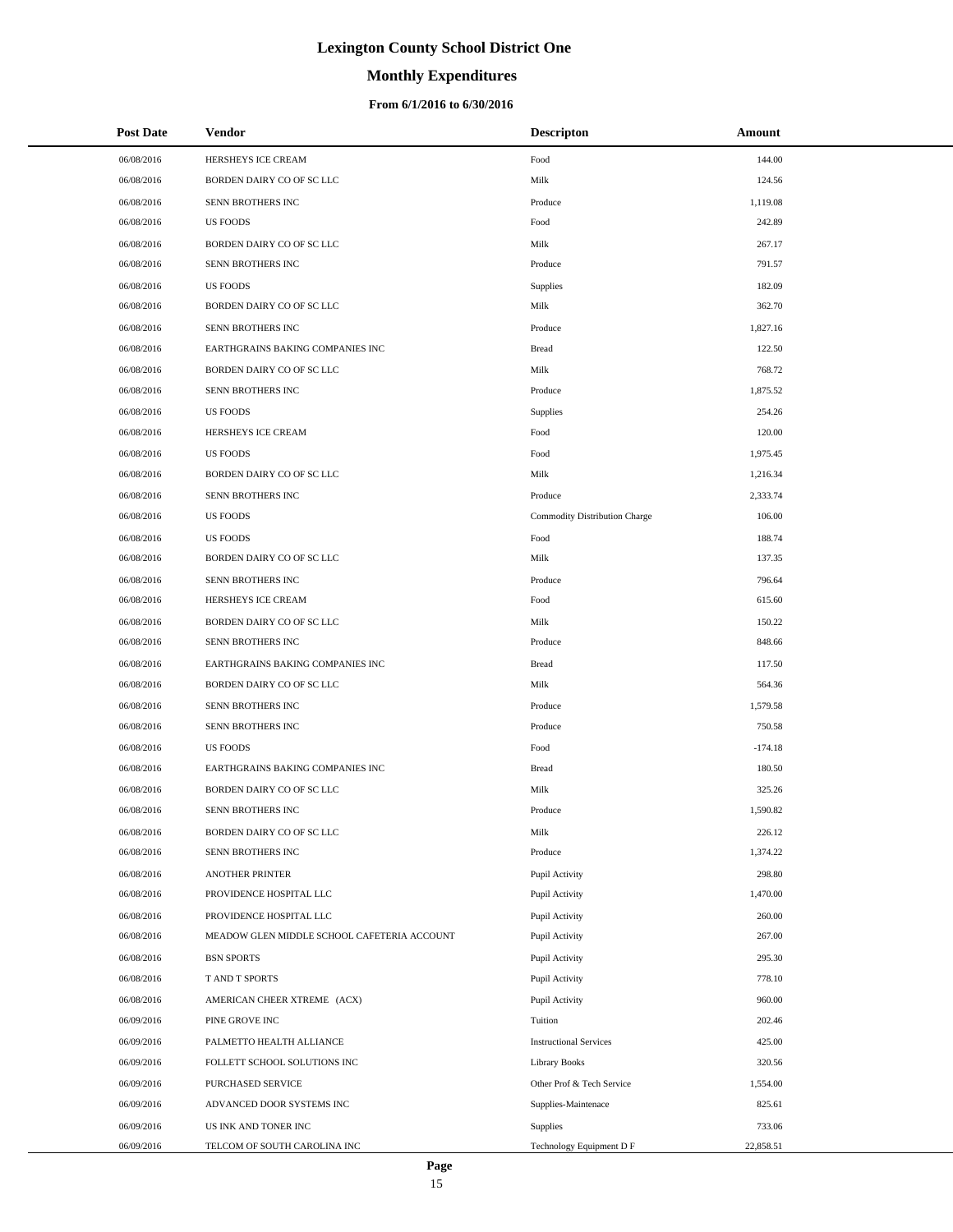# **Monthly Expenditures**

| <b>Post Date</b> | Vendor                                      | <b>Descripton</b>             | Amount    |
|------------------|---------------------------------------------|-------------------------------|-----------|
| 06/08/2016       | HERSHEYS ICE CREAM                          | Food                          | 144.00    |
| 06/08/2016       | BORDEN DAIRY CO OF SC LLC                   | Milk                          | 124.56    |
| 06/08/2016       | SENN BROTHERS INC                           | Produce                       | 1,119.08  |
| 06/08/2016       | <b>US FOODS</b>                             | Food                          | 242.89    |
| 06/08/2016       | BORDEN DAIRY CO OF SC LLC                   | Milk                          | 267.17    |
| 06/08/2016       | SENN BROTHERS INC                           | Produce                       | 791.57    |
| 06/08/2016       | <b>US FOODS</b>                             | Supplies                      | 182.09    |
| 06/08/2016       | BORDEN DAIRY CO OF SC LLC                   | Milk                          | 362.70    |
| 06/08/2016       | SENN BROTHERS INC                           | Produce                       | 1,827.16  |
| 06/08/2016       | EARTHGRAINS BAKING COMPANIES INC            | <b>Bread</b>                  | 122.50    |
| 06/08/2016       | BORDEN DAIRY CO OF SC LLC                   | Milk                          | 768.72    |
| 06/08/2016       | SENN BROTHERS INC                           | Produce                       | 1,875.52  |
| 06/08/2016       | <b>US FOODS</b>                             | Supplies                      | 254.26    |
| 06/08/2016       | HERSHEYS ICE CREAM                          | Food                          | 120.00    |
| 06/08/2016       | <b>US FOODS</b>                             | Food                          | 1,975.45  |
| 06/08/2016       | BORDEN DAIRY CO OF SC LLC                   | Milk                          | 1,216.34  |
| 06/08/2016       | SENN BROTHERS INC                           | Produce                       | 2,333.74  |
| 06/08/2016       | <b>US FOODS</b>                             | Commodity Distribution Charge | 106.00    |
| 06/08/2016       | <b>US FOODS</b>                             | Food                          | 188.74    |
| 06/08/2016       | BORDEN DAIRY CO OF SC LLC                   | Milk                          | 137.35    |
| 06/08/2016       | SENN BROTHERS INC                           | Produce                       | 796.64    |
| 06/08/2016       | HERSHEYS ICE CREAM                          | Food                          | 615.60    |
| 06/08/2016       | BORDEN DAIRY CO OF SC LLC                   | Milk                          | 150.22    |
| 06/08/2016       | SENN BROTHERS INC                           | Produce                       | 848.66    |
| 06/08/2016       | EARTHGRAINS BAKING COMPANIES INC            | <b>Bread</b>                  | 117.50    |
| 06/08/2016       | BORDEN DAIRY CO OF SC LLC                   | Milk                          | 564.36    |
| 06/08/2016       | SENN BROTHERS INC                           | Produce                       | 1,579.58  |
| 06/08/2016       | SENN BROTHERS INC                           | Produce                       | 750.58    |
| 06/08/2016       | <b>US FOODS</b>                             | Food                          | $-174.18$ |
| 06/08/2016       | EARTHGRAINS BAKING COMPANIES INC            | <b>Bread</b>                  | 180.50    |
| 06/08/2016       | BORDEN DAIRY CO OF SC LLC                   | Milk                          | 325.26    |
| 06/08/2016       | SENN BROTHERS INC                           | Produce                       | 1,590.82  |
| 06/08/2016       | BORDEN DAIRY CO OF SC LLC                   | Milk                          | 226.12    |
| 06/08/2016       | SENN BROTHERS INC                           | Produce                       | 1,374.22  |
| 06/08/2016       | <b>ANOTHER PRINTER</b>                      | Pupil Activity                | 298.80    |
| 06/08/2016       | PROVIDENCE HOSPITAL LLC                     | Pupil Activity                | 1,470.00  |
| 06/08/2016       | PROVIDENCE HOSPITAL LLC                     | Pupil Activity                | 260.00    |
| 06/08/2016       | MEADOW GLEN MIDDLE SCHOOL CAFETERIA ACCOUNT | Pupil Activity                | 267.00    |
| 06/08/2016       | <b>BSN SPORTS</b>                           | Pupil Activity                | 295.30    |
| 06/08/2016       | T AND T SPORTS                              | Pupil Activity                | 778.10    |
| 06/08/2016       | AMERICAN CHEER XTREME (ACX)                 | Pupil Activity                | 960.00    |
| 06/09/2016       | PINE GROVE INC                              | Tuition                       | 202.46    |
| 06/09/2016       | PALMETTO HEALTH ALLIANCE                    | <b>Instructional Services</b> | 425.00    |
| 06/09/2016       | FOLLETT SCHOOL SOLUTIONS INC                | Library Books                 | 320.56    |
| 06/09/2016       | PURCHASED SERVICE                           | Other Prof & Tech Service     | 1,554.00  |
| 06/09/2016       | ADVANCED DOOR SYSTEMS INC                   | Supplies-Maintenace           | 825.61    |
| 06/09/2016       | US INK AND TONER INC                        | <b>Supplies</b>               | 733.06    |
| 06/09/2016       | TELCOM OF SOUTH CAROLINA INC                | Technology Equipment D F      | 22,858.51 |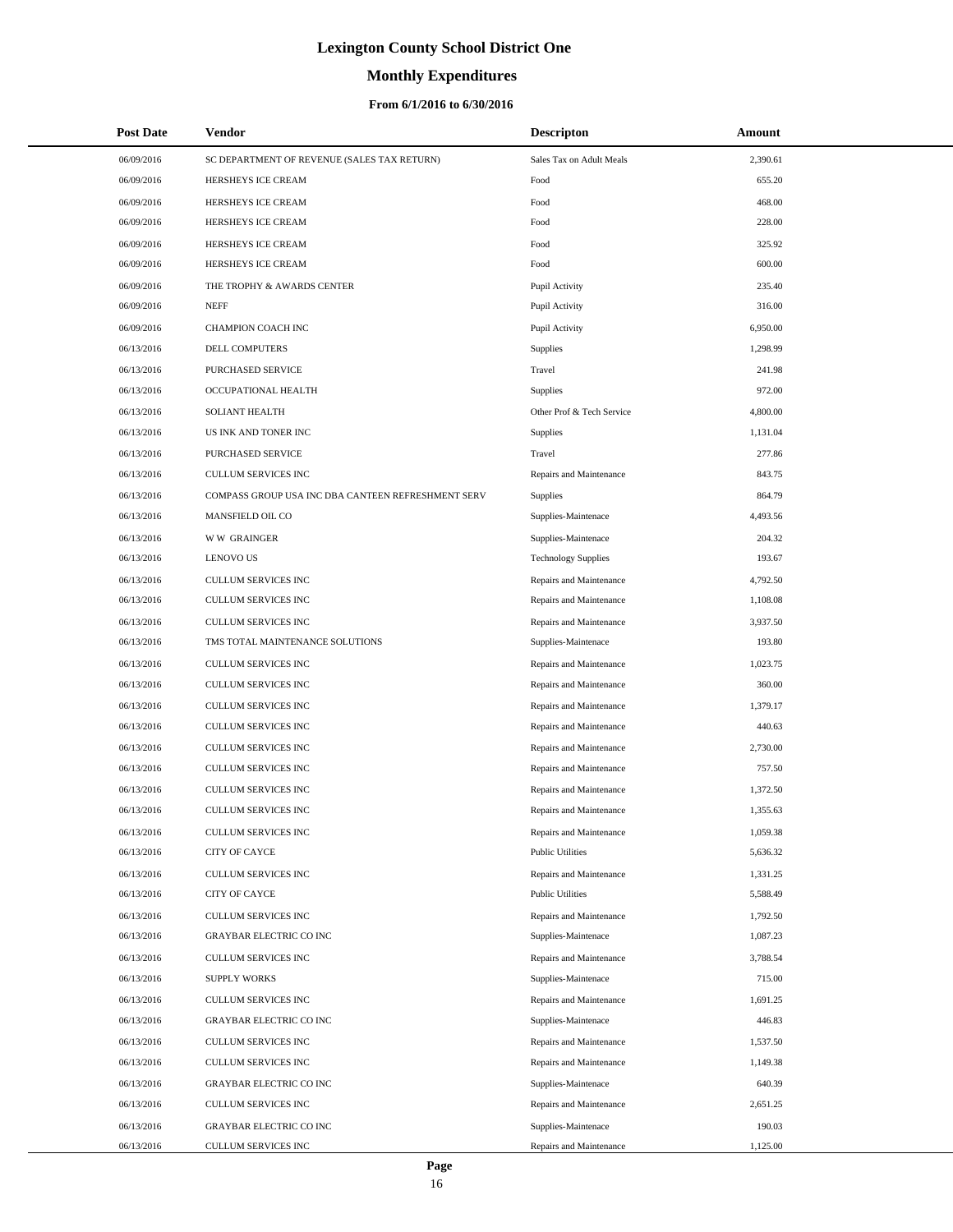# **Monthly Expenditures**

### **From 6/1/2016 to 6/30/2016**

| <b>Post Date</b> | Vendor                                             | <b>Descripton</b>          | Amount   |
|------------------|----------------------------------------------------|----------------------------|----------|
| 06/09/2016       | SC DEPARTMENT OF REVENUE (SALES TAX RETURN)        | Sales Tax on Adult Meals   | 2,390.61 |
| 06/09/2016       | HERSHEYS ICE CREAM                                 | Food                       | 655.20   |
| 06/09/2016       | HERSHEYS ICE CREAM                                 | Food                       | 468.00   |
| 06/09/2016       | HERSHEYS ICE CREAM                                 | Food                       | 228.00   |
| 06/09/2016       | HERSHEYS ICE CREAM                                 | Food                       | 325.92   |
| 06/09/2016       | HERSHEYS ICE CREAM                                 | Food                       | 600.00   |
| 06/09/2016       | THE TROPHY & AWARDS CENTER                         | Pupil Activity             | 235.40   |
| 06/09/2016       | <b>NEFF</b>                                        | Pupil Activity             | 316.00   |
| 06/09/2016       | CHAMPION COACH INC                                 | Pupil Activity             | 6,950.00 |
| 06/13/2016       | <b>DELL COMPUTERS</b>                              | Supplies                   | 1,298.99 |
| 06/13/2016       | PURCHASED SERVICE                                  | Travel                     | 241.98   |
| 06/13/2016       | OCCUPATIONAL HEALTH                                | Supplies                   | 972.00   |
| 06/13/2016       | SOLIANT HEALTH                                     | Other Prof & Tech Service  | 4,800.00 |
| 06/13/2016       | US INK AND TONER INC                               | Supplies                   | 1,131.04 |
| 06/13/2016       | PURCHASED SERVICE                                  | Travel                     | 277.86   |
| 06/13/2016       | <b>CULLUM SERVICES INC</b>                         | Repairs and Maintenance    | 843.75   |
| 06/13/2016       | COMPASS GROUP USA INC DBA CANTEEN REFRESHMENT SERV | <b>Supplies</b>            | 864.79   |
| 06/13/2016       | MANSFIELD OIL CO                                   | Supplies-Maintenace        | 4,493.56 |
| 06/13/2016       | <b>WW GRAINGER</b>                                 | Supplies-Maintenace        | 204.32   |
| 06/13/2016       | <b>LENOVO US</b>                                   | <b>Technology Supplies</b> | 193.67   |
| 06/13/2016       | CULLUM SERVICES INC                                | Repairs and Maintenance    | 4,792.50 |
| 06/13/2016       | CULLUM SERVICES INC                                | Repairs and Maintenance    | 1,108.08 |
| 06/13/2016       | CULLUM SERVICES INC                                | Repairs and Maintenance    | 3,937.50 |
| 06/13/2016       | TMS TOTAL MAINTENANCE SOLUTIONS                    | Supplies-Maintenace        | 193.80   |
| 06/13/2016       | CULLUM SERVICES INC                                | Repairs and Maintenance    | 1,023.75 |
| 06/13/2016       | CULLUM SERVICES INC                                | Repairs and Maintenance    | 360.00   |
| 06/13/2016       | CULLUM SERVICES INC                                | Repairs and Maintenance    | 1,379.17 |
| 06/13/2016       | <b>CULLUM SERVICES INC</b>                         | Repairs and Maintenance    | 440.63   |
| 06/13/2016       | CULLUM SERVICES INC                                | Repairs and Maintenance    | 2,730.00 |
| 06/13/2016       | <b>CULLUM SERVICES INC</b>                         | Repairs and Maintenance    | 757.50   |
| 06/13/2016       | CULLUM SERVICES INC                                | Repairs and Maintenance    | 1,372.50 |
| 06/13/2016       | <b>CULLUM SERVICES INC</b>                         | Repairs and Maintenance    | 1,355.63 |
| 06/13/2016       | CULLUM SERVICES INC                                | Repairs and Maintenance    | 1,059.38 |
| 06/13/2016       | <b>CITY OF CAYCE</b>                               | <b>Public Utilities</b>    | 5,636.32 |
| 06/13/2016       | CULLUM SERVICES INC                                | Repairs and Maintenance    | 1,331.25 |
| 06/13/2016       | CITY OF CAYCE                                      | <b>Public Utilities</b>    | 5,588.49 |
| 06/13/2016       | CULLUM SERVICES INC                                | Repairs and Maintenance    | 1,792.50 |
| 06/13/2016       | GRAYBAR ELECTRIC CO INC                            | Supplies-Maintenace        | 1,087.23 |
| 06/13/2016       | CULLUM SERVICES INC                                | Repairs and Maintenance    | 3,788.54 |
| 06/13/2016       | <b>SUPPLY WORKS</b>                                | Supplies-Maintenace        | 715.00   |
| 06/13/2016       | CULLUM SERVICES INC                                | Repairs and Maintenance    | 1,691.25 |
| 06/13/2016       | <b>GRAYBAR ELECTRIC CO INC</b>                     | Supplies-Maintenace        | 446.83   |
| 06/13/2016       | CULLUM SERVICES INC                                | Repairs and Maintenance    | 1,537.50 |
| 06/13/2016       | CULLUM SERVICES INC                                | Repairs and Maintenance    | 1,149.38 |
| 06/13/2016       | <b>GRAYBAR ELECTRIC CO INC</b>                     | Supplies-Maintenace        | 640.39   |
| 06/13/2016       | CULLUM SERVICES INC                                | Repairs and Maintenance    | 2,651.25 |
| 06/13/2016       | GRAYBAR ELECTRIC CO INC                            | Supplies-Maintenace        | 190.03   |
| 06/13/2016       | CULLUM SERVICES INC                                | Repairs and Maintenance    | 1,125.00 |

L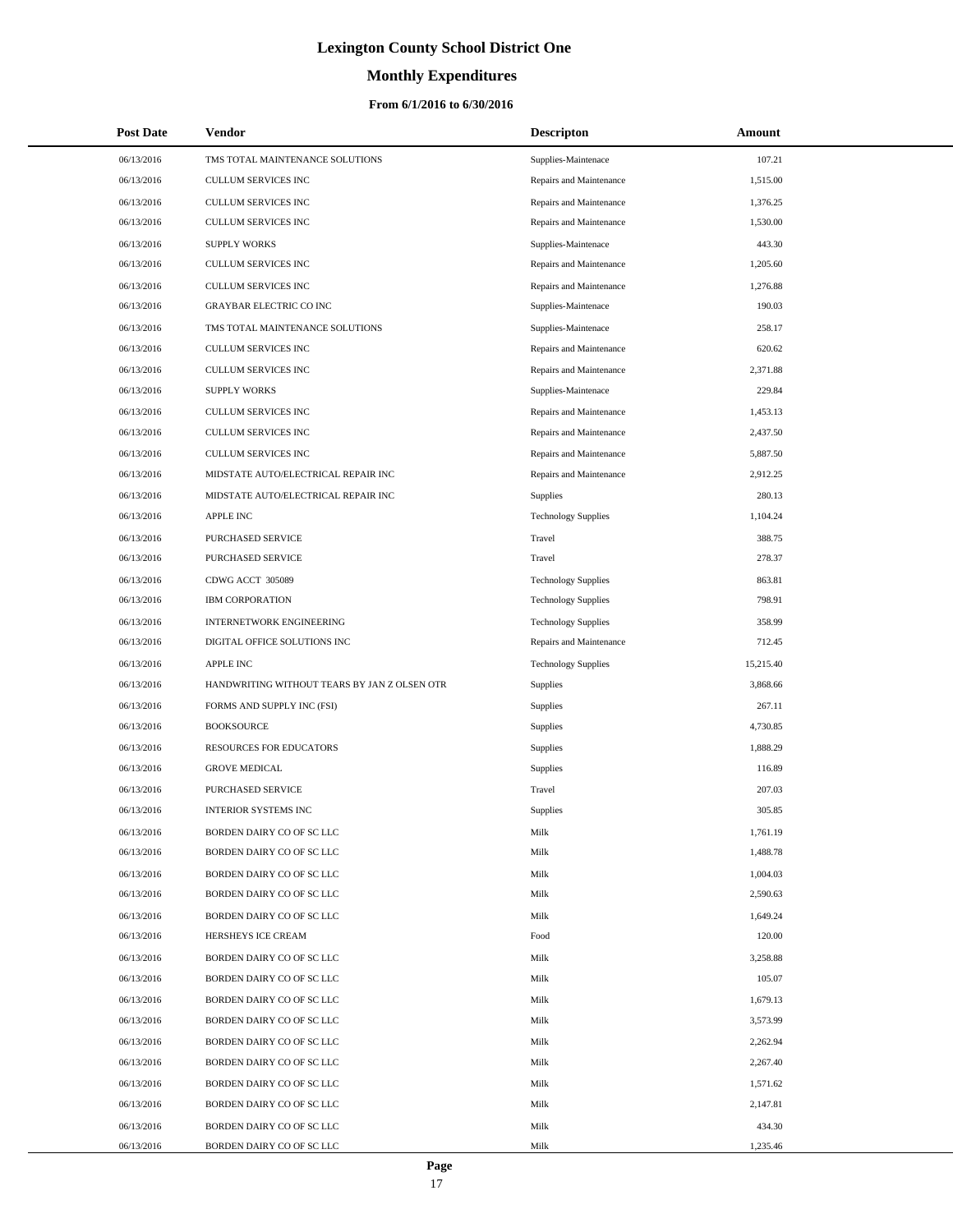# **Monthly Expenditures**

### **From 6/1/2016 to 6/30/2016**

| <b>Post Date</b> | Vendor                                       | <b>Descripton</b>          | Amount    |
|------------------|----------------------------------------------|----------------------------|-----------|
| 06/13/2016       | TMS TOTAL MAINTENANCE SOLUTIONS              | Supplies-Maintenace        | 107.21    |
| 06/13/2016       | CULLUM SERVICES INC                          | Repairs and Maintenance    | 1,515.00  |
| 06/13/2016       | CULLUM SERVICES INC                          | Repairs and Maintenance    | 1,376.25  |
| 06/13/2016       | CULLUM SERVICES INC                          | Repairs and Maintenance    | 1,530.00  |
| 06/13/2016       | <b>SUPPLY WORKS</b>                          | Supplies-Maintenace        | 443.30    |
| 06/13/2016       | CULLUM SERVICES INC                          | Repairs and Maintenance    | 1,205.60  |
| 06/13/2016       | CULLUM SERVICES INC                          | Repairs and Maintenance    | 1,276.88  |
| 06/13/2016       | <b>GRAYBAR ELECTRIC CO INC</b>               | Supplies-Maintenace        | 190.03    |
| 06/13/2016       | TMS TOTAL MAINTENANCE SOLUTIONS              | Supplies-Maintenace        | 258.17    |
| 06/13/2016       | CULLUM SERVICES INC                          | Repairs and Maintenance    | 620.62    |
| 06/13/2016       | CULLUM SERVICES INC                          | Repairs and Maintenance    | 2,371.88  |
| 06/13/2016       | <b>SUPPLY WORKS</b>                          | Supplies-Maintenace        | 229.84    |
| 06/13/2016       | CULLUM SERVICES INC                          | Repairs and Maintenance    | 1,453.13  |
| 06/13/2016       | CULLUM SERVICES INC                          | Repairs and Maintenance    | 2,437.50  |
| 06/13/2016       | CULLUM SERVICES INC                          | Repairs and Maintenance    | 5,887.50  |
| 06/13/2016       | MIDSTATE AUTO/ELECTRICAL REPAIR INC          | Repairs and Maintenance    | 2,912.25  |
| 06/13/2016       | MIDSTATE AUTO/ELECTRICAL REPAIR INC          | Supplies                   | 280.13    |
| 06/13/2016       | <b>APPLE INC</b>                             | <b>Technology Supplies</b> | 1,104.24  |
| 06/13/2016       | PURCHASED SERVICE                            | Travel                     | 388.75    |
| 06/13/2016       | PURCHASED SERVICE                            | Travel                     | 278.37    |
| 06/13/2016       | CDWG ACCT 305089                             | <b>Technology Supplies</b> | 863.81    |
| 06/13/2016       | <b>IBM CORPORATION</b>                       | <b>Technology Supplies</b> | 798.91    |
| 06/13/2016       | <b>INTERNETWORK ENGINEERING</b>              | <b>Technology Supplies</b> | 358.99    |
| 06/13/2016       | DIGITAL OFFICE SOLUTIONS INC                 | Repairs and Maintenance    | 712.45    |
| 06/13/2016       | <b>APPLE INC</b>                             | <b>Technology Supplies</b> | 15,215.40 |
| 06/13/2016       | HANDWRITING WITHOUT TEARS BY JAN Z OLSEN OTR | Supplies                   | 3,868.66  |
| 06/13/2016       | FORMS AND SUPPLY INC (FSI)                   | Supplies                   | 267.11    |
| 06/13/2016       | <b>BOOKSOURCE</b>                            | Supplies                   | 4,730.85  |
| 06/13/2016       | RESOURCES FOR EDUCATORS                      | Supplies                   | 1,888.29  |
| 06/13/2016       | <b>GROVE MEDICAL</b>                         | Supplies                   | 116.89    |
| 06/13/2016       | <b>PURCHASED SERVICE</b>                     | Travel                     | 207.03    |
| 06/13/2016       | <b>INTERIOR SYSTEMS INC</b>                  | Supplies                   | 305.85    |
| 06/13/2016       | BORDEN DAIRY CO OF SC LLC                    | Milk                       | 1,761.19  |
| 06/13/2016       | BORDEN DAIRY CO OF SC LLC                    | Milk                       | 1,488.78  |
| 06/13/2016       | BORDEN DAIRY CO OF SC LLC                    | Milk                       | 1,004.03  |
| 06/13/2016       | BORDEN DAIRY CO OF SC LLC                    | Milk                       | 2,590.63  |
| 06/13/2016       | BORDEN DAIRY CO OF SC LLC                    | Milk                       | 1,649.24  |
| 06/13/2016       | HERSHEYS ICE CREAM                           | Food                       | 120.00    |
| 06/13/2016       | BORDEN DAIRY CO OF SC LLC                    | Milk                       | 3,258.88  |
| 06/13/2016       | BORDEN DAIRY CO OF SC LLC                    | Milk                       | 105.07    |
| 06/13/2016       | BORDEN DAIRY CO OF SC LLC                    | Milk                       | 1,679.13  |
| 06/13/2016       | BORDEN DAIRY CO OF SC LLC                    | Milk                       | 3,573.99  |
| 06/13/2016       | BORDEN DAIRY CO OF SC LLC                    | Milk                       | 2,262.94  |
| 06/13/2016       | BORDEN DAIRY CO OF SC LLC                    | Milk                       | 2,267.40  |
| 06/13/2016       | BORDEN DAIRY CO OF SC LLC                    | Milk                       | 1,571.62  |
| 06/13/2016       | BORDEN DAIRY CO OF SC LLC                    | Milk                       | 2,147.81  |
| 06/13/2016       | BORDEN DAIRY CO OF SC LLC                    | Milk                       | 434.30    |
| 06/13/2016       | BORDEN DAIRY CO OF SC LLC                    | Milk                       | 1,235.46  |

 $\overline{a}$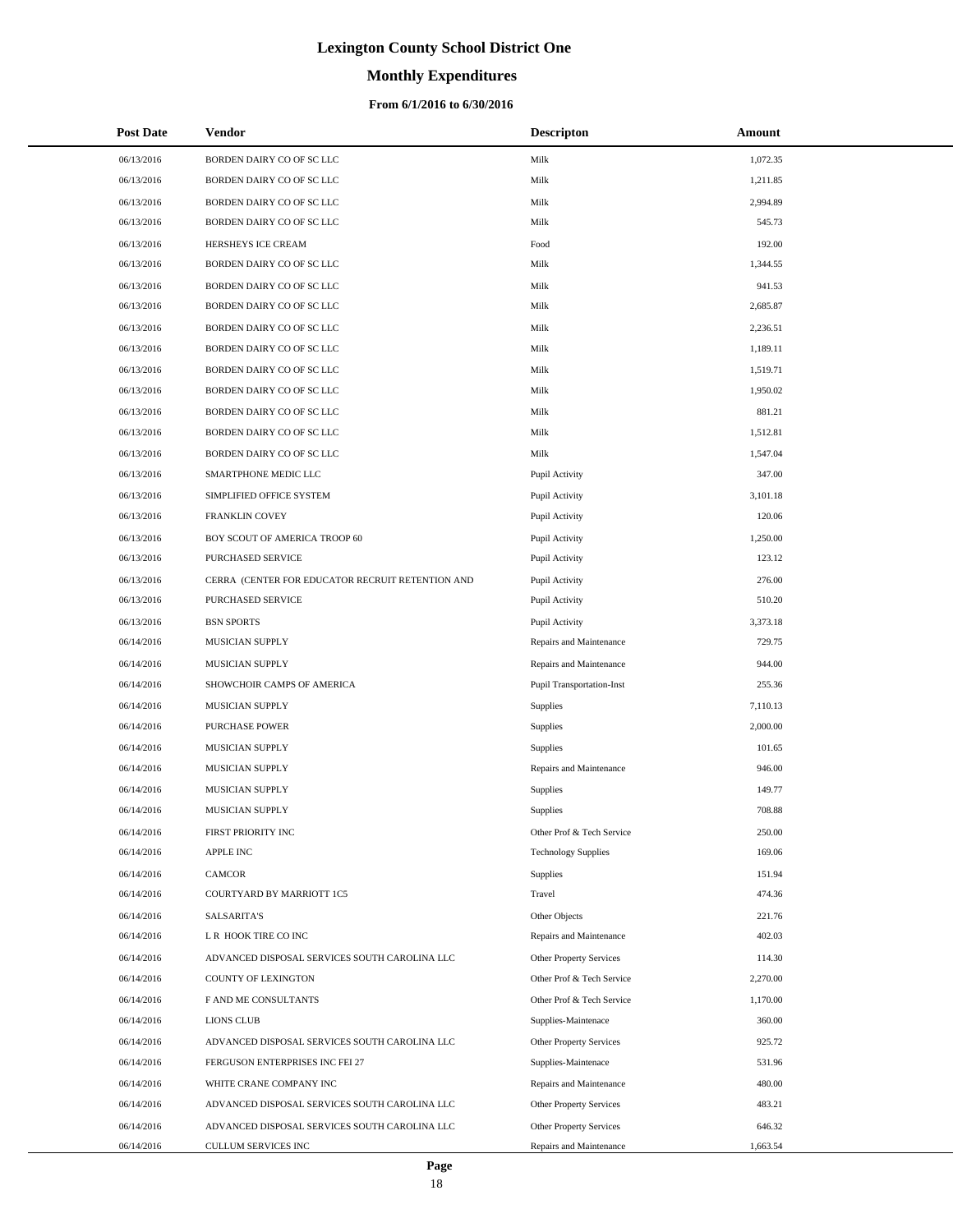# **Monthly Expenditures**

| <b>Post Date</b> | Vendor                                           | <b>Descripton</b>                | Amount   |
|------------------|--------------------------------------------------|----------------------------------|----------|
| 06/13/2016       | BORDEN DAIRY CO OF SC LLC                        | Milk                             | 1,072.35 |
| 06/13/2016       | BORDEN DAIRY CO OF SC LLC                        | Milk                             | 1,211.85 |
| 06/13/2016       | BORDEN DAIRY CO OF SC LLC                        | Milk                             | 2,994.89 |
| 06/13/2016       | BORDEN DAIRY CO OF SC LLC                        | Milk                             | 545.73   |
| 06/13/2016       | HERSHEYS ICE CREAM                               | Food                             | 192.00   |
| 06/13/2016       | BORDEN DAIRY CO OF SC LLC                        | Milk                             | 1,344.55 |
| 06/13/2016       | BORDEN DAIRY CO OF SC LLC                        | Milk                             | 941.53   |
| 06/13/2016       | BORDEN DAIRY CO OF SC LLC                        | Milk                             | 2,685.87 |
| 06/13/2016       | BORDEN DAIRY CO OF SC LLC                        | Milk                             | 2,236.51 |
| 06/13/2016       | BORDEN DAIRY CO OF SC LLC                        | Milk                             | 1,189.11 |
| 06/13/2016       | BORDEN DAIRY CO OF SC LLC                        | Milk                             | 1,519.71 |
| 06/13/2016       | BORDEN DAIRY CO OF SC LLC                        | Milk                             | 1,950.02 |
| 06/13/2016       | BORDEN DAIRY CO OF SC LLC                        | Milk                             | 881.21   |
| 06/13/2016       | BORDEN DAIRY CO OF SC LLC                        | Milk                             | 1,512.81 |
| 06/13/2016       | BORDEN DAIRY CO OF SC LLC                        | Milk                             | 1,547.04 |
| 06/13/2016       | SMARTPHONE MEDIC LLC                             | Pupil Activity                   | 347.00   |
| 06/13/2016       | SIMPLIFIED OFFICE SYSTEM                         | Pupil Activity                   | 3,101.18 |
| 06/13/2016       | FRANKLIN COVEY                                   | Pupil Activity                   | 120.06   |
| 06/13/2016       | BOY SCOUT OF AMERICA TROOP 60                    | Pupil Activity                   | 1,250.00 |
| 06/13/2016       | PURCHASED SERVICE                                | Pupil Activity                   | 123.12   |
| 06/13/2016       | CERRA (CENTER FOR EDUCATOR RECRUIT RETENTION AND | Pupil Activity                   | 276.00   |
| 06/13/2016       | PURCHASED SERVICE                                | Pupil Activity                   | 510.20   |
| 06/13/2016       | <b>BSN SPORTS</b>                                | Pupil Activity                   | 3,373.18 |
| 06/14/2016       | MUSICIAN SUPPLY                                  | Repairs and Maintenance          | 729.75   |
| 06/14/2016       | MUSICIAN SUPPLY                                  | Repairs and Maintenance          | 944.00   |
| 06/14/2016       | SHOWCHOIR CAMPS OF AMERICA                       | <b>Pupil Transportation-Inst</b> | 255.36   |
| 06/14/2016       | MUSICIAN SUPPLY                                  | Supplies                         | 7,110.13 |
| 06/14/2016       | PURCHASE POWER                                   | Supplies                         | 2,000.00 |
| 06/14/2016       | MUSICIAN SUPPLY                                  | Supplies                         | 101.65   |
| 06/14/2016       | MUSICIAN SUPPLY                                  | Repairs and Maintenance          | 946.00   |
| 06/14/2016       | MUSICIAN SUPPLY                                  | Supplies                         | 149.77   |
| 06/14/2016       | MUSICIAN SUPPLY                                  | Supplies                         | 708.88   |
| 06/14/2016       | FIRST PRIORITY INC                               | Other Prof & Tech Service        | 250.00   |
| 06/14/2016       | <b>APPLE INC</b>                                 | <b>Technology Supplies</b>       | 169.06   |
| 06/14/2016       | <b>CAMCOR</b>                                    | Supplies                         | 151.94   |
| 06/14/2016       | COURTYARD BY MARRIOTT 1C5                        | Travel                           | 474.36   |
| 06/14/2016       | <b>SALSARITA'S</b>                               | Other Objects                    | 221.76   |
| 06/14/2016       | L R HOOK TIRE CO INC                             | Repairs and Maintenance          | 402.03   |
| 06/14/2016       | ADVANCED DISPOSAL SERVICES SOUTH CAROLINA LLC    | <b>Other Property Services</b>   | 114.30   |
| 06/14/2016       | <b>COUNTY OF LEXINGTON</b>                       | Other Prof & Tech Service        | 2,270.00 |
| 06/14/2016       | F AND ME CONSULTANTS                             | Other Prof & Tech Service        | 1,170.00 |
| 06/14/2016       | <b>LIONS CLUB</b>                                | Supplies-Maintenace              | 360.00   |
| 06/14/2016       | ADVANCED DISPOSAL SERVICES SOUTH CAROLINA LLC    | Other Property Services          | 925.72   |
| 06/14/2016       | FERGUSON ENTERPRISES INC FEI 27                  | Supplies-Maintenace              | 531.96   |
| 06/14/2016       | WHITE CRANE COMPANY INC                          | Repairs and Maintenance          | 480.00   |
| 06/14/2016       | ADVANCED DISPOSAL SERVICES SOUTH CAROLINA LLC    | <b>Other Property Services</b>   | 483.21   |
| 06/14/2016       | ADVANCED DISPOSAL SERVICES SOUTH CAROLINA LLC    | <b>Other Property Services</b>   | 646.32   |
| 06/14/2016       | CULLUM SERVICES INC                              | Repairs and Maintenance          | 1,663.54 |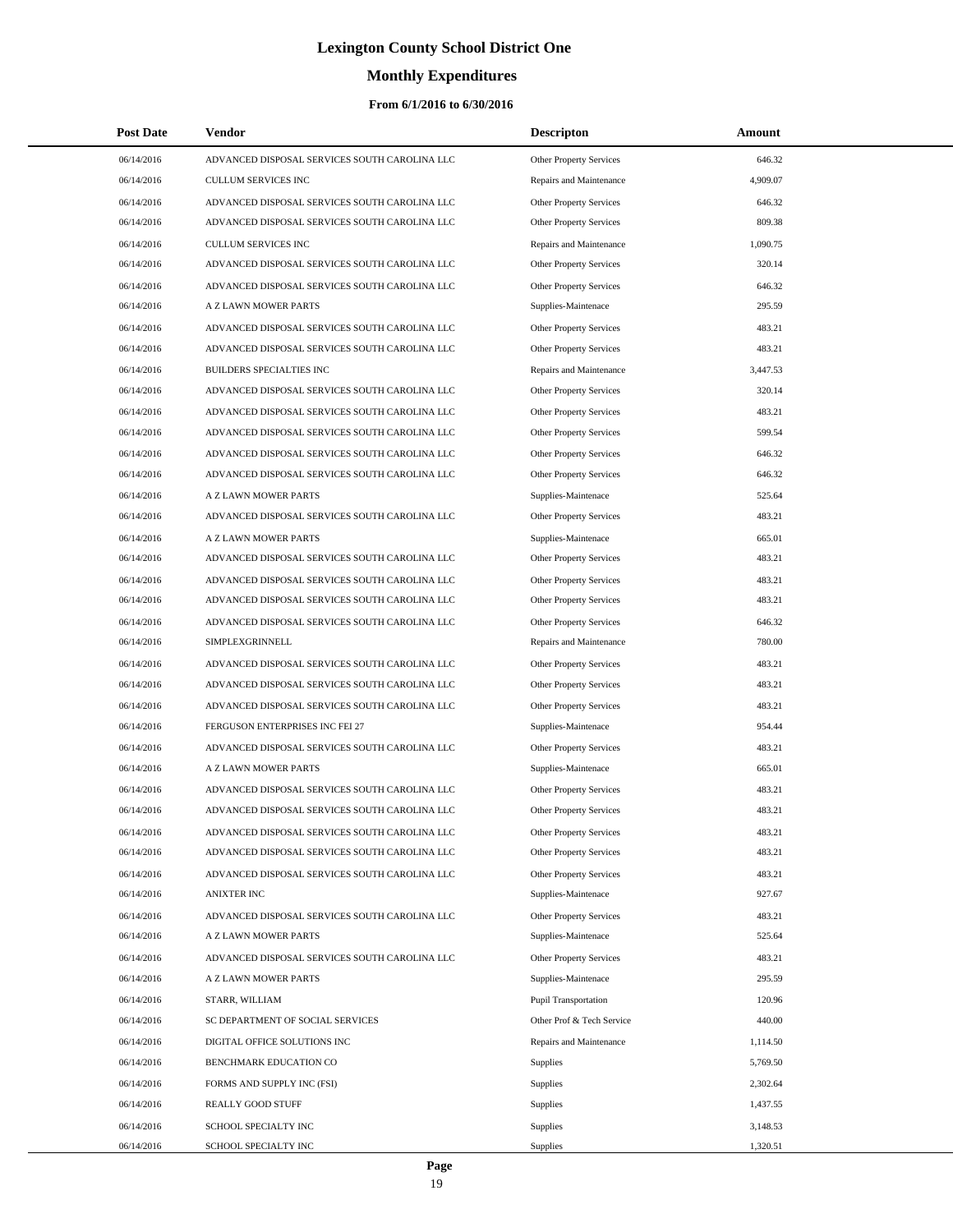# **Monthly Expenditures**

| <b>Post Date</b> | Vendor                                        | <b>Descripton</b>              | Amount   |
|------------------|-----------------------------------------------|--------------------------------|----------|
| 06/14/2016       | ADVANCED DISPOSAL SERVICES SOUTH CAROLINA LLC | Other Property Services        | 646.32   |
| 06/14/2016       | CULLUM SERVICES INC                           | Repairs and Maintenance        | 4,909.07 |
| 06/14/2016       | ADVANCED DISPOSAL SERVICES SOUTH CAROLINA LLC | <b>Other Property Services</b> | 646.32   |
| 06/14/2016       | ADVANCED DISPOSAL SERVICES SOUTH CAROLINA LLC | Other Property Services        | 809.38   |
| 06/14/2016       | <b>CULLUM SERVICES INC</b>                    | Repairs and Maintenance        | 1,090.75 |
| 06/14/2016       | ADVANCED DISPOSAL SERVICES SOUTH CAROLINA LLC | Other Property Services        | 320.14   |
| 06/14/2016       | ADVANCED DISPOSAL SERVICES SOUTH CAROLINA LLC | Other Property Services        | 646.32   |
| 06/14/2016       | A Z LAWN MOWER PARTS                          | Supplies-Maintenace            | 295.59   |
| 06/14/2016       | ADVANCED DISPOSAL SERVICES SOUTH CAROLINA LLC | Other Property Services        | 483.21   |
| 06/14/2016       | ADVANCED DISPOSAL SERVICES SOUTH CAROLINA LLC | <b>Other Property Services</b> | 483.21   |
| 06/14/2016       | BUILDERS SPECIALTIES INC                      | Repairs and Maintenance        | 3,447.53 |
| 06/14/2016       | ADVANCED DISPOSAL SERVICES SOUTH CAROLINA LLC | Other Property Services        | 320.14   |
| 06/14/2016       | ADVANCED DISPOSAL SERVICES SOUTH CAROLINA LLC | Other Property Services        | 483.21   |
| 06/14/2016       | ADVANCED DISPOSAL SERVICES SOUTH CAROLINA LLC | Other Property Services        | 599.54   |
| 06/14/2016       | ADVANCED DISPOSAL SERVICES SOUTH CAROLINA LLC | Other Property Services        | 646.32   |
| 06/14/2016       | ADVANCED DISPOSAL SERVICES SOUTH CAROLINA LLC | Other Property Services        | 646.32   |
| 06/14/2016       | A Z LAWN MOWER PARTS                          | Supplies-Maintenace            | 525.64   |
| 06/14/2016       | ADVANCED DISPOSAL SERVICES SOUTH CAROLINA LLC | Other Property Services        | 483.21   |
| 06/14/2016       | A Z LAWN MOWER PARTS                          | Supplies-Maintenace            | 665.01   |
| 06/14/2016       | ADVANCED DISPOSAL SERVICES SOUTH CAROLINA LLC | Other Property Services        | 483.21   |
| 06/14/2016       | ADVANCED DISPOSAL SERVICES SOUTH CAROLINA LLC | Other Property Services        | 483.21   |
| 06/14/2016       | ADVANCED DISPOSAL SERVICES SOUTH CAROLINA LLC | Other Property Services        | 483.21   |
| 06/14/2016       | ADVANCED DISPOSAL SERVICES SOUTH CAROLINA LLC | Other Property Services        | 646.32   |
| 06/14/2016       | SIMPLEXGRINNELL                               | Repairs and Maintenance        | 780.00   |
| 06/14/2016       | ADVANCED DISPOSAL SERVICES SOUTH CAROLINA LLC | Other Property Services        | 483.21   |
| 06/14/2016       | ADVANCED DISPOSAL SERVICES SOUTH CAROLINA LLC | Other Property Services        | 483.21   |
| 06/14/2016       | ADVANCED DISPOSAL SERVICES SOUTH CAROLINA LLC | Other Property Services        | 483.21   |
| 06/14/2016       | FERGUSON ENTERPRISES INC FEI 27               | Supplies-Maintenace            | 954.44   |
| 06/14/2016       | ADVANCED DISPOSAL SERVICES SOUTH CAROLINA LLC | Other Property Services        | 483.21   |
| 06/14/2016       | A Z LAWN MOWER PARTS                          | Supplies-Maintenace            | 665.01   |
| 06/14/2016       | ADVANCED DISPOSAL SERVICES SOUTH CAROLINA LLC | Other Property Services        | 483.21   |
| 06/14/2016       | ADVANCED DISPOSAL SERVICES SOUTH CAROLINA LLC | <b>Other Property Services</b> | 483.21   |
| 06/14/2016       | ADVANCED DISPOSAL SERVICES SOUTH CAROLINA LLC | Other Property Services        | 483.21   |
| 06/14/2016       | ADVANCED DISPOSAL SERVICES SOUTH CAROLINA LLC | Other Property Services        | 483.21   |
| 06/14/2016       | ADVANCED DISPOSAL SERVICES SOUTH CAROLINA LLC | Other Property Services        | 483.21   |
| 06/14/2016       | <b>ANIXTER INC</b>                            | Supplies-Maintenace            | 927.67   |
| 06/14/2016       | ADVANCED DISPOSAL SERVICES SOUTH CAROLINA LLC | Other Property Services        | 483.21   |
| 06/14/2016       | A Z LAWN MOWER PARTS                          | Supplies-Maintenace            | 525.64   |
| 06/14/2016       | ADVANCED DISPOSAL SERVICES SOUTH CAROLINA LLC | <b>Other Property Services</b> | 483.21   |
| 06/14/2016       | A Z LAWN MOWER PARTS                          | Supplies-Maintenace            | 295.59   |
| 06/14/2016       | STARR, WILLIAM                                | <b>Pupil Transportation</b>    | 120.96   |
| 06/14/2016       | SC DEPARTMENT OF SOCIAL SERVICES              | Other Prof & Tech Service      | 440.00   |
| 06/14/2016       | DIGITAL OFFICE SOLUTIONS INC                  | Repairs and Maintenance        | 1,114.50 |
| 06/14/2016       | BENCHMARK EDUCATION CO                        | <b>Supplies</b>                | 5,769.50 |
| 06/14/2016       | FORMS AND SUPPLY INC (FSI)                    | <b>Supplies</b>                | 2,302.64 |
| 06/14/2016       | REALLY GOOD STUFF                             | Supplies                       | 1,437.55 |
| 06/14/2016       | SCHOOL SPECIALTY INC                          | Supplies                       | 3,148.53 |
| 06/14/2016       | SCHOOL SPECIALTY INC                          | <b>Supplies</b>                | 1,320.51 |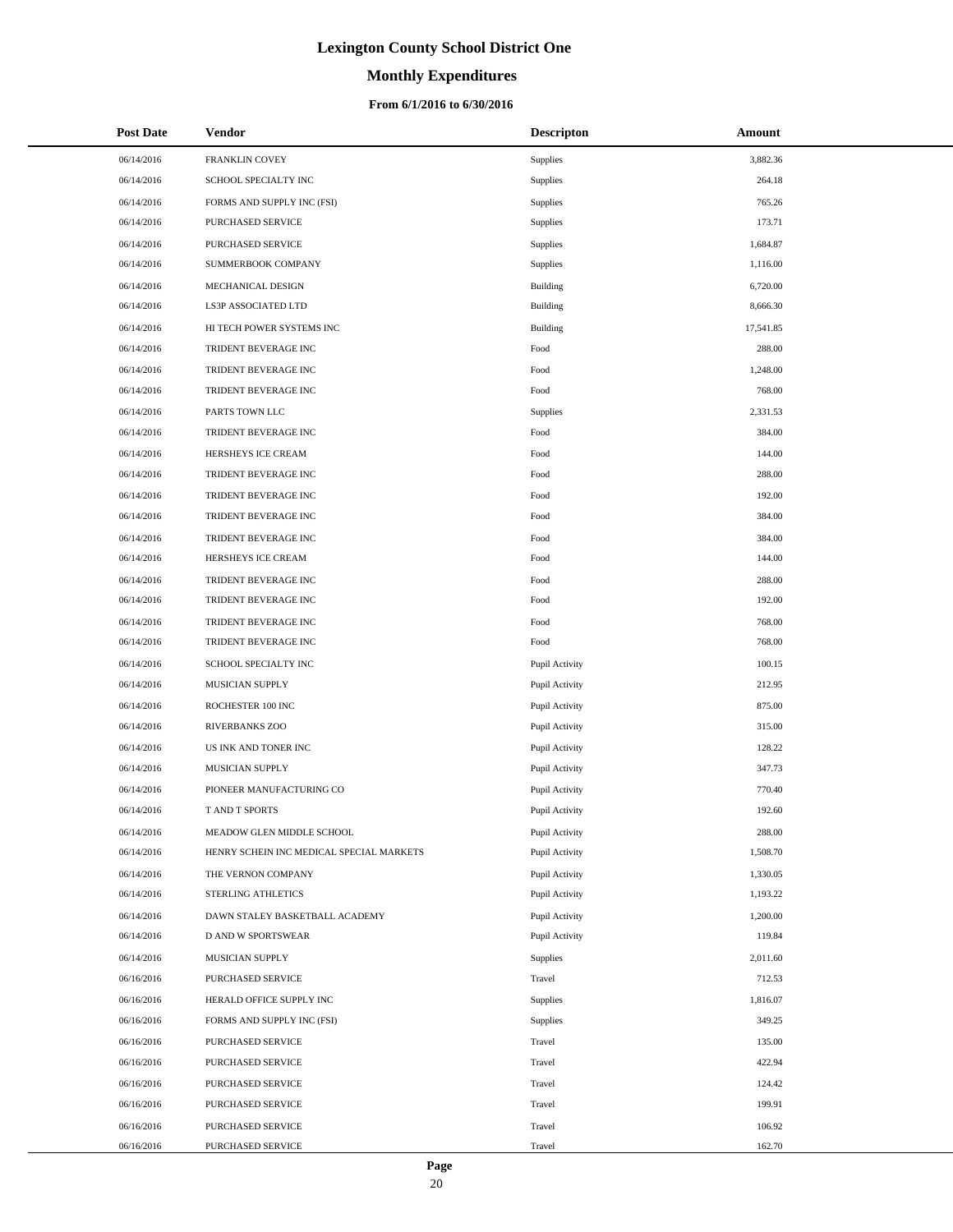# **Monthly Expenditures**

| <b>Post Date</b> | <b>Vendor</b>                            | <b>Descripton</b> | Amount    |
|------------------|------------------------------------------|-------------------|-----------|
| 06/14/2016       | FRANKLIN COVEY                           | Supplies          | 3,882.36  |
| 06/14/2016       | SCHOOL SPECIALTY INC                     | Supplies          | 264.18    |
| 06/14/2016       | FORMS AND SUPPLY INC (FSI)               | Supplies          | 765.26    |
| 06/14/2016       | <b>PURCHASED SERVICE</b>                 | Supplies          | 173.71    |
| 06/14/2016       | PURCHASED SERVICE                        | Supplies          | 1,684.87  |
| 06/14/2016       | SUMMERBOOK COMPANY                       | Supplies          | 1,116.00  |
| 06/14/2016       | MECHANICAL DESIGN                        | <b>Building</b>   | 6,720.00  |
| 06/14/2016       | LS3P ASSOCIATED LTD                      | Building          | 8,666.30  |
| 06/14/2016       | HI TECH POWER SYSTEMS INC                | Building          | 17,541.85 |
| 06/14/2016       | TRIDENT BEVERAGE INC                     | Food              | 288.00    |
| 06/14/2016       | TRIDENT BEVERAGE INC                     | Food              | 1,248.00  |
| 06/14/2016       | TRIDENT BEVERAGE INC                     | Food              | 768.00    |
| 06/14/2016       | PARTS TOWN LLC                           | Supplies          | 2,331.53  |
| 06/14/2016       | TRIDENT BEVERAGE INC                     | Food              | 384.00    |
| 06/14/2016       | HERSHEYS ICE CREAM                       | Food              | 144.00    |
| 06/14/2016       | TRIDENT BEVERAGE INC                     | Food              | 288.00    |
| 06/14/2016       | TRIDENT BEVERAGE INC                     | Food              | 192.00    |
| 06/14/2016       | TRIDENT BEVERAGE INC                     | Food              | 384.00    |
| 06/14/2016       | TRIDENT BEVERAGE INC                     | Food              | 384.00    |
| 06/14/2016       | HERSHEYS ICE CREAM                       | Food              | 144.00    |
| 06/14/2016       | TRIDENT BEVERAGE INC                     | Food              | 288.00    |
| 06/14/2016       | TRIDENT BEVERAGE INC                     | Food              | 192.00    |
| 06/14/2016       | TRIDENT BEVERAGE INC                     | Food              | 768.00    |
| 06/14/2016       | TRIDENT BEVERAGE INC                     | Food              | 768.00    |
| 06/14/2016       | SCHOOL SPECIALTY INC                     | Pupil Activity    | 100.15    |
| 06/14/2016       | MUSICIAN SUPPLY                          | Pupil Activity    | 212.95    |
| 06/14/2016       | ROCHESTER 100 INC                        | Pupil Activity    | 875.00    |
| 06/14/2016       | <b>RIVERBANKS ZOO</b>                    | Pupil Activity    | 315.00    |
| 06/14/2016       | US INK AND TONER INC                     | Pupil Activity    | 128.22    |
| 06/14/2016       | MUSICIAN SUPPLY                          | Pupil Activity    | 347.73    |
| 06/14/2016       | PIONEER MANUFACTURING CO                 | Pupil Activity    | 770.40    |
| 06/14/2016       | T AND T SPORTS                           | Pupil Activity    | 192.60    |
| 06/14/2016       | MEADOW GLEN MIDDLE SCHOOL                | Pupil Activity    | 288.00    |
| 06/14/2016       | HENRY SCHEIN INC MEDICAL SPECIAL MARKETS | Pupil Activity    | 1,508.70  |
| 06/14/2016       | THE VERNON COMPANY                       | Pupil Activity    | 1,330.05  |
| 06/14/2016       | STERLING ATHLETICS                       | Pupil Activity    | 1,193.22  |
| 06/14/2016       | DAWN STALEY BASKETBALL ACADEMY           | Pupil Activity    | 1,200.00  |
| 06/14/2016       | D AND W SPORTSWEAR                       | Pupil Activity    | 119.84    |
| 06/14/2016       | MUSICIAN SUPPLY                          | Supplies          | 2,011.60  |
| 06/16/2016       | PURCHASED SERVICE                        | Travel            | 712.53    |
| 06/16/2016       | HERALD OFFICE SUPPLY INC                 | Supplies          | 1,816.07  |
| 06/16/2016       | FORMS AND SUPPLY INC (FSI)               | Supplies          | 349.25    |
| 06/16/2016       | PURCHASED SERVICE                        | Travel            | 135.00    |
| 06/16/2016       | PURCHASED SERVICE                        | Travel            | 422.94    |
| 06/16/2016       | PURCHASED SERVICE                        | Travel            | 124.42    |
| 06/16/2016       | PURCHASED SERVICE                        | Travel            | 199.91    |
| 06/16/2016       | PURCHASED SERVICE                        | Travel            | 106.92    |
| 06/16/2016       | PURCHASED SERVICE                        | Travel            | 162.70    |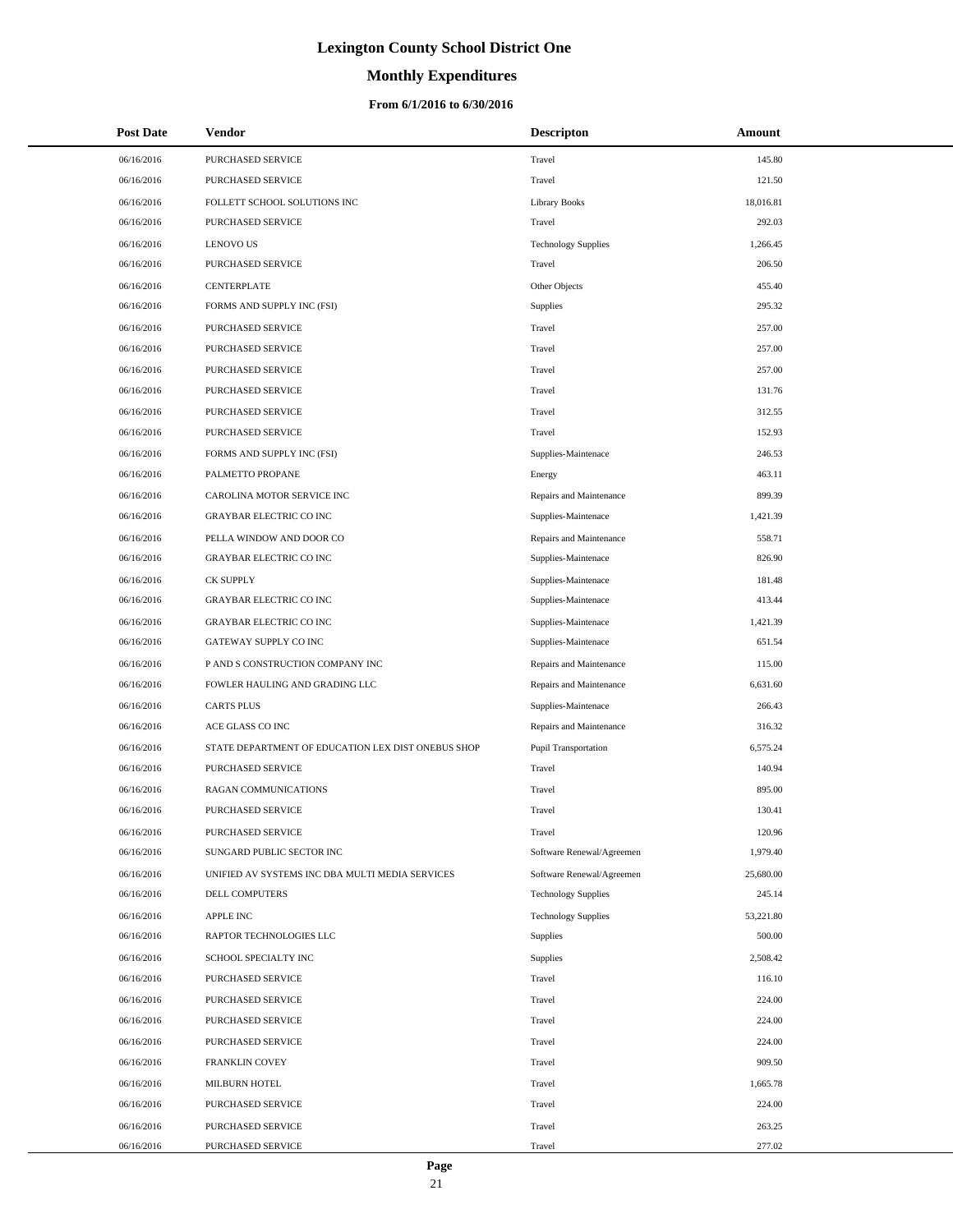# **Monthly Expenditures**

### **From 6/1/2016 to 6/30/2016**

| <b>Post Date</b> | <b>Vendor</b>                                      | <b>Descripton</b>          | Amount    |
|------------------|----------------------------------------------------|----------------------------|-----------|
| 06/16/2016       | PURCHASED SERVICE                                  | Travel                     | 145.80    |
| 06/16/2016       | PURCHASED SERVICE                                  | Travel                     | 121.50    |
| 06/16/2016       | FOLLETT SCHOOL SOLUTIONS INC                       | Library Books              | 18,016.81 |
| 06/16/2016       | PURCHASED SERVICE                                  | Travel                     | 292.03    |
| 06/16/2016       | <b>LENOVO US</b>                                   | <b>Technology Supplies</b> | 1,266.45  |
| 06/16/2016       | PURCHASED SERVICE                                  | Travel                     | 206.50    |
| 06/16/2016       | CENTERPLATE                                        | Other Objects              | 455.40    |
| 06/16/2016       | FORMS AND SUPPLY INC (FSI)                         | <b>Supplies</b>            | 295.32    |
| 06/16/2016       | PURCHASED SERVICE                                  | Travel                     | 257.00    |
| 06/16/2016       | PURCHASED SERVICE                                  | Travel                     | 257.00    |
| 06/16/2016       | PURCHASED SERVICE                                  | Travel                     | 257.00    |
| 06/16/2016       | PURCHASED SERVICE                                  | Travel                     | 131.76    |
| 06/16/2016       | PURCHASED SERVICE                                  | Travel                     | 312.55    |
| 06/16/2016       | <b>PURCHASED SERVICE</b>                           | Travel                     | 152.93    |
| 06/16/2016       | FORMS AND SUPPLY INC (FSI)                         | Supplies-Maintenace        | 246.53    |
| 06/16/2016       | PALMETTO PROPANE                                   | Energy                     | 463.11    |
| 06/16/2016       | CAROLINA MOTOR SERVICE INC                         | Repairs and Maintenance    | 899.39    |
| 06/16/2016       | <b>GRAYBAR ELECTRIC CO INC</b>                     | Supplies-Maintenace        | 1,421.39  |
| 06/16/2016       | PELLA WINDOW AND DOOR CO                           | Repairs and Maintenance    | 558.71    |
| 06/16/2016       | <b>GRAYBAR ELECTRIC CO INC</b>                     | Supplies-Maintenace        | 826.90    |
| 06/16/2016       | <b>CK SUPPLY</b>                                   | Supplies-Maintenace        | 181.48    |
| 06/16/2016       | <b>GRAYBAR ELECTRIC CO INC</b>                     | Supplies-Maintenace        | 413.44    |
| 06/16/2016       | <b>GRAYBAR ELECTRIC CO INC</b>                     | Supplies-Maintenace        | 1,421.39  |
| 06/16/2016       | GATEWAY SUPPLY CO INC                              | Supplies-Maintenace        | 651.54    |
| 06/16/2016       | P AND S CONSTRUCTION COMPANY INC                   | Repairs and Maintenance    | 115.00    |
| 06/16/2016       | FOWLER HAULING AND GRADING LLC                     | Repairs and Maintenance    | 6,631.60  |
| 06/16/2016       | <b>CARTS PLUS</b>                                  | Supplies-Maintenace        | 266.43    |
| 06/16/2016       | ACE GLASS CO INC                                   | Repairs and Maintenance    | 316.32    |
| 06/16/2016       | STATE DEPARTMENT OF EDUCATION LEX DIST ONEBUS SHOP | Pupil Transportation       | 6,575.24  |
| 06/16/2016       | <b>PURCHASED SERVICE</b>                           | Travel                     | 140.94    |
| 06/16/2016       | RAGAN COMMUNICATIONS                               | Travel                     | 895.00    |
| 06/16/2016       | <b>PURCHASED SERVICE</b>                           | Travel                     | 130.41    |
| 06/16/2016       | PURCHASED SERVICE                                  | Travel                     | 120.96    |
| 06/16/2016       | SUNGARD PUBLIC SECTOR INC                          | Software Renewal/Agreemen  | 1,979.40  |
| 06/16/2016       | UNIFIED AV SYSTEMS INC DBA MULTI MEDIA SERVICES    | Software Renewal/Agreemen  | 25,680.00 |
| 06/16/2016       | DELL COMPUTERS                                     | <b>Technology Supplies</b> | 245.14    |
| 06/16/2016       | <b>APPLE INC</b>                                   | <b>Technology Supplies</b> | 53,221.80 |
| 06/16/2016       | RAPTOR TECHNOLOGIES LLC                            | <b>Supplies</b>            | 500.00    |
| 06/16/2016       | SCHOOL SPECIALTY INC                               | <b>Supplies</b>            | 2,508.42  |
| 06/16/2016       | PURCHASED SERVICE                                  | Travel                     | 116.10    |
| 06/16/2016       | PURCHASED SERVICE                                  | Travel                     | 224.00    |
| 06/16/2016       | PURCHASED SERVICE                                  | Travel                     | 224.00    |
| 06/16/2016       | PURCHASED SERVICE                                  | Travel                     | 224.00    |
| 06/16/2016       | FRANKLIN COVEY                                     | Travel                     | 909.50    |
| 06/16/2016       | MILBURN HOTEL                                      | Travel                     | 1,665.78  |
| 06/16/2016       | PURCHASED SERVICE                                  | Travel                     | 224.00    |
| 06/16/2016       | PURCHASED SERVICE                                  | Travel                     | 263.25    |
| 06/16/2016       | PURCHASED SERVICE                                  | Travel                     | 277.02    |

÷.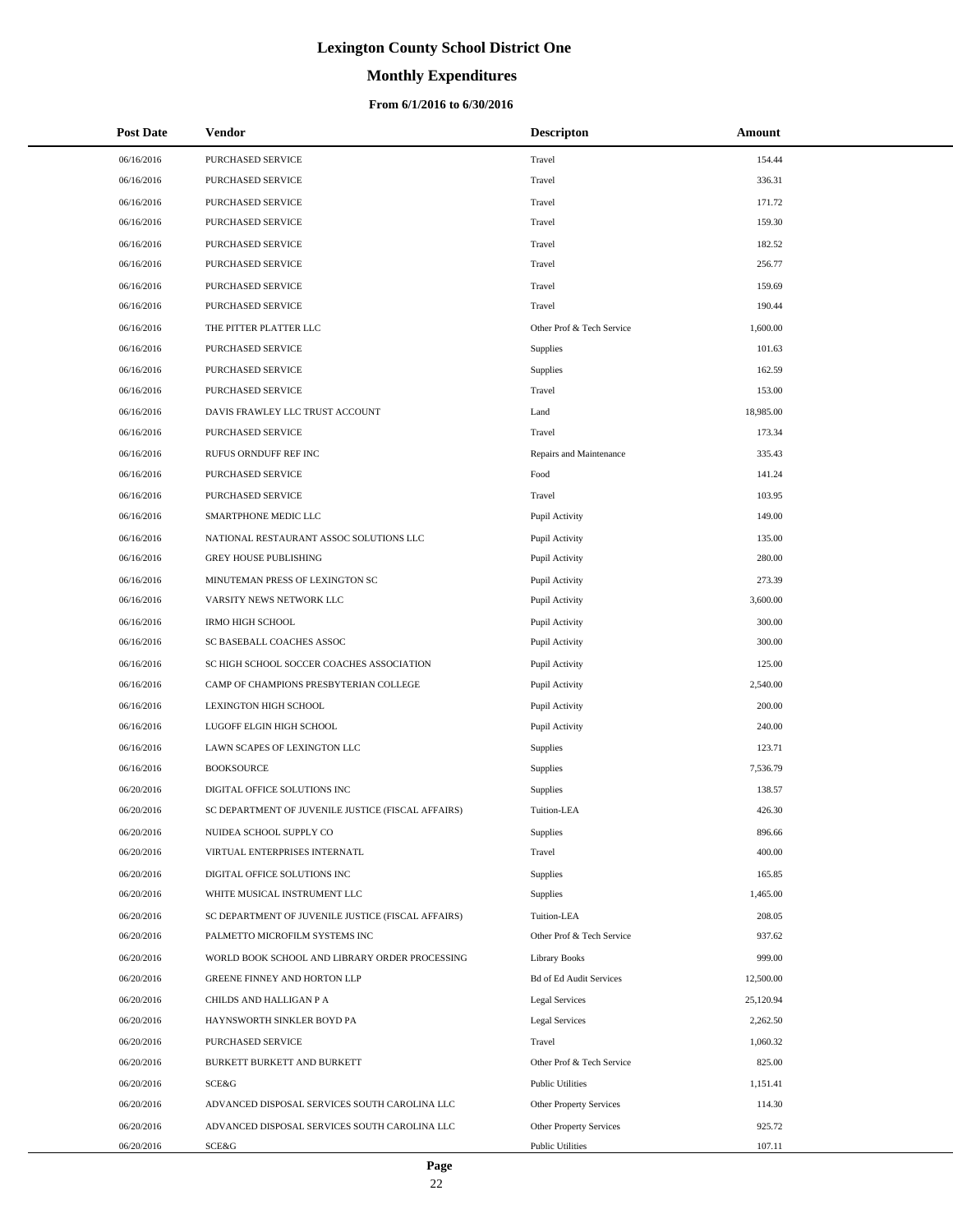# **Monthly Expenditures**

| <b>Post Date</b> | <b>Vendor</b>                                      | <b>Descripton</b>              | Amount    |
|------------------|----------------------------------------------------|--------------------------------|-----------|
| 06/16/2016       | PURCHASED SERVICE                                  | Travel                         | 154.44    |
| 06/16/2016       | PURCHASED SERVICE                                  | Travel                         | 336.31    |
| 06/16/2016       | PURCHASED SERVICE                                  | Travel                         | 171.72    |
| 06/16/2016       | PURCHASED SERVICE                                  | Travel                         | 159.30    |
| 06/16/2016       | PURCHASED SERVICE                                  | Travel                         | 182.52    |
| 06/16/2016       | PURCHASED SERVICE                                  | Travel                         | 256.77    |
| 06/16/2016       | PURCHASED SERVICE                                  | Travel                         | 159.69    |
| 06/16/2016       | PURCHASED SERVICE                                  | Travel                         | 190.44    |
| 06/16/2016       | THE PITTER PLATTER LLC                             | Other Prof & Tech Service      | 1,600.00  |
| 06/16/2016       | <b>PURCHASED SERVICE</b>                           | Supplies                       | 101.63    |
| 06/16/2016       | PURCHASED SERVICE                                  | Supplies                       | 162.59    |
| 06/16/2016       | PURCHASED SERVICE                                  | Travel                         | 153.00    |
| 06/16/2016       | DAVIS FRAWLEY LLC TRUST ACCOUNT                    | Land                           | 18,985.00 |
| 06/16/2016       | PURCHASED SERVICE                                  | Travel                         | 173.34    |
| 06/16/2016       | RUFUS ORNDUFF REF INC                              | Repairs and Maintenance        | 335.43    |
| 06/16/2016       | PURCHASED SERVICE                                  | Food                           | 141.24    |
| 06/16/2016       | PURCHASED SERVICE                                  | Travel                         | 103.95    |
| 06/16/2016       | SMARTPHONE MEDIC LLC                               | Pupil Activity                 | 149.00    |
| 06/16/2016       | NATIONAL RESTAURANT ASSOC SOLUTIONS LLC            | Pupil Activity                 | 135.00    |
| 06/16/2016       | <b>GREY HOUSE PUBLISHING</b>                       | Pupil Activity                 | 280.00    |
| 06/16/2016       | MINUTEMAN PRESS OF LEXINGTON SC                    | Pupil Activity                 | 273.39    |
| 06/16/2016       | VARSITY NEWS NETWORK LLC                           | Pupil Activity                 | 3,600.00  |
| 06/16/2016       | <b>IRMO HIGH SCHOOL</b>                            | Pupil Activity                 | 300.00    |
| 06/16/2016       | SC BASEBALL COACHES ASSOC                          | Pupil Activity                 | 300.00    |
| 06/16/2016       | SC HIGH SCHOOL SOCCER COACHES ASSOCIATION          | Pupil Activity                 | 125.00    |
| 06/16/2016       | CAMP OF CHAMPIONS PRESBYTERIAN COLLEGE             | Pupil Activity                 | 2,540.00  |
| 06/16/2016       | LEXINGTON HIGH SCHOOL                              | Pupil Activity                 | 200.00    |
| 06/16/2016       | LUGOFF ELGIN HIGH SCHOOL                           | Pupil Activity                 | 240.00    |
| 06/16/2016       | LAWN SCAPES OF LEXINGTON LLC                       | Supplies                       | 123.71    |
| 06/16/2016       | <b>BOOKSOURCE</b>                                  | Supplies                       | 7,536.79  |
| 06/20/2016       | DIGITAL OFFICE SOLUTIONS INC                       | Supplies                       | 138.57    |
| 06/20/2016       | SC DEPARTMENT OF JUVENILE JUSTICE (FISCAL AFFAIRS) | Tuition-LEA                    | 426.30    |
| 06/20/2016       | NUIDEA SCHOOL SUPPLY CO                            | Supplies                       | 896.66    |
| 06/20/2016       | VIRTUAL ENTERPRISES INTERNATL                      | Travel                         | 400.00    |
| 06/20/2016       | DIGITAL OFFICE SOLUTIONS INC                       | Supplies                       | 165.85    |
| 06/20/2016       | WHITE MUSICAL INSTRUMENT LLC                       | Supplies                       | 1,465.00  |
| 06/20/2016       | SC DEPARTMENT OF JUVENILE JUSTICE (FISCAL AFFAIRS) | Tuition-LEA                    | 208.05    |
| 06/20/2016       | PALMETTO MICROFILM SYSTEMS INC                     | Other Prof & Tech Service      | 937.62    |
| 06/20/2016       | WORLD BOOK SCHOOL AND LIBRARY ORDER PROCESSING     | Library Books                  | 999.00    |
| 06/20/2016       | <b>GREENE FINNEY AND HORTON LLP</b>                | <b>Bd of Ed Audit Services</b> | 12,500.00 |
| 06/20/2016       | CHILDS AND HALLIGAN P A                            | <b>Legal Services</b>          | 25,120.94 |
| 06/20/2016       | HAYNSWORTH SINKLER BOYD PA                         | <b>Legal Services</b>          | 2,262.50  |
| 06/20/2016       | PURCHASED SERVICE                                  | Travel                         | 1,060.32  |
| 06/20/2016       | BURKETT BURKETT AND BURKETT                        | Other Prof & Tech Service      | 825.00    |
| 06/20/2016       | SCE&G                                              | <b>Public Utilities</b>        | 1,151.41  |
| 06/20/2016       | ADVANCED DISPOSAL SERVICES SOUTH CAROLINA LLC      | Other Property Services        | 114.30    |
| 06/20/2016       | ADVANCED DISPOSAL SERVICES SOUTH CAROLINA LLC      | Other Property Services        | 925.72    |
| 06/20/2016       | SCE&G                                              | <b>Public Utilities</b>        | 107.11    |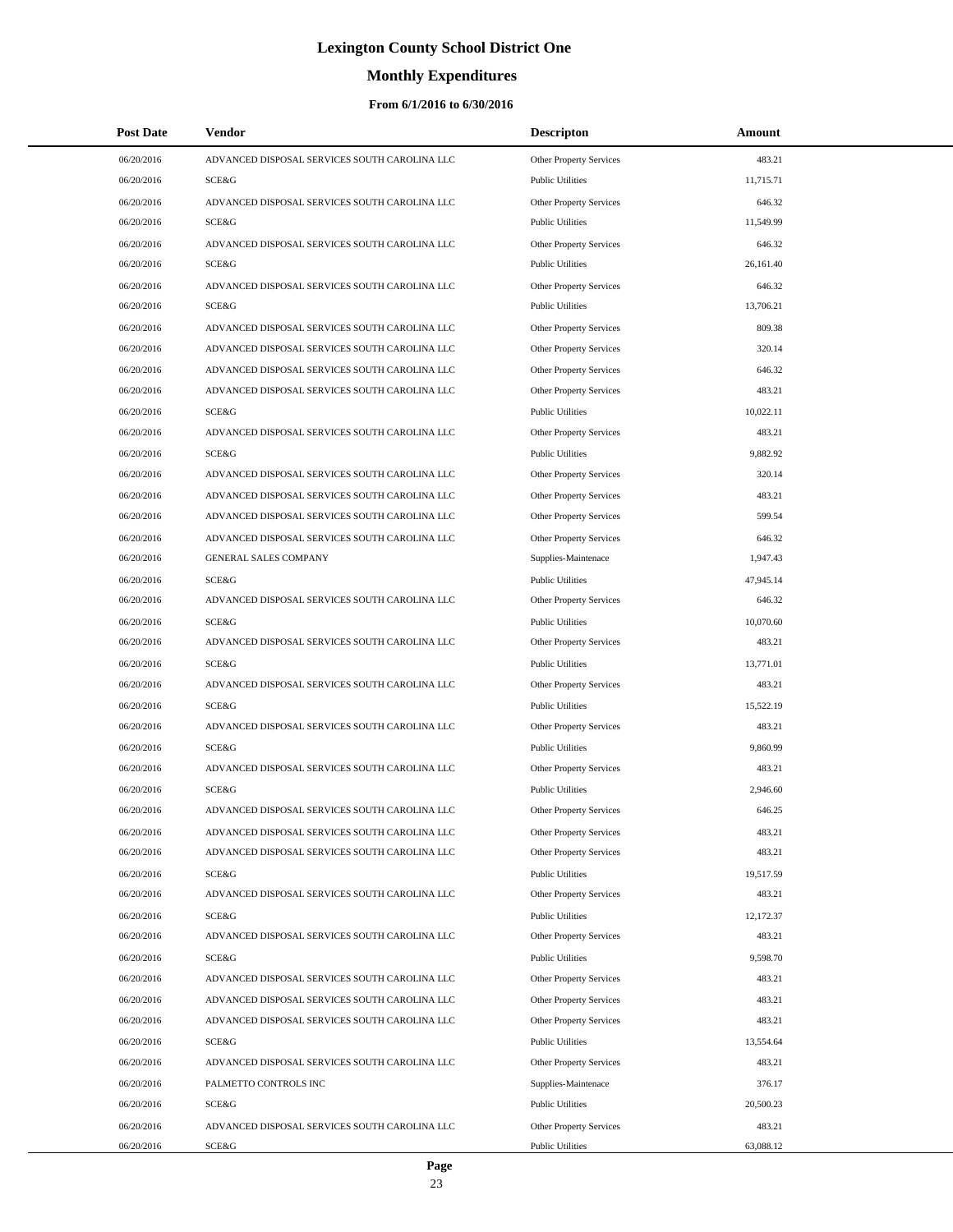# **Monthly Expenditures**

| <b>Post Date</b> | <b>Vendor</b>                                 | <b>Descripton</b>              | Amount    |
|------------------|-----------------------------------------------|--------------------------------|-----------|
| 06/20/2016       | ADVANCED DISPOSAL SERVICES SOUTH CAROLINA LLC | Other Property Services        | 483.21    |
| 06/20/2016       | SCE&G                                         | <b>Public Utilities</b>        | 11,715.71 |
| 06/20/2016       | ADVANCED DISPOSAL SERVICES SOUTH CAROLINA LLC | <b>Other Property Services</b> | 646.32    |
| 06/20/2016       | SCE&G                                         | <b>Public Utilities</b>        | 11,549.99 |
| 06/20/2016       | ADVANCED DISPOSAL SERVICES SOUTH CAROLINA LLC | Other Property Services        | 646.32    |
| 06/20/2016       | SCE&G                                         | <b>Public Utilities</b>        | 26,161.40 |
| 06/20/2016       | ADVANCED DISPOSAL SERVICES SOUTH CAROLINA LLC | Other Property Services        | 646.32    |
| 06/20/2016       | SCE&G                                         | <b>Public Utilities</b>        | 13,706.21 |
| 06/20/2016       | ADVANCED DISPOSAL SERVICES SOUTH CAROLINA LLC | Other Property Services        | 809.38    |
| 06/20/2016       | ADVANCED DISPOSAL SERVICES SOUTH CAROLINA LLC | <b>Other Property Services</b> | 320.14    |
| 06/20/2016       | ADVANCED DISPOSAL SERVICES SOUTH CAROLINA LLC | Other Property Services        | 646.32    |
| 06/20/2016       | ADVANCED DISPOSAL SERVICES SOUTH CAROLINA LLC | Other Property Services        | 483.21    |
| 06/20/2016       | SCE&G                                         | <b>Public Utilities</b>        | 10,022.11 |
| 06/20/2016       | ADVANCED DISPOSAL SERVICES SOUTH CAROLINA LLC | Other Property Services        | 483.21    |
| 06/20/2016       | <b>SCE&amp;G</b>                              | <b>Public Utilities</b>        | 9,882.92  |
| 06/20/2016       | ADVANCED DISPOSAL SERVICES SOUTH CAROLINA LLC | Other Property Services        | 320.14    |
| 06/20/2016       | ADVANCED DISPOSAL SERVICES SOUTH CAROLINA LLC | Other Property Services        | 483.21    |
| 06/20/2016       | ADVANCED DISPOSAL SERVICES SOUTH CAROLINA LLC | Other Property Services        | 599.54    |
| 06/20/2016       | ADVANCED DISPOSAL SERVICES SOUTH CAROLINA LLC | <b>Other Property Services</b> | 646.32    |
| 06/20/2016       | <b>GENERAL SALES COMPANY</b>                  | Supplies-Maintenace            | 1,947.43  |
| 06/20/2016       | SCE&G                                         | <b>Public Utilities</b>        | 47,945.14 |
| 06/20/2016       | ADVANCED DISPOSAL SERVICES SOUTH CAROLINA LLC | Other Property Services        | 646.32    |
| 06/20/2016       | <b>SCE&amp;G</b>                              | <b>Public Utilities</b>        | 10,070.60 |
| 06/20/2016       | ADVANCED DISPOSAL SERVICES SOUTH CAROLINA LLC | Other Property Services        | 483.21    |
| 06/20/2016       | SCE&G                                         | <b>Public Utilities</b>        | 13,771.01 |
| 06/20/2016       | ADVANCED DISPOSAL SERVICES SOUTH CAROLINA LLC | Other Property Services        | 483.21    |
| 06/20/2016       | SCE&G                                         | <b>Public Utilities</b>        | 15,522.19 |
| 06/20/2016       | ADVANCED DISPOSAL SERVICES SOUTH CAROLINA LLC | Other Property Services        | 483.21    |
| 06/20/2016       | <b>SCE&amp;G</b>                              | <b>Public Utilities</b>        | 9,860.99  |
| 06/20/2016       | ADVANCED DISPOSAL SERVICES SOUTH CAROLINA LLC | Other Property Services        | 483.21    |
| 06/20/2016       | SCE&G                                         | <b>Public Utilities</b>        | 2,946.60  |
| 06/20/2016       | ADVANCED DISPOSAL SERVICES SOUTH CAROLINA LLC | Other Property Services        | 646.25    |
| 06/20/2016       | ADVANCED DISPOSAL SERVICES SOUTH CAROLINA LLC | Other Property Services        | 483.21    |
| 06/20/2016       | ADVANCED DISPOSAL SERVICES SOUTH CAROLINA LLC | Other Property Services        | 483.21    |
| 06/20/2016       | SCE&G                                         | <b>Public Utilities</b>        | 19,517.59 |
| 06/20/2016       | ADVANCED DISPOSAL SERVICES SOUTH CAROLINA LLC | Other Property Services        | 483.21    |
| 06/20/2016       | SCE&G                                         | <b>Public Utilities</b>        | 12,172.37 |
| 06/20/2016       | ADVANCED DISPOSAL SERVICES SOUTH CAROLINA LLC | Other Property Services        | 483.21    |
| 06/20/2016       | SCE&G                                         | <b>Public Utilities</b>        | 9,598.70  |
| 06/20/2016       | ADVANCED DISPOSAL SERVICES SOUTH CAROLINA LLC | Other Property Services        | 483.21    |
| 06/20/2016       | ADVANCED DISPOSAL SERVICES SOUTH CAROLINA LLC | Other Property Services        | 483.21    |
| 06/20/2016       | ADVANCED DISPOSAL SERVICES SOUTH CAROLINA LLC | Other Property Services        | 483.21    |
| 06/20/2016       | SCE&G                                         | <b>Public Utilities</b>        | 13,554.64 |
| 06/20/2016       | ADVANCED DISPOSAL SERVICES SOUTH CAROLINA LLC | Other Property Services        | 483.21    |
| 06/20/2016       | PALMETTO CONTROLS INC                         | Supplies-Maintenace            | 376.17    |
| 06/20/2016       | SCE&G                                         | <b>Public Utilities</b>        | 20,500.23 |
| 06/20/2016       | ADVANCED DISPOSAL SERVICES SOUTH CAROLINA LLC | Other Property Services        | 483.21    |
| 06/20/2016       | SCE&G                                         | <b>Public Utilities</b>        | 63,088.12 |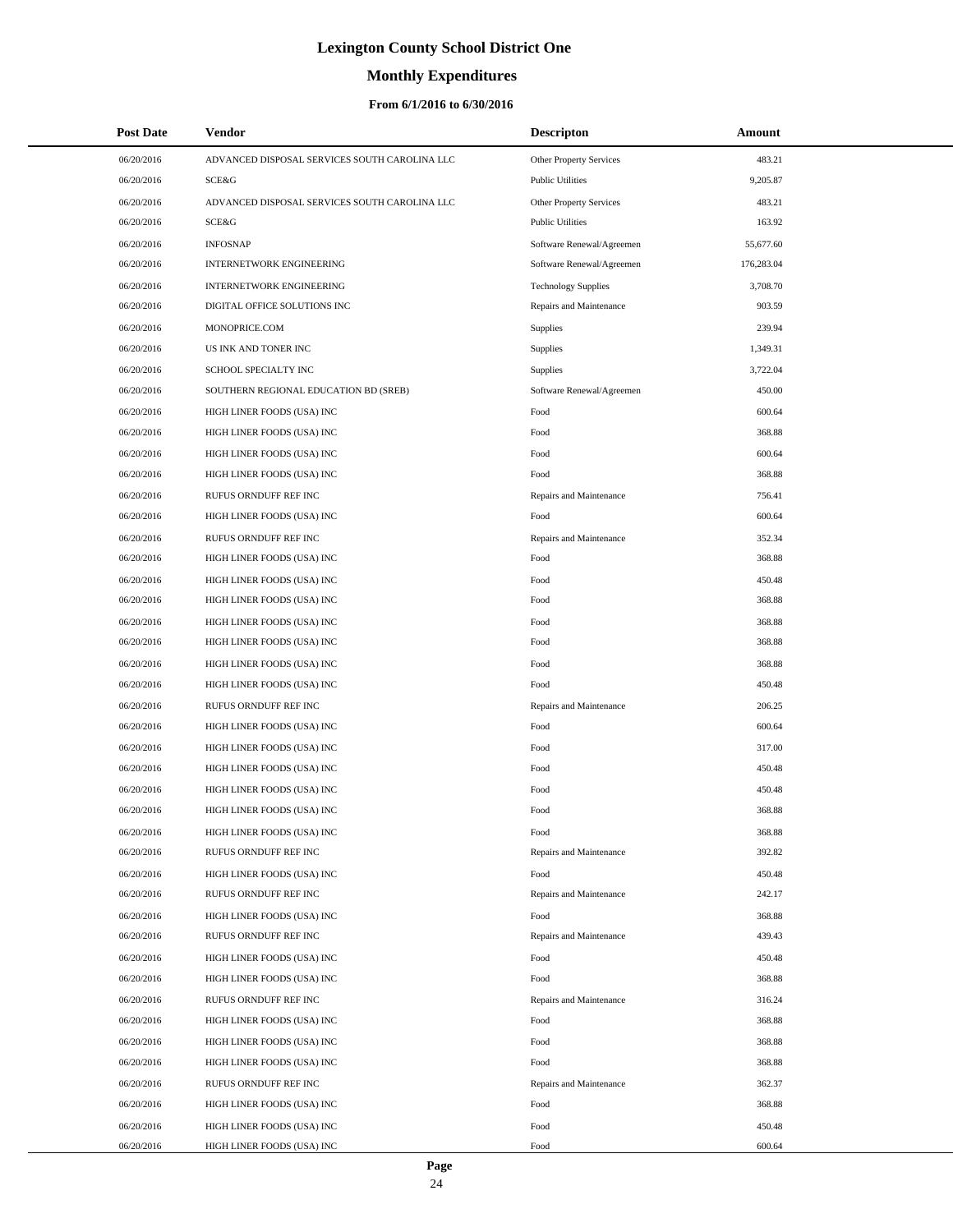# **Monthly Expenditures**

### **From 6/1/2016 to 6/30/2016**

| <b>Post Date</b> | Vendor                                        | <b>Descripton</b>          | Amount     |
|------------------|-----------------------------------------------|----------------------------|------------|
| 06/20/2016       | ADVANCED DISPOSAL SERVICES SOUTH CAROLINA LLC | Other Property Services    | 483.21     |
| 06/20/2016       | SCE&G                                         | <b>Public Utilities</b>    | 9,205.87   |
| 06/20/2016       | ADVANCED DISPOSAL SERVICES SOUTH CAROLINA LLC | Other Property Services    | 483.21     |
| 06/20/2016       | SCE&G                                         | <b>Public Utilities</b>    | 163.92     |
| 06/20/2016       | <b>INFOSNAP</b>                               | Software Renewal/Agreemen  | 55,677.60  |
| 06/20/2016       | <b>INTERNETWORK ENGINEERING</b>               | Software Renewal/Agreemen  | 176,283.04 |
| 06/20/2016       | <b>INTERNETWORK ENGINEERING</b>               | <b>Technology Supplies</b> | 3,708.70   |
| 06/20/2016       | DIGITAL OFFICE SOLUTIONS INC                  | Repairs and Maintenance    | 903.59     |
| 06/20/2016       | MONOPRICE.COM                                 | <b>Supplies</b>            | 239.94     |
| 06/20/2016       | US INK AND TONER INC                          | Supplies                   | 1,349.31   |
| 06/20/2016       | SCHOOL SPECIALTY INC                          | Supplies                   | 3,722.04   |
| 06/20/2016       | SOUTHERN REGIONAL EDUCATION BD (SREB)         | Software Renewal/Agreemen  | 450.00     |
| 06/20/2016       | HIGH LINER FOODS (USA) INC                    | Food                       | 600.64     |
| 06/20/2016       | HIGH LINER FOODS (USA) INC                    | Food                       | 368.88     |
| 06/20/2016       | HIGH LINER FOODS (USA) INC                    | Food                       | 600.64     |
| 06/20/2016       | HIGH LINER FOODS (USA) INC                    | Food                       | 368.88     |
| 06/20/2016       | RUFUS ORNDUFF REF INC                         | Repairs and Maintenance    | 756.41     |
| 06/20/2016       | HIGH LINER FOODS (USA) INC                    | Food                       | 600.64     |
| 06/20/2016       | RUFUS ORNDUFF REF INC                         | Repairs and Maintenance    | 352.34     |
| 06/20/2016       | HIGH LINER FOODS (USA) INC                    | Food                       | 368.88     |
| 06/20/2016       | HIGH LINER FOODS (USA) INC                    | Food                       | 450.48     |
| 06/20/2016       | HIGH LINER FOODS (USA) INC                    | Food                       | 368.88     |
| 06/20/2016       | HIGH LINER FOODS (USA) INC                    | Food                       | 368.88     |
| 06/20/2016       | HIGH LINER FOODS (USA) INC                    | Food                       | 368.88     |
| 06/20/2016       | HIGH LINER FOODS (USA) INC                    | Food                       | 368.88     |
| 06/20/2016       | HIGH LINER FOODS (USA) INC                    | Food                       | 450.48     |
| 06/20/2016       | RUFUS ORNDUFF REF INC                         | Repairs and Maintenance    | 206.25     |
| 06/20/2016       | HIGH LINER FOODS (USA) INC                    | Food                       | 600.64     |
| 06/20/2016       | HIGH LINER FOODS (USA) INC                    | Food                       | 317.00     |
| 06/20/2016       | HIGH LINER FOODS (USA) INC                    | Food                       | 450.48     |
| 06/20/2016       | HIGH LINER FOODS (USA) INC                    | Food                       | 450.48     |
| 06/20/2016       | HIGH LINER FOODS (USA) INC                    | Food                       | 368.88     |
| 06/20/2016       | HIGH LINER FOODS (USA) INC                    | Food                       | 368.88     |
| 06/20/2016       | RUFUS ORNDUFF REF INC                         | Repairs and Maintenance    | 392.82     |
| 06/20/2016       | HIGH LINER FOODS (USA) INC                    | Food                       | 450.48     |
| 06/20/2016       | RUFUS ORNDUFF REF INC                         | Repairs and Maintenance    | 242.17     |
| 06/20/2016       | HIGH LINER FOODS (USA) INC                    | Food                       | 368.88     |
| 06/20/2016       | RUFUS ORNDUFF REF INC                         | Repairs and Maintenance    | 439.43     |
| 06/20/2016       | HIGH LINER FOODS (USA) INC                    | Food                       | 450.48     |
| 06/20/2016       | HIGH LINER FOODS (USA) INC                    | Food                       | 368.88     |
| 06/20/2016       | RUFUS ORNDUFF REF INC                         | Repairs and Maintenance    | 316.24     |
| 06/20/2016       | HIGH LINER FOODS (USA) INC                    | Food                       | 368.88     |
| 06/20/2016       | HIGH LINER FOODS (USA) INC                    | Food                       | 368.88     |
| 06/20/2016       | HIGH LINER FOODS (USA) INC                    | Food                       | 368.88     |
| 06/20/2016       | RUFUS ORNDUFF REF INC                         | Repairs and Maintenance    | 362.37     |
| 06/20/2016       | HIGH LINER FOODS (USA) INC                    | Food                       | 368.88     |
| 06/20/2016       | HIGH LINER FOODS (USA) INC                    | Food                       | 450.48     |
| 06/20/2016       | HIGH LINER FOODS (USA) INC                    | Food                       | 600.64     |

24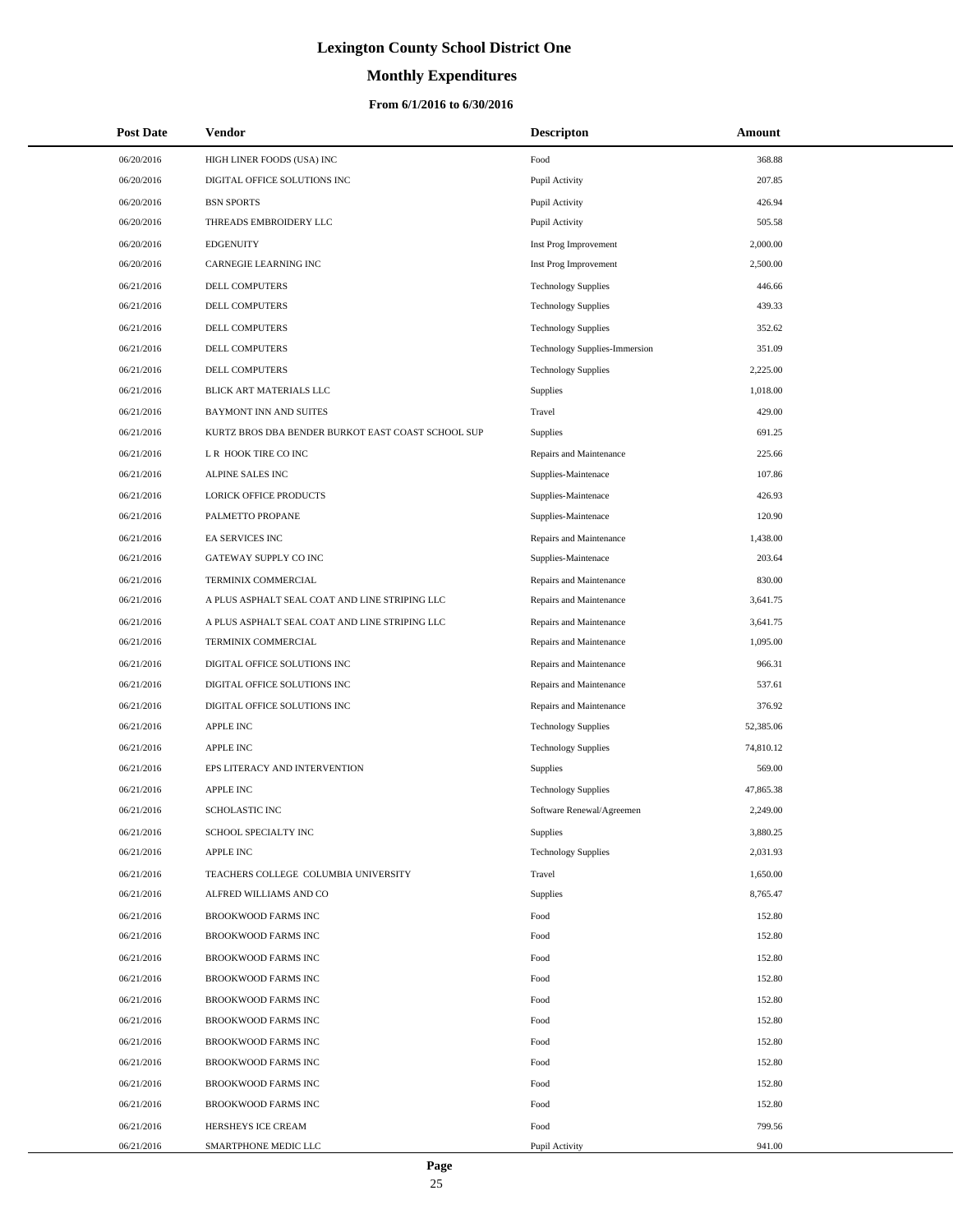# **Monthly Expenditures**

| <b>Post Date</b> | Vendor                                             | <b>Descripton</b>             | Amount    |  |
|------------------|----------------------------------------------------|-------------------------------|-----------|--|
| 06/20/2016       | HIGH LINER FOODS (USA) INC                         | Food                          | 368.88    |  |
| 06/20/2016       | DIGITAL OFFICE SOLUTIONS INC                       | Pupil Activity                | 207.85    |  |
| 06/20/2016       | <b>BSN SPORTS</b>                                  | Pupil Activity                | 426.94    |  |
| 06/20/2016       | THREADS EMBROIDERY LLC                             | Pupil Activity                | 505.58    |  |
| 06/20/2016       | <b>EDGENUITY</b>                                   | Inst Prog Improvement         | 2,000.00  |  |
| 06/20/2016       | CARNEGIE LEARNING INC                              | Inst Prog Improvement         | 2,500.00  |  |
| 06/21/2016       | DELL COMPUTERS                                     | <b>Technology Supplies</b>    | 446.66    |  |
| 06/21/2016       | DELL COMPUTERS                                     | <b>Technology Supplies</b>    | 439.33    |  |
| 06/21/2016       | DELL COMPUTERS                                     | <b>Technology Supplies</b>    | 352.62    |  |
| 06/21/2016       | <b>DELL COMPUTERS</b>                              | Technology Supplies-Immersion | 351.09    |  |
| 06/21/2016       | DELL COMPUTERS                                     | <b>Technology Supplies</b>    | 2,225.00  |  |
| 06/21/2016       | BLICK ART MATERIALS LLC                            | Supplies                      | 1,018.00  |  |
| 06/21/2016       | <b>BAYMONT INN AND SUITES</b>                      | Travel                        | 429.00    |  |
| 06/21/2016       | KURTZ BROS DBA BENDER BURKOT EAST COAST SCHOOL SUP | Supplies                      | 691.25    |  |
| 06/21/2016       | L R HOOK TIRE CO INC                               | Repairs and Maintenance       | 225.66    |  |
| 06/21/2016       | ALPINE SALES INC                                   | Supplies-Maintenace           | 107.86    |  |
| 06/21/2016       | <b>LORICK OFFICE PRODUCTS</b>                      | Supplies-Maintenace           | 426.93    |  |
| 06/21/2016       | PALMETTO PROPANE                                   | Supplies-Maintenace           | 120.90    |  |
| 06/21/2016       | <b>EA SERVICES INC</b>                             | Repairs and Maintenance       | 1,438.00  |  |
| 06/21/2016       | GATEWAY SUPPLY CO INC                              | Supplies-Maintenace           | 203.64    |  |
| 06/21/2016       | TERMINIX COMMERCIAL                                | Repairs and Maintenance       | 830.00    |  |
| 06/21/2016       | A PLUS ASPHALT SEAL COAT AND LINE STRIPING LLC     | Repairs and Maintenance       | 3,641.75  |  |
| 06/21/2016       | A PLUS ASPHALT SEAL COAT AND LINE STRIPING LLC     | Repairs and Maintenance       | 3,641.75  |  |
| 06/21/2016       | TERMINIX COMMERCIAL                                | Repairs and Maintenance       | 1,095.00  |  |
| 06/21/2016       | DIGITAL OFFICE SOLUTIONS INC                       | Repairs and Maintenance       | 966.31    |  |
| 06/21/2016       | DIGITAL OFFICE SOLUTIONS INC                       | Repairs and Maintenance       | 537.61    |  |
| 06/21/2016       | DIGITAL OFFICE SOLUTIONS INC                       | Repairs and Maintenance       | 376.92    |  |
| 06/21/2016       | <b>APPLE INC</b>                                   | <b>Technology Supplies</b>    | 52,385.06 |  |
| 06/21/2016       | <b>APPLE INC</b>                                   | <b>Technology Supplies</b>    | 74,810.12 |  |
| 06/21/2016       | EPS LITERACY AND INTERVENTION                      | <b>Supplies</b>               | 569.00    |  |
| 06/21/2016       | <b>APPLE INC</b>                                   | <b>Technology Supplies</b>    | 47,865.38 |  |
| 06/21/2016       | <b>SCHOLASTIC INC</b>                              | Software Renewal/Agreemen     | 2,249.00  |  |
| 06/21/2016       | SCHOOL SPECIALTY INC                               | <b>Supplies</b>               | 3,880.25  |  |
| 06/21/2016       | <b>APPLE INC</b>                                   | <b>Technology Supplies</b>    | 2,031.93  |  |
| 06/21/2016       | TEACHERS COLLEGE COLUMBIA UNIVERSITY               | Travel                        | 1,650.00  |  |
| 06/21/2016       | ALFRED WILLIAMS AND CO                             | Supplies                      | 8,765.47  |  |
| 06/21/2016       | BROOKWOOD FARMS INC                                | Food                          | 152.80    |  |
| 06/21/2016       | <b>BROOKWOOD FARMS INC</b>                         | Food                          | 152.80    |  |
| 06/21/2016       | <b>BROOKWOOD FARMS INC</b>                         | Food                          | 152.80    |  |
| 06/21/2016       | BROOKWOOD FARMS INC                                | Food                          | 152.80    |  |
| 06/21/2016       | BROOKWOOD FARMS INC                                | Food                          | 152.80    |  |
| 06/21/2016       | BROOKWOOD FARMS INC                                | Food                          | 152.80    |  |
| 06/21/2016       | BROOKWOOD FARMS INC                                | Food                          | 152.80    |  |
| 06/21/2016       | BROOKWOOD FARMS INC                                | Food                          | 152.80    |  |
| 06/21/2016       | BROOKWOOD FARMS INC                                | Food                          | 152.80    |  |
| 06/21/2016       | BROOKWOOD FARMS INC                                | Food                          | 152.80    |  |
| 06/21/2016       | HERSHEYS ICE CREAM                                 | Food                          | 799.56    |  |
| 06/21/2016       | SMARTPHONE MEDIC LLC                               | Pupil Activity                | 941.00    |  |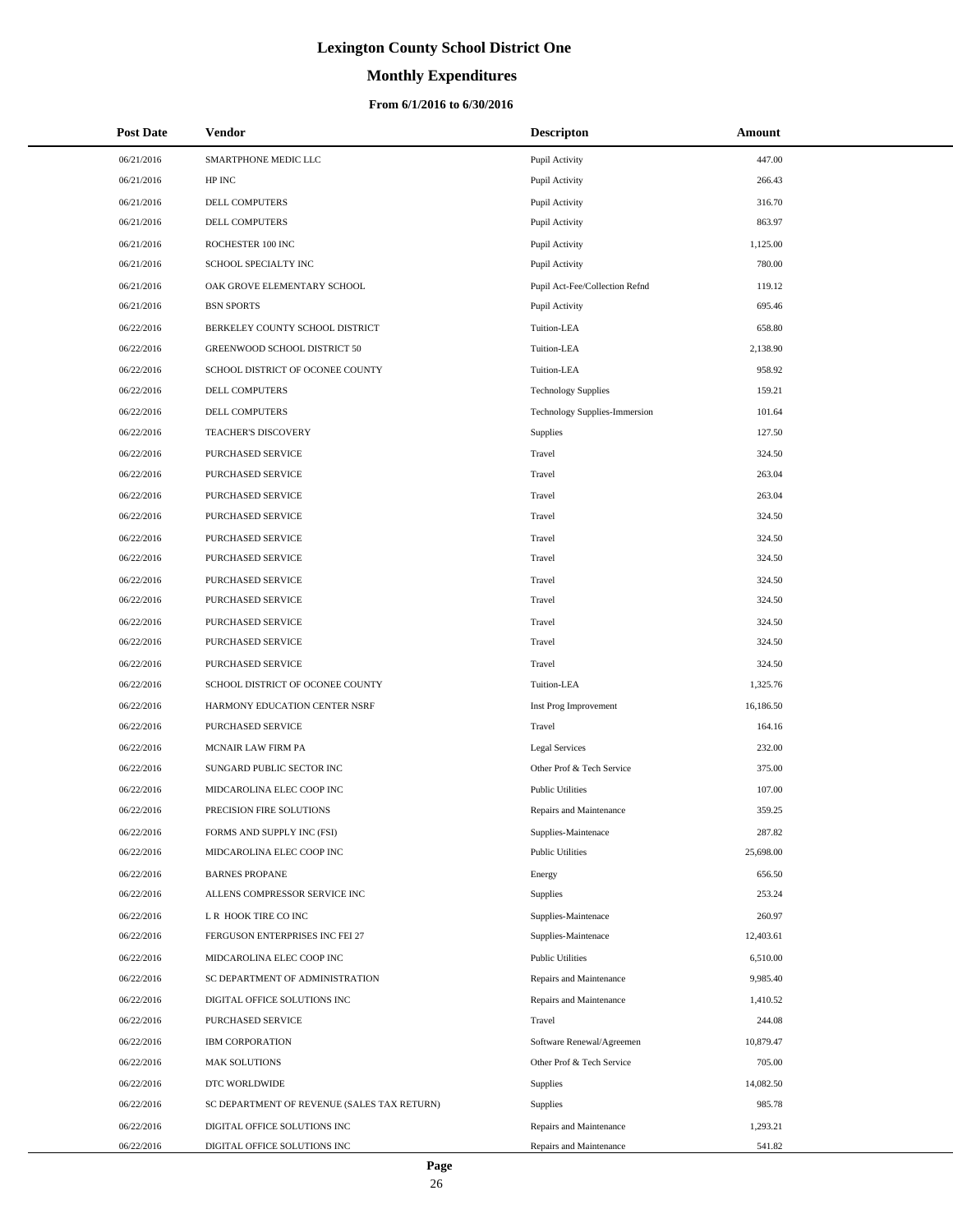# **Monthly Expenditures**

### **From 6/1/2016 to 6/30/2016**

| <b>Post Date</b> | <b>Vendor</b>                               | <b>Descripton</b>              | <b>Amount</b> |
|------------------|---------------------------------------------|--------------------------------|---------------|
| 06/21/2016       | SMARTPHONE MEDIC LLC                        | Pupil Activity                 | 447.00        |
| 06/21/2016       | HP INC                                      | Pupil Activity                 | 266.43        |
| 06/21/2016       | DELL COMPUTERS                              | Pupil Activity                 | 316.70        |
| 06/21/2016       | DELL COMPUTERS                              | Pupil Activity                 | 863.97        |
| 06/21/2016       | ROCHESTER 100 INC                           | Pupil Activity                 | 1,125.00      |
| 06/21/2016       | SCHOOL SPECIALTY INC                        | Pupil Activity                 | 780.00        |
| 06/21/2016       | OAK GROVE ELEMENTARY SCHOOL                 | Pupil Act-Fee/Collection Refnd | 119.12        |
| 06/21/2016       | <b>BSN SPORTS</b>                           | Pupil Activity                 | 695.46        |
| 06/22/2016       | BERKELEY COUNTY SCHOOL DISTRICT             | Tuition-LEA                    | 658.80        |
| 06/22/2016       | GREENWOOD SCHOOL DISTRICT 50                | Tuition-LEA                    | 2,138.90      |
| 06/22/2016       | SCHOOL DISTRICT OF OCONEE COUNTY            | Tuition-LEA                    | 958.92        |
| 06/22/2016       | DELL COMPUTERS                              | <b>Technology Supplies</b>     | 159.21        |
| 06/22/2016       | <b>DELL COMPUTERS</b>                       | Technology Supplies-Immersion  | 101.64        |
| 06/22/2016       | <b>TEACHER'S DISCOVERY</b>                  | Supplies                       | 127.50        |
| 06/22/2016       | PURCHASED SERVICE                           | Travel                         | 324.50        |
| 06/22/2016       | PURCHASED SERVICE                           | Travel                         | 263.04        |
| 06/22/2016       | PURCHASED SERVICE                           | Travel                         | 263.04        |
| 06/22/2016       | PURCHASED SERVICE                           | Travel                         | 324.50        |
| 06/22/2016       | PURCHASED SERVICE                           | Travel                         | 324.50        |
| 06/22/2016       | PURCHASED SERVICE                           | Travel                         | 324.50        |
| 06/22/2016       | PURCHASED SERVICE                           | Travel                         | 324.50        |
| 06/22/2016       | PURCHASED SERVICE                           | Travel                         | 324.50        |
| 06/22/2016       | PURCHASED SERVICE                           | Travel                         | 324.50        |
| 06/22/2016       | PURCHASED SERVICE                           | Travel                         | 324.50        |
| 06/22/2016       | PURCHASED SERVICE                           | Travel                         | 324.50        |
| 06/22/2016       | SCHOOL DISTRICT OF OCONEE COUNTY            | Tuition-LEA                    | 1,325.76      |
| 06/22/2016       | HARMONY EDUCATION CENTER NSRF               | Inst Prog Improvement          | 16,186.50     |
| 06/22/2016       | PURCHASED SERVICE                           | Travel                         | 164.16        |
| 06/22/2016       | MCNAIR LAW FIRM PA                          | Legal Services                 | 232.00        |
| 06/22/2016       | SUNGARD PUBLIC SECTOR INC                   | Other Prof & Tech Service      | 375.00        |
| 06/22/2016       | MIDCAROLINA ELEC COOP INC                   | <b>Public Utilities</b>        | 107.00        |
| 06/22/2016       | PRECISION FIRE SOLUTIONS                    | Repairs and Maintenance        | 359.25        |
| 06/22/2016       | FORMS AND SUPPLY INC (FSI)                  | Supplies-Maintenace            | 287.82        |
| 06/22/2016       | MIDCAROLINA ELEC COOP INC                   | <b>Public Utilities</b>        | 25,698.00     |
| 06/22/2016       | <b>BARNES PROPANE</b>                       | Energy                         | 656.50        |
| 06/22/2016       | ALLENS COMPRESSOR SERVICE INC               | <b>Supplies</b>                | 253.24        |
| 06/22/2016       | L R HOOK TIRE CO INC                        | Supplies-Maintenace            | 260.97        |
| 06/22/2016       | FERGUSON ENTERPRISES INC FEI 27             | Supplies-Maintenace            | 12,403.61     |
| 06/22/2016       | MIDCAROLINA ELEC COOP INC                   | <b>Public Utilities</b>        | 6,510.00      |
| 06/22/2016       | SC DEPARTMENT OF ADMINISTRATION             | Repairs and Maintenance        | 9.985.40      |
| 06/22/2016       | DIGITAL OFFICE SOLUTIONS INC                | Repairs and Maintenance        | 1,410.52      |
| 06/22/2016       | PURCHASED SERVICE                           | Travel                         | 244.08        |
| 06/22/2016       | <b>IBM CORPORATION</b>                      | Software Renewal/Agreemen      | 10,879.47     |
| 06/22/2016       | <b>MAK SOLUTIONS</b>                        | Other Prof & Tech Service      | 705.00        |
| 06/22/2016       | DTC WORLDWIDE                               | Supplies                       | 14,082.50     |
| 06/22/2016       | SC DEPARTMENT OF REVENUE (SALES TAX RETURN) | <b>Supplies</b>                | 985.78        |
| 06/22/2016       | DIGITAL OFFICE SOLUTIONS INC                | Repairs and Maintenance        | 1,293.21      |
| 06/22/2016       | DIGITAL OFFICE SOLUTIONS INC                | Repairs and Maintenance        | 541.82        |

 $\overline{\phantom{0}}$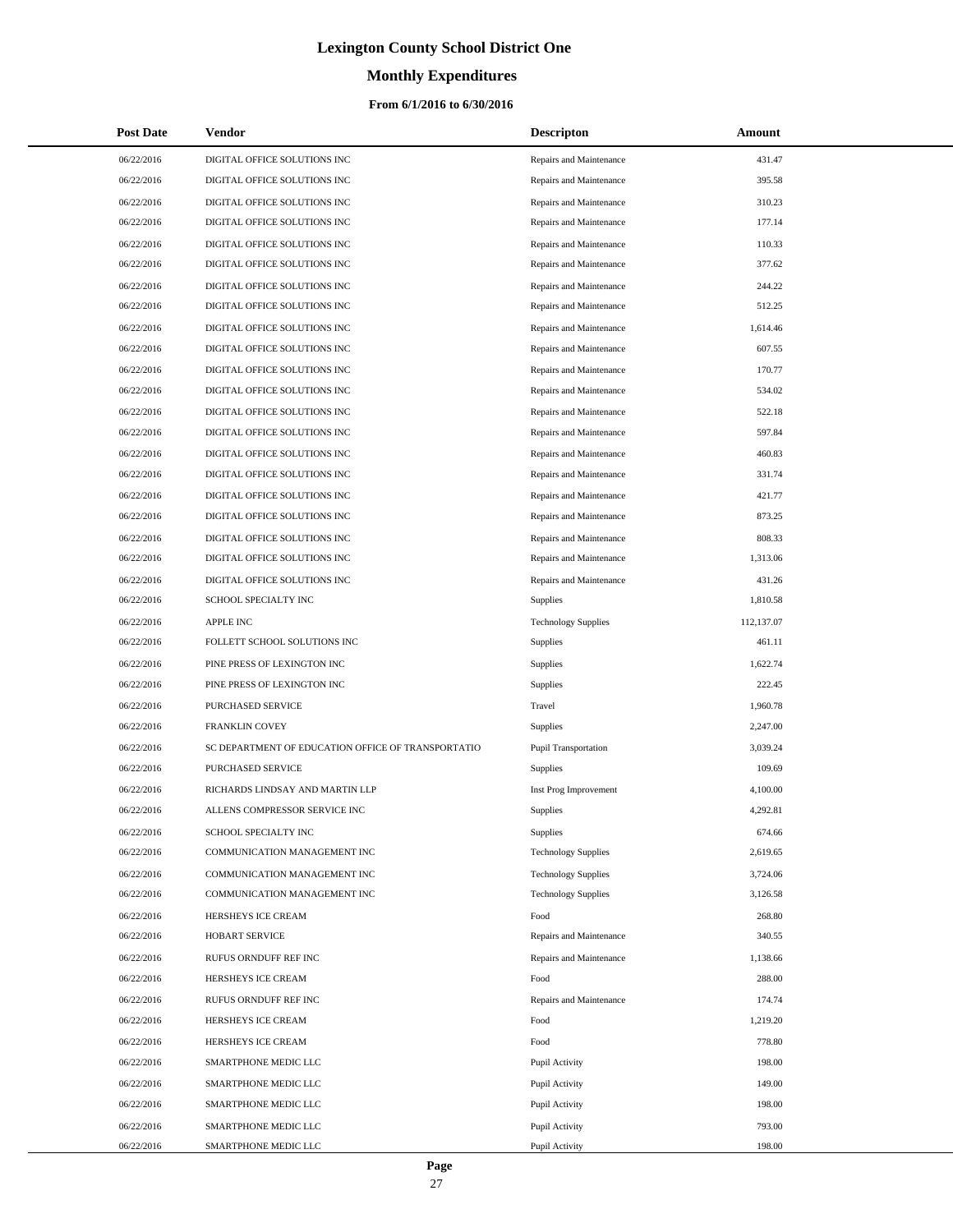# **Monthly Expenditures**

### **From 6/1/2016 to 6/30/2016**

| <b>Post Date</b> | Vendor                                             | <b>Descripton</b>           | Amount     |
|------------------|----------------------------------------------------|-----------------------------|------------|
| 06/22/2016       | DIGITAL OFFICE SOLUTIONS INC                       | Repairs and Maintenance     | 431.47     |
| 06/22/2016       | DIGITAL OFFICE SOLUTIONS INC                       | Repairs and Maintenance     | 395.58     |
| 06/22/2016       | DIGITAL OFFICE SOLUTIONS INC                       | Repairs and Maintenance     | 310.23     |
| 06/22/2016       | DIGITAL OFFICE SOLUTIONS INC                       | Repairs and Maintenance     | 177.14     |
| 06/22/2016       | DIGITAL OFFICE SOLUTIONS INC                       | Repairs and Maintenance     | 110.33     |
| 06/22/2016       | DIGITAL OFFICE SOLUTIONS INC                       | Repairs and Maintenance     | 377.62     |
| 06/22/2016       | DIGITAL OFFICE SOLUTIONS INC                       | Repairs and Maintenance     | 244.22     |
| 06/22/2016       | DIGITAL OFFICE SOLUTIONS INC                       | Repairs and Maintenance     | 512.25     |
| 06/22/2016       | DIGITAL OFFICE SOLUTIONS INC                       | Repairs and Maintenance     | 1,614.46   |
| 06/22/2016       | DIGITAL OFFICE SOLUTIONS INC                       | Repairs and Maintenance     | 607.55     |
| 06/22/2016       | DIGITAL OFFICE SOLUTIONS INC                       | Repairs and Maintenance     | 170.77     |
| 06/22/2016       | DIGITAL OFFICE SOLUTIONS INC                       | Repairs and Maintenance     | 534.02     |
| 06/22/2016       | DIGITAL OFFICE SOLUTIONS INC                       | Repairs and Maintenance     | 522.18     |
| 06/22/2016       | DIGITAL OFFICE SOLUTIONS INC                       | Repairs and Maintenance     | 597.84     |
| 06/22/2016       | DIGITAL OFFICE SOLUTIONS INC                       | Repairs and Maintenance     | 460.83     |
| 06/22/2016       | DIGITAL OFFICE SOLUTIONS INC                       | Repairs and Maintenance     | 331.74     |
| 06/22/2016       | DIGITAL OFFICE SOLUTIONS INC                       | Repairs and Maintenance     | 421.77     |
| 06/22/2016       | DIGITAL OFFICE SOLUTIONS INC                       | Repairs and Maintenance     | 873.25     |
| 06/22/2016       | DIGITAL OFFICE SOLUTIONS INC                       | Repairs and Maintenance     | 808.33     |
| 06/22/2016       | DIGITAL OFFICE SOLUTIONS INC                       | Repairs and Maintenance     | 1,313.06   |
| 06/22/2016       | DIGITAL OFFICE SOLUTIONS INC                       | Repairs and Maintenance     | 431.26     |
| 06/22/2016       | SCHOOL SPECIALTY INC                               | Supplies                    | 1,810.58   |
| 06/22/2016       | <b>APPLE INC</b>                                   | <b>Technology Supplies</b>  | 112,137.07 |
| 06/22/2016       | FOLLETT SCHOOL SOLUTIONS INC                       | Supplies                    | 461.11     |
| 06/22/2016       | PINE PRESS OF LEXINGTON INC                        | Supplies                    | 1,622.74   |
| 06/22/2016       | PINE PRESS OF LEXINGTON INC                        | Supplies                    | 222.45     |
| 06/22/2016       | PURCHASED SERVICE                                  | Travel                      | 1,960.78   |
| 06/22/2016       | <b>FRANKLIN COVEY</b>                              | Supplies                    | 2,247.00   |
| 06/22/2016       | SC DEPARTMENT OF EDUCATION OFFICE OF TRANSPORTATIO | <b>Pupil Transportation</b> | 3,039.24   |
| 06/22/2016       | PURCHASED SERVICE                                  | <b>Supplies</b>             | 109.69     |
| 06/22/2016       | RICHARDS LINDSAY AND MARTIN LLP                    | Inst Prog Improvement       | 4,100.00   |
| 06/22/2016       | ALLENS COMPRESSOR SERVICE INC                      | Supplies                    | 4,292.81   |
| 06/22/2016       | SCHOOL SPECIALTY INC                               | <b>Supplies</b>             | 674.66     |
| 06/22/2016       | COMMUNICATION MANAGEMENT INC                       | <b>Technology Supplies</b>  | 2,619.65   |
| 06/22/2016       | COMMUNICATION MANAGEMENT INC                       | <b>Technology Supplies</b>  | 3,724.06   |
| 06/22/2016       | COMMUNICATION MANAGEMENT INC                       | <b>Technology Supplies</b>  | 3,126.58   |
| 06/22/2016       | HERSHEYS ICE CREAM                                 | Food                        | 268.80     |
| 06/22/2016       | HOBART SERVICE                                     | Repairs and Maintenance     | 340.55     |
| 06/22/2016       | RUFUS ORNDUFF REF INC                              | Repairs and Maintenance     | 1,138.66   |
| 06/22/2016       | HERSHEYS ICE CREAM                                 | Food                        | 288.00     |
| 06/22/2016       | RUFUS ORNDUFF REF INC                              | Repairs and Maintenance     | 174.74     |
| 06/22/2016       | HERSHEYS ICE CREAM                                 | Food                        | 1,219.20   |
| 06/22/2016       | HERSHEYS ICE CREAM                                 | Food                        | 778.80     |
| 06/22/2016       | SMARTPHONE MEDIC LLC                               | Pupil Activity              | 198.00     |
| 06/22/2016       | SMARTPHONE MEDIC LLC                               | Pupil Activity              | 149.00     |
| 06/22/2016       | SMARTPHONE MEDIC LLC                               | Pupil Activity              | 198.00     |
| 06/22/2016       | SMARTPHONE MEDIC LLC                               | Pupil Activity              | 793.00     |
| 06/22/2016       | SMARTPHONE MEDIC LLC                               | Pupil Activity              | 198.00     |

 $\overline{a}$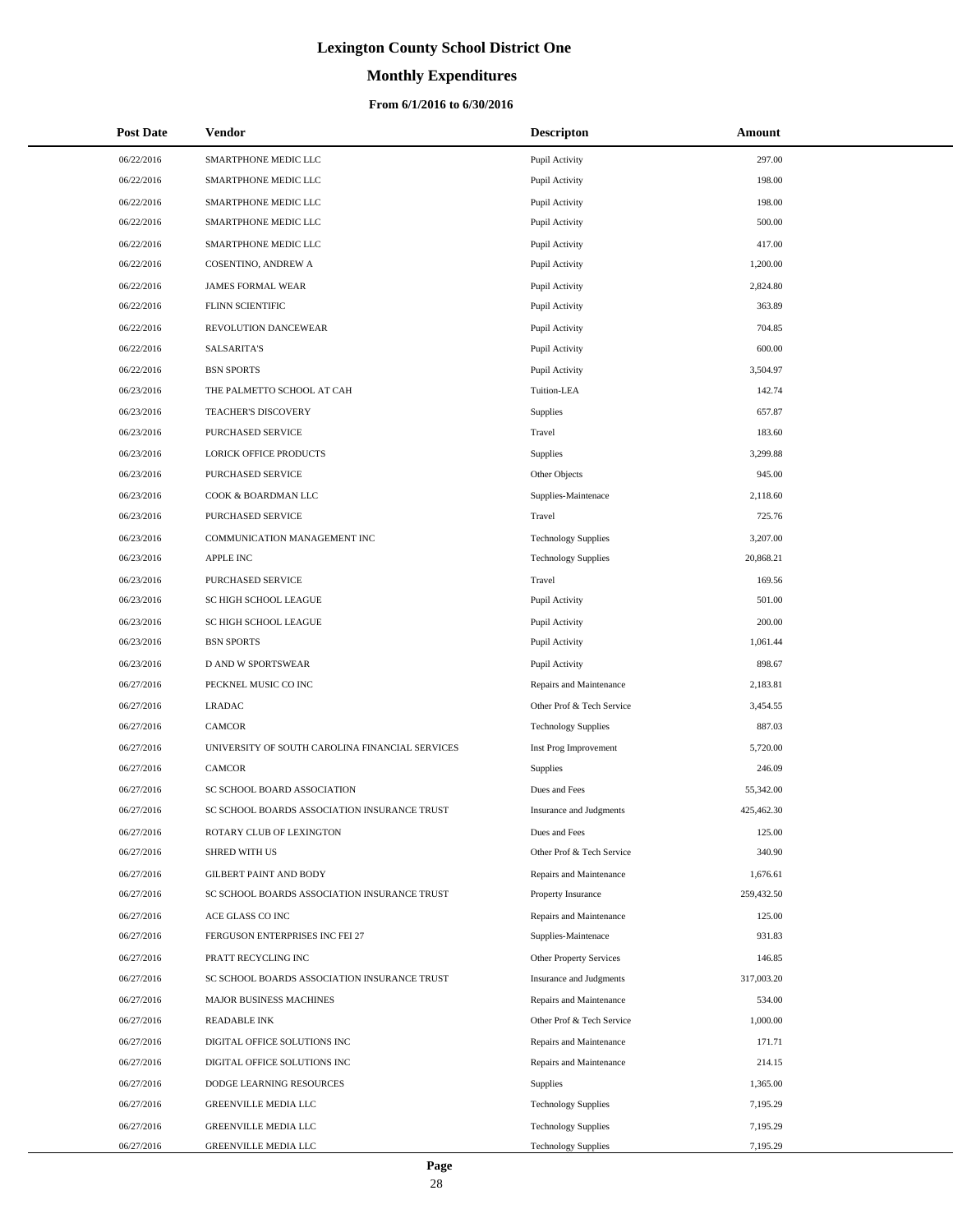# **Monthly Expenditures**

| <b>Post Date</b> | <b>Vendor</b>                                   | <b>Descripton</b>          | Amount     |
|------------------|-------------------------------------------------|----------------------------|------------|
| 06/22/2016       | SMARTPHONE MEDIC LLC                            | Pupil Activity             | 297.00     |
| 06/22/2016       | SMARTPHONE MEDIC LLC                            | Pupil Activity             | 198.00     |
| 06/22/2016       | SMARTPHONE MEDIC LLC                            | Pupil Activity             | 198.00     |
| 06/22/2016       | SMARTPHONE MEDIC LLC                            | Pupil Activity             | 500.00     |
| 06/22/2016       | SMARTPHONE MEDIC LLC                            | Pupil Activity             | 417.00     |
| 06/22/2016       | COSENTINO, ANDREW A                             | Pupil Activity             | 1,200.00   |
| 06/22/2016       | <b>JAMES FORMAL WEAR</b>                        | Pupil Activity             | 2,824.80   |
| 06/22/2016       | FLINN SCIENTIFIC                                | Pupil Activity             | 363.89     |
| 06/22/2016       | REVOLUTION DANCEWEAR                            | Pupil Activity             | 704.85     |
| 06/22/2016       | <b>SALSARITA'S</b>                              | Pupil Activity             | 600.00     |
| 06/22/2016       | <b>BSN SPORTS</b>                               | Pupil Activity             | 3,504.97   |
| 06/23/2016       | THE PALMETTO SCHOOL AT CAH                      | Tuition-LEA                | 142.74     |
| 06/23/2016       | TEACHER'S DISCOVERY                             | Supplies                   | 657.87     |
| 06/23/2016       | PURCHASED SERVICE                               | Travel                     | 183.60     |
| 06/23/2016       | <b>LORICK OFFICE PRODUCTS</b>                   | Supplies                   | 3,299.88   |
| 06/23/2016       | PURCHASED SERVICE                               | Other Objects              | 945.00     |
| 06/23/2016       | COOK & BOARDMAN LLC                             | Supplies-Maintenace        | 2,118.60   |
| 06/23/2016       | PURCHASED SERVICE                               | Travel                     | 725.76     |
| 06/23/2016       | COMMUNICATION MANAGEMENT INC                    | <b>Technology Supplies</b> | 3,207.00   |
| 06/23/2016       | <b>APPLE INC</b>                                | <b>Technology Supplies</b> | 20,868.21  |
| 06/23/2016       | PURCHASED SERVICE                               | Travel                     | 169.56     |
| 06/23/2016       | SC HIGH SCHOOL LEAGUE                           | Pupil Activity             | 501.00     |
| 06/23/2016       | SC HIGH SCHOOL LEAGUE                           | Pupil Activity             | 200.00     |
| 06/23/2016       | <b>BSN SPORTS</b>                               | Pupil Activity             | 1,061.44   |
| 06/23/2016       | D AND W SPORTSWEAR                              | Pupil Activity             | 898.67     |
| 06/27/2016       | PECKNEL MUSIC CO INC                            | Repairs and Maintenance    | 2,183.81   |
| 06/27/2016       | <b>LRADAC</b>                                   | Other Prof & Tech Service  | 3,454.55   |
| 06/27/2016       | <b>CAMCOR</b>                                   | <b>Technology Supplies</b> | 887.03     |
| 06/27/2016       | UNIVERSITY OF SOUTH CAROLINA FINANCIAL SERVICES | Inst Prog Improvement      | 5,720.00   |
| 06/27/2016       | <b>CAMCOR</b>                                   | Supplies                   | 246.09     |
| 06/27/2016       | SC SCHOOL BOARD ASSOCIATION                     | Dues and Fees              | 55,342.00  |
| 06/27/2016       | SC SCHOOL BOARDS ASSOCIATION INSURANCE TRUST    | Insurance and Judgments    | 425,462.30 |
| 06/27/2016       | ROTARY CLUB OF LEXINGTON                        | Dues and Fees              | 125.00     |
| 06/27/2016       | <b>SHRED WITH US</b>                            | Other Prof & Tech Service  | 340.90     |
| 06/27/2016       | <b>GILBERT PAINT AND BODY</b>                   | Repairs and Maintenance    | 1,676.61   |
| 06/27/2016       | SC SCHOOL BOARDS ASSOCIATION INSURANCE TRUST    | Property Insurance         | 259,432.50 |
| 06/27/2016       | ACE GLASS CO INC                                | Repairs and Maintenance    | 125.00     |
| 06/27/2016       | FERGUSON ENTERPRISES INC FEI 27                 | Supplies-Maintenace        | 931.83     |
| 06/27/2016       | PRATT RECYCLING INC                             | Other Property Services    | 146.85     |
| 06/27/2016       | SC SCHOOL BOARDS ASSOCIATION INSURANCE TRUST    | Insurance and Judgments    | 317,003.20 |
| 06/27/2016       | <b>MAJOR BUSINESS MACHINES</b>                  | Repairs and Maintenance    | 534.00     |
| 06/27/2016       | <b>READABLE INK</b>                             | Other Prof & Tech Service  | 1,000.00   |
| 06/27/2016       | DIGITAL OFFICE SOLUTIONS INC                    | Repairs and Maintenance    | 171.71     |
| 06/27/2016       | DIGITAL OFFICE SOLUTIONS INC                    | Repairs and Maintenance    | 214.15     |
| 06/27/2016       | DODGE LEARNING RESOURCES                        | <b>Supplies</b>            | 1,365.00   |
| 06/27/2016       | GREENVILLE MEDIA LLC                            | <b>Technology Supplies</b> | 7,195.29   |
| 06/27/2016       | <b>GREENVILLE MEDIA LLC</b>                     | <b>Technology Supplies</b> | 7,195.29   |
| 06/27/2016       | GREENVILLE MEDIA LLC                            | <b>Technology Supplies</b> | 7,195.29   |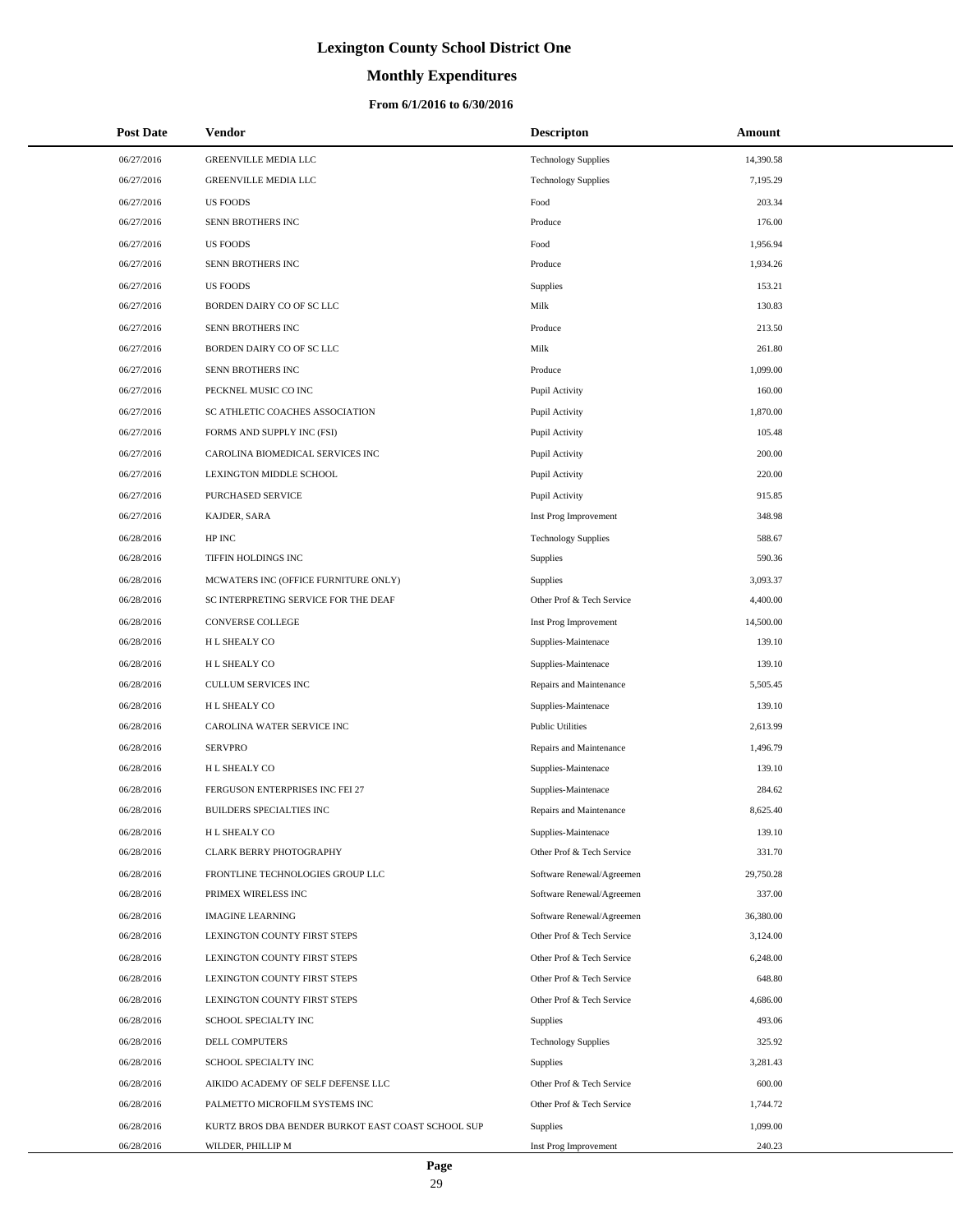# **Monthly Expenditures**

| <b>Post Date</b>         | <b>Vendor</b>                                        | <b>Descripton</b>                                      | Amount           |
|--------------------------|------------------------------------------------------|--------------------------------------------------------|------------------|
| 06/27/2016               | GREENVILLE MEDIA LLC                                 | <b>Technology Supplies</b>                             | 14,390.58        |
| 06/27/2016               | GREENVILLE MEDIA LLC                                 | <b>Technology Supplies</b>                             | 7,195.29         |
| 06/27/2016               | <b>US FOODS</b>                                      | Food                                                   | 203.34           |
| 06/27/2016               | SENN BROTHERS INC                                    | Produce                                                | 176.00           |
| 06/27/2016               | <b>US FOODS</b>                                      | Food                                                   | 1,956.94         |
| 06/27/2016               | SENN BROTHERS INC                                    | Produce                                                | 1,934.26         |
| 06/27/2016               | <b>US FOODS</b>                                      | Supplies                                               | 153.21           |
| 06/27/2016               | BORDEN DAIRY CO OF SC LLC                            | Milk                                                   | 130.83           |
| 06/27/2016               | SENN BROTHERS INC                                    | Produce                                                | 213.50           |
| 06/27/2016               | BORDEN DAIRY CO OF SC LLC                            | Milk                                                   | 261.80           |
| 06/27/2016               | SENN BROTHERS INC                                    | Produce                                                | 1,099.00         |
| 06/27/2016               | PECKNEL MUSIC CO INC                                 | Pupil Activity                                         | 160.00           |
| 06/27/2016               | SC ATHLETIC COACHES ASSOCIATION                      | Pupil Activity                                         | 1,870.00         |
| 06/27/2016               | FORMS AND SUPPLY INC (FSI)                           | Pupil Activity                                         | 105.48           |
| 06/27/2016               | CAROLINA BIOMEDICAL SERVICES INC                     | Pupil Activity                                         | 200.00           |
| 06/27/2016               | LEXINGTON MIDDLE SCHOOL                              | Pupil Activity                                         | 220.00           |
| 06/27/2016               | PURCHASED SERVICE                                    | Pupil Activity                                         | 915.85           |
| 06/27/2016               | KAJDER, SARA                                         | Inst Prog Improvement                                  | 348.98           |
| 06/28/2016               | HP INC                                               | <b>Technology Supplies</b>                             | 588.67           |
| 06/28/2016               | TIFFIN HOLDINGS INC                                  | Supplies                                               | 590.36           |
| 06/28/2016               | MCWATERS INC (OFFICE FURNITURE ONLY)                 | Supplies                                               | 3,093.37         |
| 06/28/2016               | SC INTERPRETING SERVICE FOR THE DEAF                 | Other Prof & Tech Service                              | 4,400.00         |
| 06/28/2016               | CONVERSE COLLEGE                                     | Inst Prog Improvement                                  | 14,500.00        |
| 06/28/2016               | H L SHEALY CO                                        | Supplies-Maintenace                                    | 139.10           |
| 06/28/2016               | H L SHEALY CO                                        | Supplies-Maintenace                                    | 139.10           |
| 06/28/2016               | CULLUM SERVICES INC                                  | Repairs and Maintenance                                | 5,505.45         |
| 06/28/2016               | H L SHEALY CO                                        | Supplies-Maintenace                                    | 139.10           |
| 06/28/2016               | CAROLINA WATER SERVICE INC                           | <b>Public Utilities</b>                                | 2,613.99         |
| 06/28/2016               | <b>SERVPRO</b>                                       | Repairs and Maintenance                                | 1,496.79         |
| 06/28/2016               | H L SHEALY CO                                        | Supplies-Maintenace                                    | 139.10           |
| 06/28/2016               | FERGUSON ENTERPRISES INC FEI 27                      | Supplies-Maintenace                                    | 284.62           |
| 06/28/2016               | <b>BUILDERS SPECIALTIES INC</b>                      | Repairs and Maintenance                                | 8,625.40         |
| 06/28/2016               | H L SHEALY CO                                        | Supplies-Maintenace                                    | 139.10           |
| 06/28/2016               | <b>CLARK BERRY PHOTOGRAPHY</b>                       | Other Prof & Tech Service                              | 331.70           |
| 06/28/2016               | FRONTLINE TECHNOLOGIES GROUP LLC                     | Software Renewal/Agreemen                              | 29,750.28        |
| 06/28/2016               | PRIMEX WIRELESS INC                                  | Software Renewal/Agreemen                              | 337.00           |
| 06/28/2016               | <b>IMAGINE LEARNING</b>                              | Software Renewal/Agreemen<br>Other Prof & Tech Service | 36,380.00        |
| 06/28/2016               | LEXINGTON COUNTY FIRST STEPS                         |                                                        | 3,124.00         |
| 06/28/2016               | LEXINGTON COUNTY FIRST STEPS                         | Other Prof & Tech Service                              | 6,248.00         |
| 06/28/2016               | LEXINGTON COUNTY FIRST STEPS                         | Other Prof & Tech Service                              | 648.80           |
| 06/28/2016               | LEXINGTON COUNTY FIRST STEPS<br>SCHOOL SPECIALTY INC | Other Prof & Tech Service                              | 4,686.00         |
| 06/28/2016               |                                                      | <b>Supplies</b>                                        | 493.06<br>325.92 |
| 06/28/2016<br>06/28/2016 | DELL COMPUTERS<br>SCHOOL SPECIALTY INC               | <b>Technology Supplies</b><br>Supplies                 | 3,281.43         |
| 06/28/2016               | AIKIDO ACADEMY OF SELF DEFENSE LLC                   | Other Prof & Tech Service                              | 600.00           |
| 06/28/2016               | PALMETTO MICROFILM SYSTEMS INC                       | Other Prof & Tech Service                              | 1,744.72         |
| 06/28/2016               | KURTZ BROS DBA BENDER BURKOT EAST COAST SCHOOL SUP   | Supplies                                               | 1,099.00         |
| 06/28/2016               | WILDER, PHILLIP M                                    | Inst Prog Improvement                                  | 240.23           |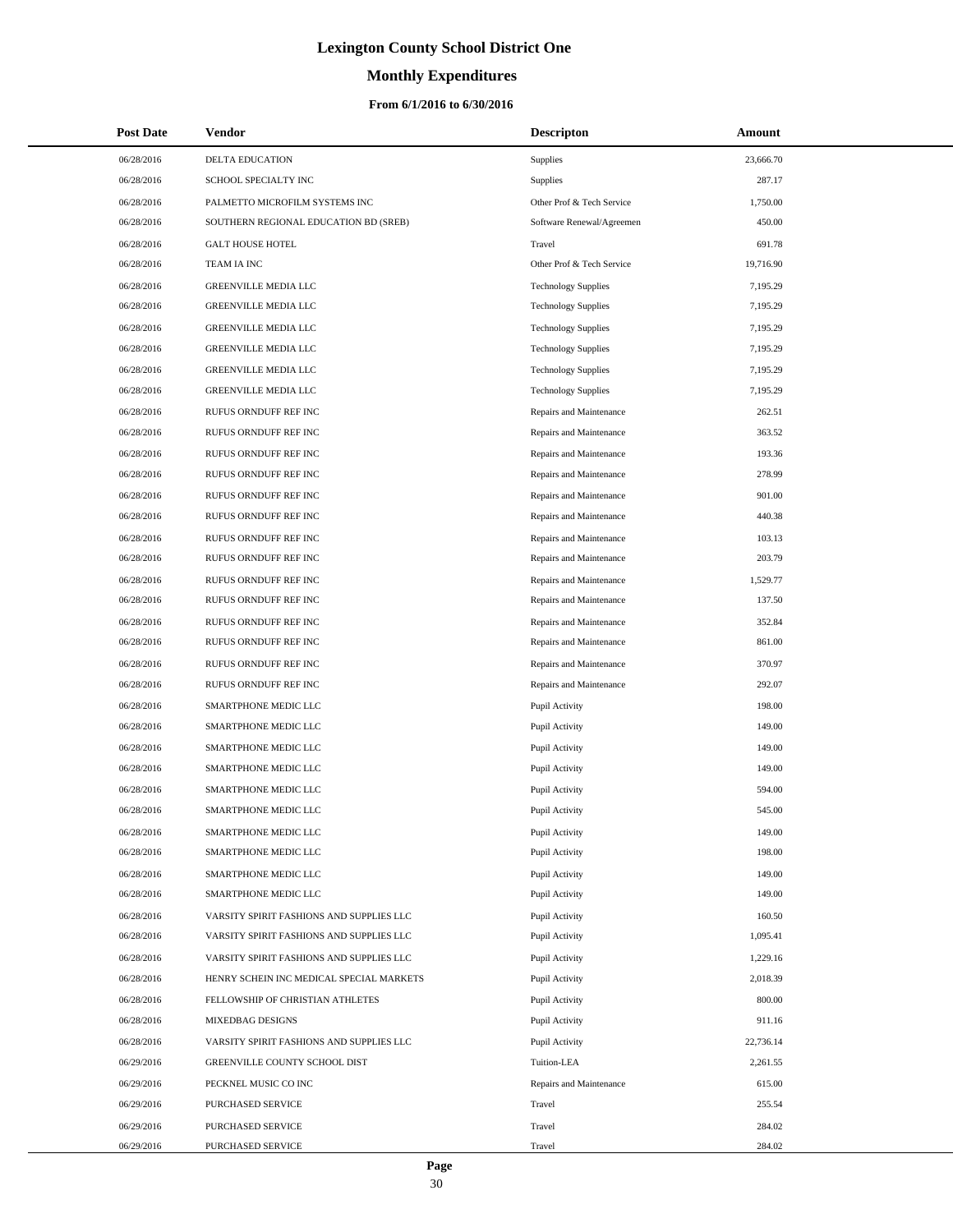# **Monthly Expenditures**

| <b>Post Date</b> | Vendor                                   | <b>Descripton</b>          | Amount    |
|------------------|------------------------------------------|----------------------------|-----------|
| 06/28/2016       | <b>DELTA EDUCATION</b>                   | Supplies                   | 23,666.70 |
| 06/28/2016       | SCHOOL SPECIALTY INC                     | Supplies                   | 287.17    |
| 06/28/2016       | PALMETTO MICROFILM SYSTEMS INC           | Other Prof & Tech Service  | 1,750.00  |
| 06/28/2016       | SOUTHERN REGIONAL EDUCATION BD (SREB)    | Software Renewal/Agreemen  | 450.00    |
| 06/28/2016       | <b>GALT HOUSE HOTEL</b>                  | Travel                     | 691.78    |
| 06/28/2016       | TEAM IA INC                              | Other Prof & Tech Service  | 19,716.90 |
| 06/28/2016       | GREENVILLE MEDIA LLC                     | <b>Technology Supplies</b> | 7,195.29  |
| 06/28/2016       | GREENVILLE MEDIA LLC                     | <b>Technology Supplies</b> | 7,195.29  |
| 06/28/2016       | GREENVILLE MEDIA LLC                     | <b>Technology Supplies</b> | 7,195.29  |
| 06/28/2016       | GREENVILLE MEDIA LLC                     | <b>Technology Supplies</b> | 7,195.29  |
| 06/28/2016       | GREENVILLE MEDIA LLC                     | <b>Technology Supplies</b> | 7,195.29  |
| 06/28/2016       | GREENVILLE MEDIA LLC                     | <b>Technology Supplies</b> | 7,195.29  |
| 06/28/2016       | RUFUS ORNDUFF REF INC                    | Repairs and Maintenance    | 262.51    |
| 06/28/2016       | RUFUS ORNDUFF REF INC                    | Repairs and Maintenance    | 363.52    |
| 06/28/2016       | RUFUS ORNDUFF REF INC                    | Repairs and Maintenance    | 193.36    |
| 06/28/2016       | RUFUS ORNDUFF REF INC                    | Repairs and Maintenance    | 278.99    |
| 06/28/2016       | RUFUS ORNDUFF REF INC                    | Repairs and Maintenance    | 901.00    |
| 06/28/2016       | RUFUS ORNDUFF REF INC                    | Repairs and Maintenance    | 440.38    |
| 06/28/2016       | RUFUS ORNDUFF REF INC                    | Repairs and Maintenance    | 103.13    |
| 06/28/2016       | RUFUS ORNDUFF REF INC                    | Repairs and Maintenance    | 203.79    |
| 06/28/2016       | RUFUS ORNDUFF REF INC                    | Repairs and Maintenance    | 1,529.77  |
| 06/28/2016       | RUFUS ORNDUFF REF INC                    | Repairs and Maintenance    | 137.50    |
| 06/28/2016       | RUFUS ORNDUFF REF INC                    | Repairs and Maintenance    | 352.84    |
| 06/28/2016       | RUFUS ORNDUFF REF INC                    | Repairs and Maintenance    | 861.00    |
| 06/28/2016       | RUFUS ORNDUFF REF INC                    | Repairs and Maintenance    | 370.97    |
| 06/28/2016       | RUFUS ORNDUFF REF INC                    | Repairs and Maintenance    | 292.07    |
| 06/28/2016       | SMARTPHONE MEDIC LLC                     | Pupil Activity             | 198.00    |
| 06/28/2016       | SMARTPHONE MEDIC LLC                     | Pupil Activity             | 149.00    |
| 06/28/2016       | SMARTPHONE MEDIC LLC                     | Pupil Activity             | 149.00    |
| 06/28/2016       | SMARTPHONE MEDIC LLC                     | Pupil Activity             | 149.00    |
| 06/28/2016       | SMARTPHONE MEDIC LLC                     | Pupil Activity             | 594.00    |
| 06/28/2016       | SMARTPHONE MEDIC LLC                     | Pupil Activity             | 545.00    |
| 06/28/2016       | SMARTPHONE MEDIC LLC                     | Pupil Activity             | 149.00    |
| 06/28/2016       | SMARTPHONE MEDIC LLC                     | Pupil Activity             | 198.00    |
| 06/28/2016       | SMARTPHONE MEDIC LLC                     | Pupil Activity             | 149.00    |
| 06/28/2016       | SMARTPHONE MEDIC LLC                     | Pupil Activity             | 149.00    |
| 06/28/2016       | VARSITY SPIRIT FASHIONS AND SUPPLIES LLC | Pupil Activity             | 160.50    |
| 06/28/2016       | VARSITY SPIRIT FASHIONS AND SUPPLIES LLC | Pupil Activity             | 1,095.41  |
| 06/28/2016       | VARSITY SPIRIT FASHIONS AND SUPPLIES LLC | Pupil Activity             | 1,229.16  |
| 06/28/2016       | HENRY SCHEIN INC MEDICAL SPECIAL MARKETS | Pupil Activity             | 2,018.39  |
| 06/28/2016       | FELLOWSHIP OF CHRISTIAN ATHLETES         | Pupil Activity             | 800.00    |
| 06/28/2016       | MIXEDBAG DESIGNS                         | Pupil Activity             | 911.16    |
| 06/28/2016       | VARSITY SPIRIT FASHIONS AND SUPPLIES LLC | Pupil Activity             | 22,736.14 |
| 06/29/2016       | GREENVILLE COUNTY SCHOOL DIST            | Tuition-LEA                | 2,261.55  |
| 06/29/2016       | PECKNEL MUSIC CO INC                     | Repairs and Maintenance    | 615.00    |
| 06/29/2016       | PURCHASED SERVICE                        | Travel                     | 255.54    |
| 06/29/2016       | PURCHASED SERVICE                        | Travel                     | 284.02    |
| 06/29/2016       | PURCHASED SERVICE                        | Travel                     | 284.02    |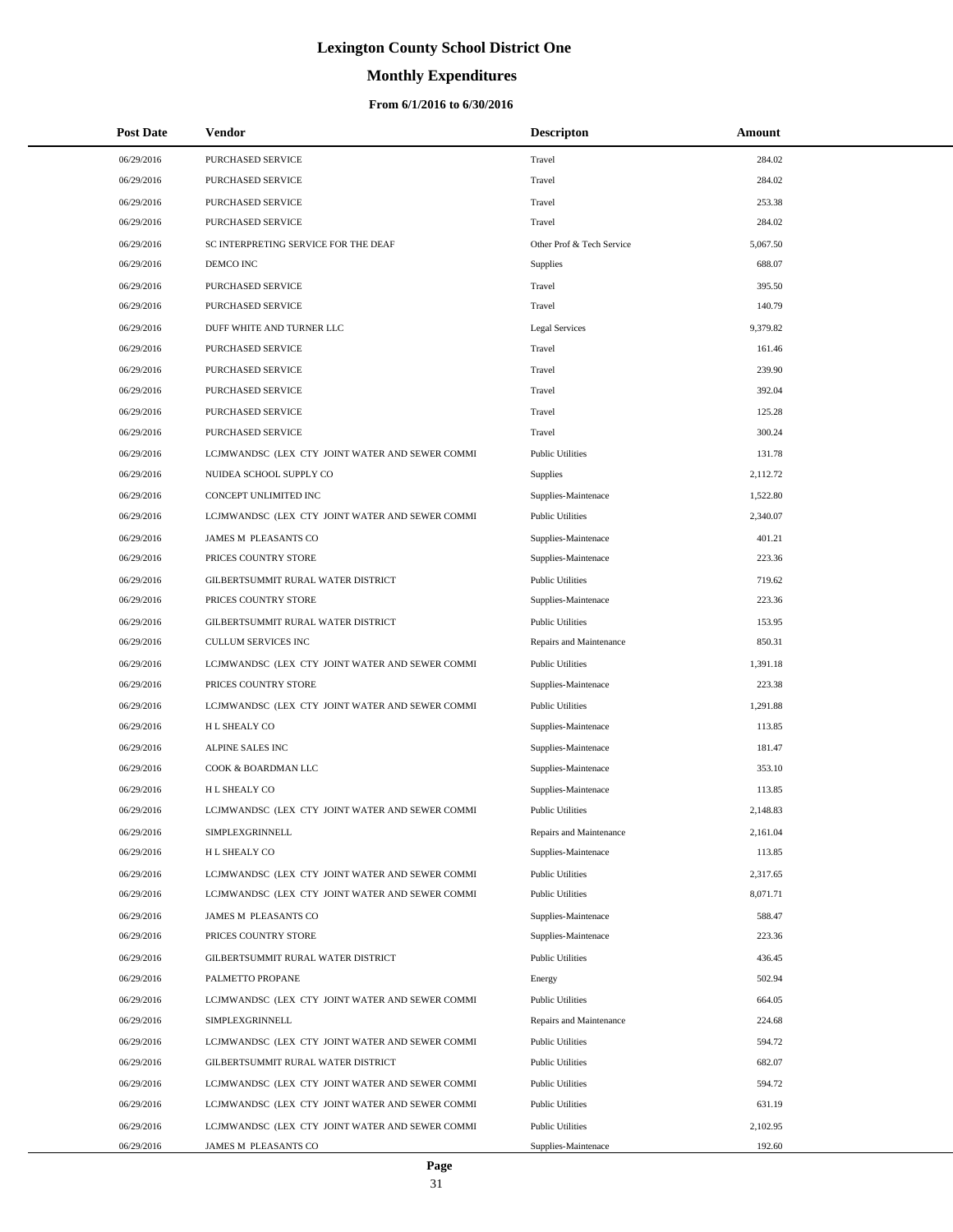# **Monthly Expenditures**

| <b>Post Date</b> | Vendor                                          | <b>Descripton</b>         | Amount   |
|------------------|-------------------------------------------------|---------------------------|----------|
| 06/29/2016       | PURCHASED SERVICE                               | Travel                    | 284.02   |
| 06/29/2016       | <b>PURCHASED SERVICE</b>                        | Travel                    | 284.02   |
| 06/29/2016       | PURCHASED SERVICE                               | Travel                    | 253.38   |
| 06/29/2016       | PURCHASED SERVICE                               | Travel                    | 284.02   |
| 06/29/2016       | SC INTERPRETING SERVICE FOR THE DEAF            | Other Prof & Tech Service | 5,067.50 |
| 06/29/2016       | DEMCO INC                                       | Supplies                  | 688.07   |
| 06/29/2016       | PURCHASED SERVICE                               | Travel                    | 395.50   |
| 06/29/2016       | PURCHASED SERVICE                               | Travel                    | 140.79   |
| 06/29/2016       | DUFF WHITE AND TURNER LLC                       | <b>Legal Services</b>     | 9,379.82 |
| 06/29/2016       | <b>PURCHASED SERVICE</b>                        | Travel                    | 161.46   |
| 06/29/2016       | PURCHASED SERVICE                               | Travel                    | 239.90   |
| 06/29/2016       | PURCHASED SERVICE                               | Travel                    | 392.04   |
| 06/29/2016       | PURCHASED SERVICE                               | Travel                    | 125.28   |
| 06/29/2016       | PURCHASED SERVICE                               | Travel                    | 300.24   |
| 06/29/2016       | LCJMWANDSC (LEX CTY JOINT WATER AND SEWER COMMI | <b>Public Utilities</b>   | 131.78   |
| 06/29/2016       | NUIDEA SCHOOL SUPPLY CO                         | Supplies                  | 2,112.72 |
| 06/29/2016       | CONCEPT UNLIMITED INC                           | Supplies-Maintenace       | 1,522.80 |
| 06/29/2016       | LCJMWANDSC (LEX CTY JOINT WATER AND SEWER COMMI | <b>Public Utilities</b>   | 2,340.07 |
| 06/29/2016       | JAMES M PLEASANTS CO                            | Supplies-Maintenace       | 401.21   |
| 06/29/2016       | PRICES COUNTRY STORE                            | Supplies-Maintenace       | 223.36   |
| 06/29/2016       | GILBERTSUMMIT RURAL WATER DISTRICT              | <b>Public Utilities</b>   | 719.62   |
| 06/29/2016       | PRICES COUNTRY STORE                            | Supplies-Maintenace       | 223.36   |
| 06/29/2016       | GILBERTSUMMIT RURAL WATER DISTRICT              | <b>Public Utilities</b>   | 153.95   |
| 06/29/2016       | CULLUM SERVICES INC                             | Repairs and Maintenance   | 850.31   |
| 06/29/2016       | LCJMWANDSC (LEX CTY JOINT WATER AND SEWER COMMI | <b>Public Utilities</b>   | 1,391.18 |
| 06/29/2016       | PRICES COUNTRY STORE                            | Supplies-Maintenace       | 223.38   |
| 06/29/2016       | LCJMWANDSC (LEX CTY JOINT WATER AND SEWER COMMI | <b>Public Utilities</b>   | 1,291.88 |
| 06/29/2016       | H L SHEALY CO                                   | Supplies-Maintenace       | 113.85   |
| 06/29/2016       | ALPINE SALES INC                                | Supplies-Maintenace       | 181.47   |
| 06/29/2016       | COOK & BOARDMAN LLC                             | Supplies-Maintenace       | 353.10   |
| 06/29/2016       | <b>HL SHEALY CO</b>                             | Supplies-Maintenace       | 113.85   |
| 06/29/2016       | LCJMWANDSC (LEX CTY JOINT WATER AND SEWER COMMI | <b>Public Utilities</b>   | 2,148.83 |
| 06/29/2016       | SIMPLEXGRINNELL                                 | Repairs and Maintenance   | 2,161.04 |
| 06/29/2016       | H L SHEALY CO                                   | Supplies-Maintenace       | 113.85   |
| 06/29/2016       | LCJMWANDSC (LEX CTY JOINT WATER AND SEWER COMMI | <b>Public Utilities</b>   | 2,317.65 |
| 06/29/2016       | LCJMWANDSC (LEX CTY JOINT WATER AND SEWER COMMI | <b>Public Utilities</b>   | 8,071.71 |
| 06/29/2016       | JAMES M PLEASANTS CO                            | Supplies-Maintenace       | 588.47   |
| 06/29/2016       | PRICES COUNTRY STORE                            | Supplies-Maintenace       | 223.36   |
| 06/29/2016       | GILBERTSUMMIT RURAL WATER DISTRICT              | <b>Public Utilities</b>   | 436.45   |
| 06/29/2016       | PALMETTO PROPANE                                | Energy                    | 502.94   |
| 06/29/2016       | LCJMWANDSC (LEX CTY JOINT WATER AND SEWER COMMI | <b>Public Utilities</b>   | 664.05   |
| 06/29/2016       | SIMPLEXGRINNELL                                 | Repairs and Maintenance   | 224.68   |
| 06/29/2016       | LCJMWANDSC (LEX CTY JOINT WATER AND SEWER COMMI | <b>Public Utilities</b>   | 594.72   |
| 06/29/2016       | GILBERTSUMMIT RURAL WATER DISTRICT              | <b>Public Utilities</b>   | 682.07   |
| 06/29/2016       | LCJMWANDSC (LEX CTY JOINT WATER AND SEWER COMMI | <b>Public Utilities</b>   | 594.72   |
| 06/29/2016       | LCJMWANDSC (LEX CTY JOINT WATER AND SEWER COMMI | <b>Public Utilities</b>   | 631.19   |
| 06/29/2016       | LCJMWANDSC (LEX CTY JOINT WATER AND SEWER COMMI | <b>Public Utilities</b>   | 2,102.95 |
| 06/29/2016       | JAMES M PLEASANTS CO                            | Supplies-Maintenace       | 192.60   |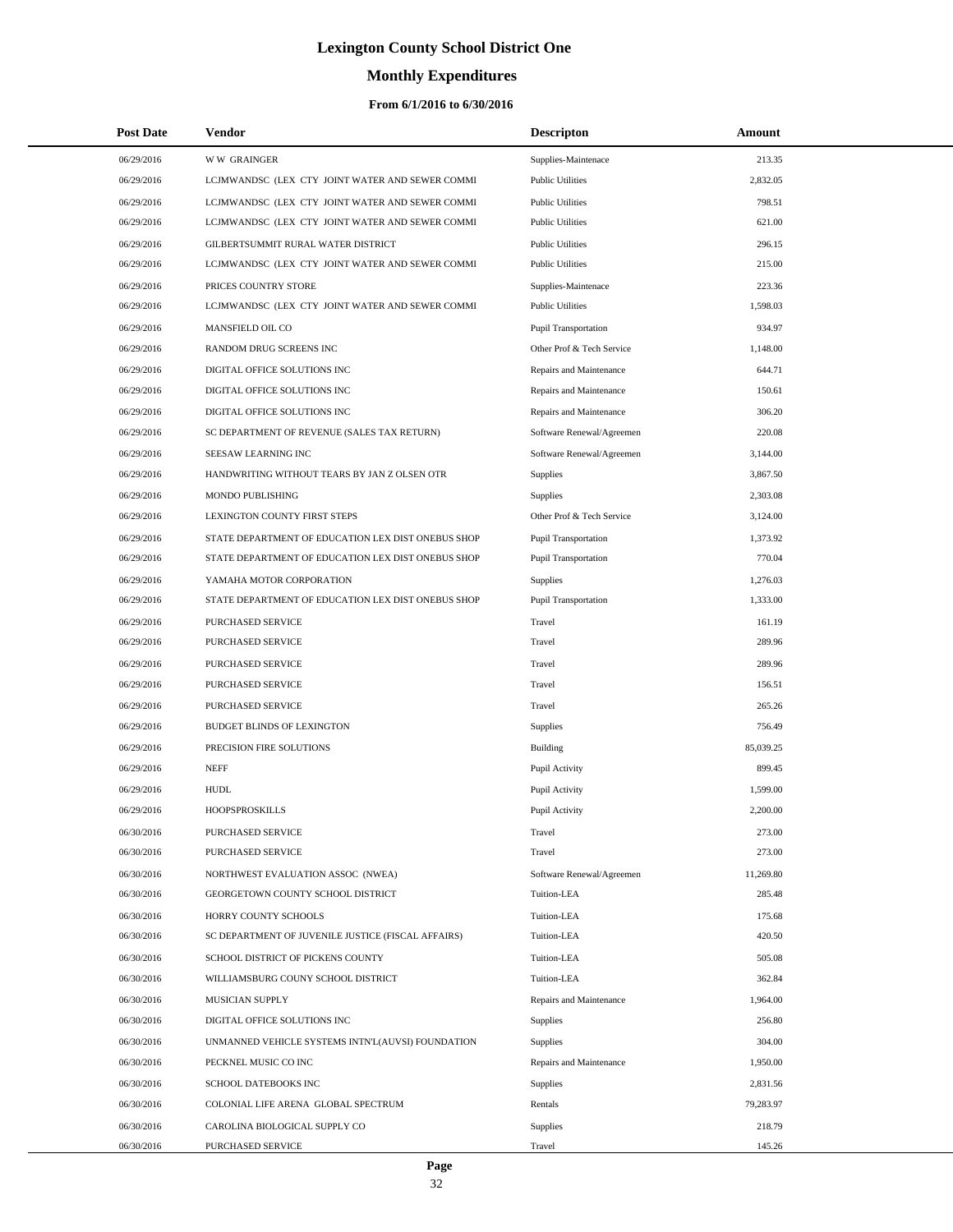# **Monthly Expenditures**

| <b>Post Date</b> | Vendor                                             | <b>Descripton</b>           | Amount    |
|------------------|----------------------------------------------------|-----------------------------|-----------|
| 06/29/2016       | <b>WW GRAINGER</b>                                 | Supplies-Maintenace         | 213.35    |
| 06/29/2016       | LCJMWANDSC (LEX CTY JOINT WATER AND SEWER COMMI    | <b>Public Utilities</b>     | 2,832.05  |
| 06/29/2016       | LCJMWANDSC (LEX CTY JOINT WATER AND SEWER COMMI    | <b>Public Utilities</b>     | 798.51    |
| 06/29/2016       | LCJMWANDSC (LEX CTY JOINT WATER AND SEWER COMMI    | <b>Public Utilities</b>     | 621.00    |
| 06/29/2016       | GILBERTSUMMIT RURAL WATER DISTRICT                 | <b>Public Utilities</b>     | 296.15    |
| 06/29/2016       | LCJMWANDSC (LEX CTY JOINT WATER AND SEWER COMMI    | <b>Public Utilities</b>     | 215.00    |
| 06/29/2016       | PRICES COUNTRY STORE                               | Supplies-Maintenace         | 223.36    |
| 06/29/2016       | LCJMWANDSC (LEX CTY JOINT WATER AND SEWER COMMI    | <b>Public Utilities</b>     | 1,598.03  |
| 06/29/2016       | MANSFIELD OIL CO                                   | Pupil Transportation        | 934.97    |
| 06/29/2016       | RANDOM DRUG SCREENS INC                            | Other Prof & Tech Service   | 1,148.00  |
| 06/29/2016       | DIGITAL OFFICE SOLUTIONS INC                       | Repairs and Maintenance     | 644.71    |
| 06/29/2016       | DIGITAL OFFICE SOLUTIONS INC                       | Repairs and Maintenance     | 150.61    |
| 06/29/2016       | DIGITAL OFFICE SOLUTIONS INC                       | Repairs and Maintenance     | 306.20    |
| 06/29/2016       | SC DEPARTMENT OF REVENUE (SALES TAX RETURN)        | Software Renewal/Agreemen   | 220.08    |
| 06/29/2016       | SEESAW LEARNING INC                                | Software Renewal/Agreemen   | 3,144.00  |
| 06/29/2016       | HANDWRITING WITHOUT TEARS BY JAN Z OLSEN OTR       | Supplies                    | 3,867.50  |
| 06/29/2016       | MONDO PUBLISHING                                   | Supplies                    | 2,303.08  |
| 06/29/2016       | LEXINGTON COUNTY FIRST STEPS                       | Other Prof & Tech Service   | 3,124.00  |
| 06/29/2016       | STATE DEPARTMENT OF EDUCATION LEX DIST ONEBUS SHOP | <b>Pupil Transportation</b> | 1,373.92  |
| 06/29/2016       | STATE DEPARTMENT OF EDUCATION LEX DIST ONEBUS SHOP | <b>Pupil Transportation</b> | 770.04    |
| 06/29/2016       | YAMAHA MOTOR CORPORATION                           | Supplies                    | 1,276.03  |
| 06/29/2016       | STATE DEPARTMENT OF EDUCATION LEX DIST ONEBUS SHOP | Pupil Transportation        | 1,333.00  |
| 06/29/2016       | PURCHASED SERVICE                                  | Travel                      | 161.19    |
| 06/29/2016       | PURCHASED SERVICE                                  | Travel                      | 289.96    |
| 06/29/2016       | PURCHASED SERVICE                                  | Travel                      | 289.96    |
| 06/29/2016       | PURCHASED SERVICE                                  | Travel                      | 156.51    |
| 06/29/2016       | PURCHASED SERVICE                                  | Travel                      | 265.26    |
| 06/29/2016       | BUDGET BLINDS OF LEXINGTON                         | Supplies                    | 756.49    |
| 06/29/2016       | PRECISION FIRE SOLUTIONS                           | Building                    | 85,039.25 |
| 06/29/2016       | <b>NEFF</b>                                        | Pupil Activity              | 899.45    |
| 06/29/2016       | <b>HUDL</b>                                        | Pupil Activity              | 1,599.00  |
| 06/29/2016       | <b>HOOPSPROSKILLS</b>                              | Pupil Activity              | 2,200.00  |
| 06/30/2016       | PURCHASED SERVICE                                  | Travel                      | 273.00    |
| 06/30/2016       | PURCHASED SERVICE                                  | Travel                      | 273.00    |
| 06/30/2016       | NORTHWEST EVALUATION ASSOC (NWEA)                  | Software Renewal/Agreemen   | 11,269.80 |
| 06/30/2016       | GEORGETOWN COUNTY SCHOOL DISTRICT                  | Tuition-LEA                 | 285.48    |
| 06/30/2016       | HORRY COUNTY SCHOOLS                               | Tuition-LEA                 | 175.68    |
| 06/30/2016       | SC DEPARTMENT OF JUVENILE JUSTICE (FISCAL AFFAIRS) | Tuition-LEA                 | 420.50    |
| 06/30/2016       | SCHOOL DISTRICT OF PICKENS COUNTY                  | Tuition-LEA                 | 505.08    |
| 06/30/2016       | WILLIAMSBURG COUNY SCHOOL DISTRICT                 | Tuition-LEA                 | 362.84    |
| 06/30/2016       | MUSICIAN SUPPLY                                    | Repairs and Maintenance     | 1,964.00  |
| 06/30/2016       | DIGITAL OFFICE SOLUTIONS INC                       | Supplies                    | 256.80    |
| 06/30/2016       | UNMANNED VEHICLE SYSTEMS INTN'L(AUVSI) FOUNDATION  | Supplies                    | 304.00    |
| 06/30/2016       | PECKNEL MUSIC CO INC                               | Repairs and Maintenance     | 1,950.00  |
| 06/30/2016       | SCHOOL DATEBOOKS INC                               | Supplies                    | 2,831.56  |
| 06/30/2016       | COLONIAL LIFE ARENA GLOBAL SPECTRUM                | Rentals                     | 79,283.97 |
| 06/30/2016       | CAROLINA BIOLOGICAL SUPPLY CO                      | Supplies                    | 218.79    |
| 06/30/2016       | PURCHASED SERVICE                                  | Travel                      | 145.26    |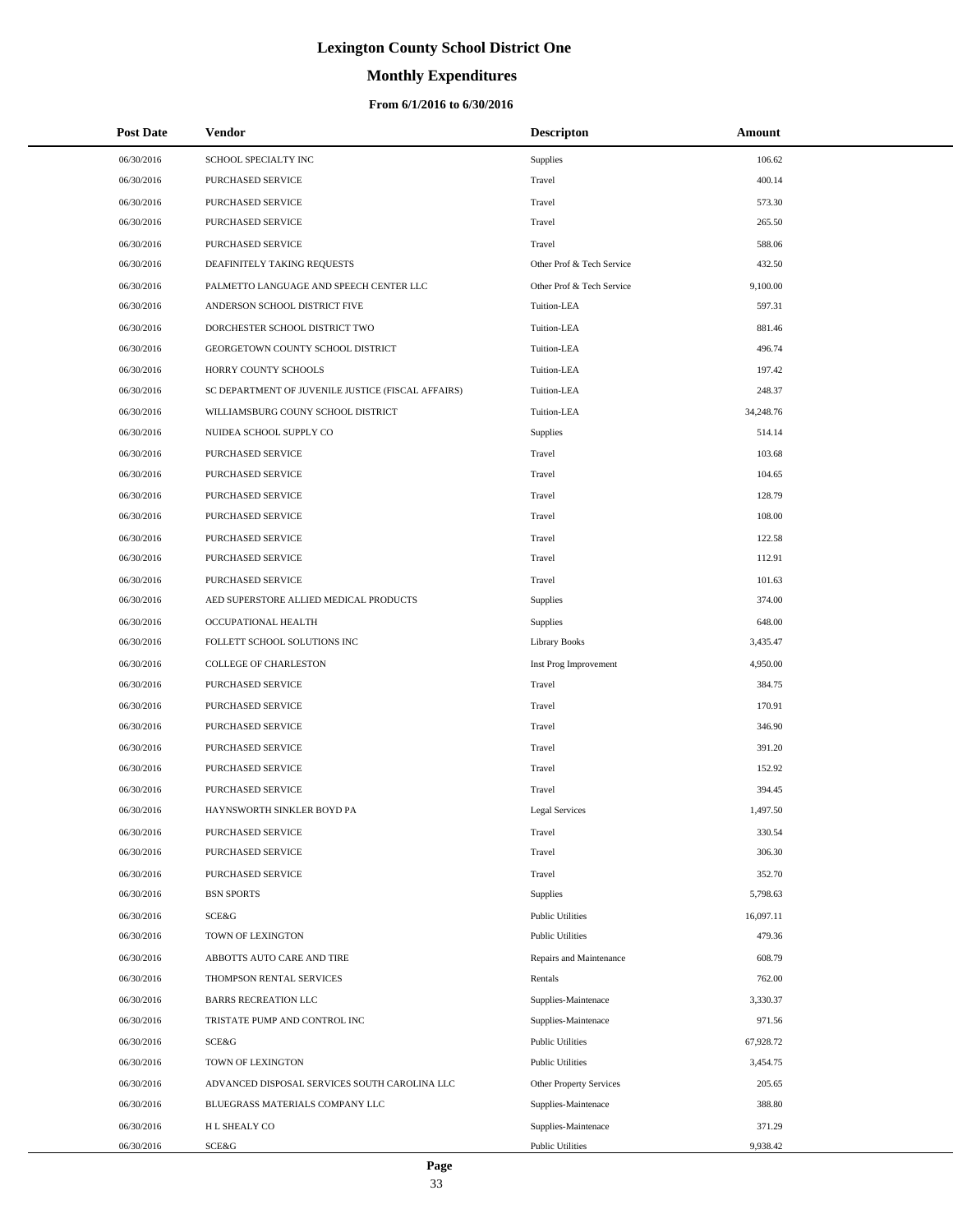# **Monthly Expenditures**

### **From 6/1/2016 to 6/30/2016**

| <b>Post Date</b> | Vendor                                             | <b>Descripton</b>         | Amount    |
|------------------|----------------------------------------------------|---------------------------|-----------|
| 06/30/2016       | SCHOOL SPECIALTY INC                               | Supplies                  | 106.62    |
| 06/30/2016       | PURCHASED SERVICE                                  | Travel                    | 400.14    |
| 06/30/2016       | PURCHASED SERVICE                                  | Travel                    | 573.30    |
| 06/30/2016       | PURCHASED SERVICE                                  | Travel                    | 265.50    |
| 06/30/2016       | PURCHASED SERVICE                                  | Travel                    | 588.06    |
| 06/30/2016       | DEAFINITELY TAKING REQUESTS                        | Other Prof & Tech Service | 432.50    |
| 06/30/2016       | PALMETTO LANGUAGE AND SPEECH CENTER LLC            | Other Prof & Tech Service | 9,100.00  |
| 06/30/2016       | ANDERSON SCHOOL DISTRICT FIVE                      | Tuition-LEA               | 597.31    |
| 06/30/2016       | DORCHESTER SCHOOL DISTRICT TWO                     | Tuition-LEA               | 881.46    |
| 06/30/2016       | GEORGETOWN COUNTY SCHOOL DISTRICT                  | Tuition-LEA               | 496.74    |
| 06/30/2016       | HORRY COUNTY SCHOOLS                               | Tuition-LEA               | 197.42    |
| 06/30/2016       | SC DEPARTMENT OF JUVENILE JUSTICE (FISCAL AFFAIRS) | Tuition-LEA               | 248.37    |
| 06/30/2016       | WILLIAMSBURG COUNY SCHOOL DISTRICT                 | Tuition-LEA               | 34,248.76 |
| 06/30/2016       | NUIDEA SCHOOL SUPPLY CO                            | Supplies                  | 514.14    |
| 06/30/2016       | PURCHASED SERVICE                                  | Travel                    | 103.68    |
| 06/30/2016       | PURCHASED SERVICE                                  | Travel                    | 104.65    |
| 06/30/2016       | PURCHASED SERVICE                                  | Travel                    | 128.79    |
| 06/30/2016       | PURCHASED SERVICE                                  | Travel                    | 108.00    |
| 06/30/2016       | PURCHASED SERVICE                                  | Travel                    | 122.58    |
| 06/30/2016       | PURCHASED SERVICE                                  | Travel                    | 112.91    |
| 06/30/2016       | PURCHASED SERVICE                                  | Travel                    | 101.63    |
| 06/30/2016       | AED SUPERSTORE ALLIED MEDICAL PRODUCTS             | Supplies                  | 374.00    |
| 06/30/2016       | OCCUPATIONAL HEALTH                                | Supplies                  | 648.00    |
| 06/30/2016       | FOLLETT SCHOOL SOLUTIONS INC                       | Library Books             | 3,435.47  |
| 06/30/2016       | COLLEGE OF CHARLESTON                              | Inst Prog Improvement     | 4,950.00  |
| 06/30/2016       | PURCHASED SERVICE                                  | Travel                    | 384.75    |
| 06/30/2016       | PURCHASED SERVICE                                  | Travel                    | 170.91    |
| 06/30/2016       | PURCHASED SERVICE                                  | Travel                    | 346.90    |
| 06/30/2016       | PURCHASED SERVICE                                  | Travel                    | 391.20    |
| 06/30/2016       | PURCHASED SERVICE                                  | Travel                    | 152.92    |
| 06/30/2016       | PURCHASED SERVICE                                  | Travel                    | 394.45    |
| 06/30/2016       | HAYNSWORTH SINKLER BOYD PA                         | <b>Legal Services</b>     | 1,497.50  |
| 06/30/2016       | PURCHASED SERVICE                                  | Travel                    | 330.54    |
| 06/30/2016       | PURCHASED SERVICE                                  | Travel                    | 306.30    |
| 06/30/2016       | PURCHASED SERVICE                                  | Travel                    | 352.70    |
| 06/30/2016       | <b>BSN SPORTS</b>                                  | Supplies                  | 5,798.63  |
| 06/30/2016       | SCE&G                                              | <b>Public Utilities</b>   | 16,097.11 |
| 06/30/2016       | TOWN OF LEXINGTON                                  | <b>Public Utilities</b>   | 479.36    |
| 06/30/2016       | ABBOTTS AUTO CARE AND TIRE                         | Repairs and Maintenance   | 608.79    |
| 06/30/2016       | THOMPSON RENTAL SERVICES                           | Rentals                   | 762.00    |
| 06/30/2016       | <b>BARRS RECREATION LLC</b>                        | Supplies-Maintenace       | 3,330.37  |
| 06/30/2016       | TRISTATE PUMP AND CONTROL INC                      | Supplies-Maintenace       | 971.56    |
| 06/30/2016       | SCE&G                                              | <b>Public Utilities</b>   | 67,928.72 |
| 06/30/2016       | TOWN OF LEXINGTON                                  | <b>Public Utilities</b>   | 3,454.75  |
| 06/30/2016       | ADVANCED DISPOSAL SERVICES SOUTH CAROLINA LLC      | Other Property Services   | 205.65    |
| 06/30/2016       | BLUEGRASS MATERIALS COMPANY LLC                    | Supplies-Maintenace       | 388.80    |
| 06/30/2016       | H L SHEALY CO                                      | Supplies-Maintenace       | 371.29    |
| 06/30/2016       | SCE&G                                              | <b>Public Utilities</b>   | 9,938.42  |

 $\overline{\phantom{0}}$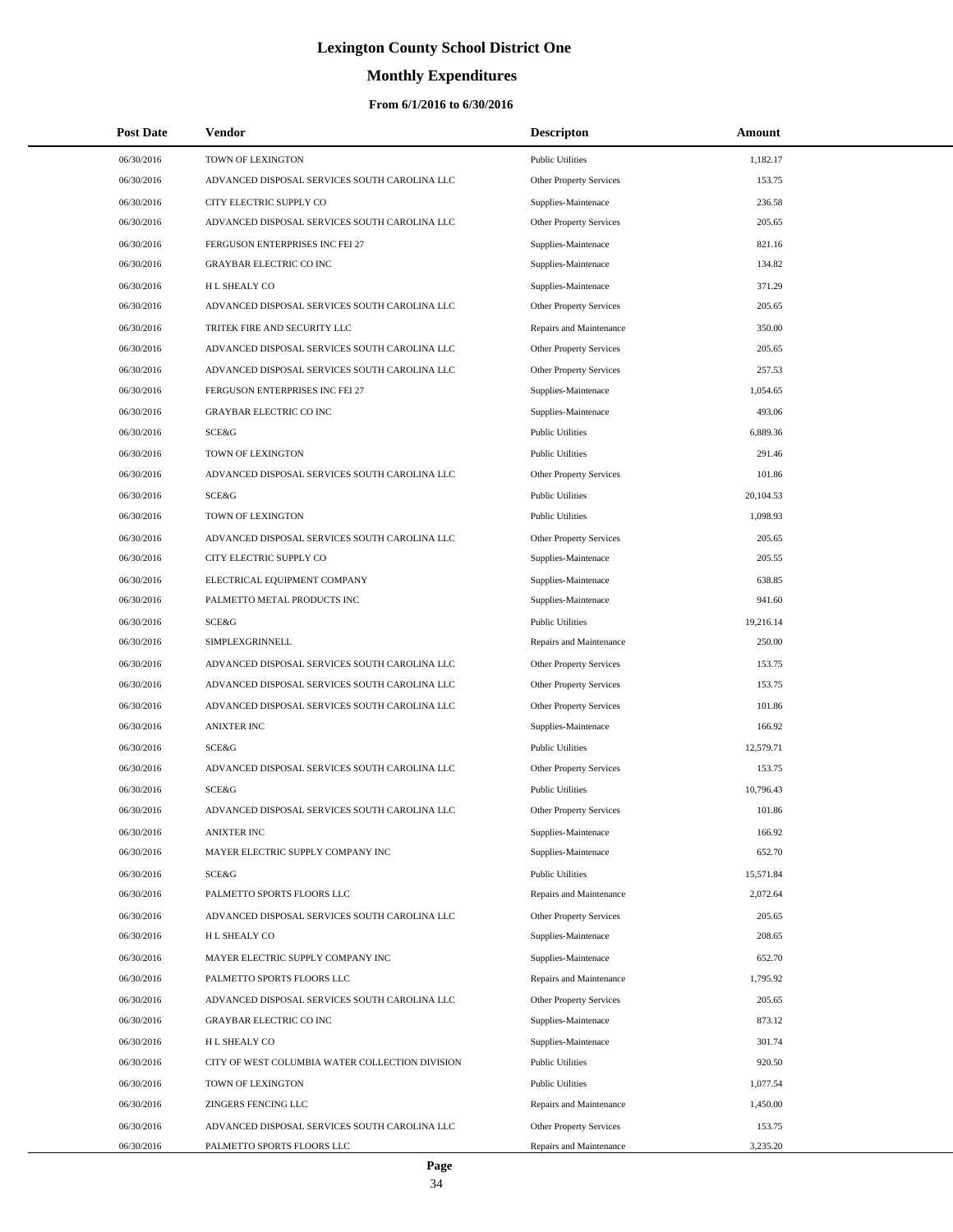# **Monthly Expenditures**

| <b>Post Date</b> | Vendor                                          | <b>Descripton</b>              | Amount    |
|------------------|-------------------------------------------------|--------------------------------|-----------|
| 06/30/2016       | TOWN OF LEXINGTON                               | <b>Public Utilities</b>        | 1,182.17  |
| 06/30/2016       | ADVANCED DISPOSAL SERVICES SOUTH CAROLINA LLC   | Other Property Services        | 153.75    |
| 06/30/2016       | CITY ELECTRIC SUPPLY CO                         | Supplies-Maintenace            | 236.58    |
| 06/30/2016       | ADVANCED DISPOSAL SERVICES SOUTH CAROLINA LLC   | Other Property Services        | 205.65    |
| 06/30/2016       | FERGUSON ENTERPRISES INC FEI 27                 | Supplies-Maintenace            | 821.16    |
| 06/30/2016       | <b>GRAYBAR ELECTRIC CO INC</b>                  | Supplies-Maintenace            | 134.82    |
| 06/30/2016       | <b>HL SHEALY CO</b>                             | Supplies-Maintenace            | 371.29    |
| 06/30/2016       | ADVANCED DISPOSAL SERVICES SOUTH CAROLINA LLC   | Other Property Services        | 205.65    |
| 06/30/2016       | TRITEK FIRE AND SECURITY LLC                    | Repairs and Maintenance        | 350.00    |
| 06/30/2016       | ADVANCED DISPOSAL SERVICES SOUTH CAROLINA LLC   | Other Property Services        | 205.65    |
| 06/30/2016       | ADVANCED DISPOSAL SERVICES SOUTH CAROLINA LLC   | Other Property Services        | 257.53    |
| 06/30/2016       | FERGUSON ENTERPRISES INC FEI 27                 | Supplies-Maintenace            | 1,054.65  |
| 06/30/2016       | <b>GRAYBAR ELECTRIC CO INC</b>                  | Supplies-Maintenace            | 493.06    |
| 06/30/2016       | <b>SCE&amp;G</b>                                | <b>Public Utilities</b>        | 6,889.36  |
| 06/30/2016       | TOWN OF LEXINGTON                               | <b>Public Utilities</b>        | 291.46    |
| 06/30/2016       | ADVANCED DISPOSAL SERVICES SOUTH CAROLINA LLC   | Other Property Services        | 101.86    |
| 06/30/2016       | SCE&G                                           | <b>Public Utilities</b>        | 20,104.53 |
| 06/30/2016       | TOWN OF LEXINGTON                               | <b>Public Utilities</b>        | 1,098.93  |
| 06/30/2016       | ADVANCED DISPOSAL SERVICES SOUTH CAROLINA LLC   | Other Property Services        | 205.65    |
| 06/30/2016       | CITY ELECTRIC SUPPLY CO                         | Supplies-Maintenace            | 205.55    |
| 06/30/2016       | ELECTRICAL EQUIPMENT COMPANY                    | Supplies-Maintenace            | 638.85    |
| 06/30/2016       | PALMETTO METAL PRODUCTS INC                     | Supplies-Maintenace            | 941.60    |
| 06/30/2016       | <b>SCE&amp;G</b>                                | <b>Public Utilities</b>        | 19,216.14 |
| 06/30/2016       | SIMPLEXGRINNELL                                 | Repairs and Maintenance        | 250.00    |
| 06/30/2016       | ADVANCED DISPOSAL SERVICES SOUTH CAROLINA LLC   | Other Property Services        | 153.75    |
| 06/30/2016       | ADVANCED DISPOSAL SERVICES SOUTH CAROLINA LLC   | Other Property Services        | 153.75    |
| 06/30/2016       | ADVANCED DISPOSAL SERVICES SOUTH CAROLINA LLC   | Other Property Services        | 101.86    |
| 06/30/2016       | <b>ANIXTER INC</b>                              | Supplies-Maintenace            | 166.92    |
| 06/30/2016       | SCE&G                                           | <b>Public Utilities</b>        | 12,579.71 |
| 06/30/2016       | ADVANCED DISPOSAL SERVICES SOUTH CAROLINA LLC   | Other Property Services        | 153.75    |
| 06/30/2016       | SCE&G                                           | <b>Public Utilities</b>        | 10,796.43 |
| 06/30/2016       | ADVANCED DISPOSAL SERVICES SOUTH CAROLINA LLC   | <b>Other Property Services</b> | 101.86    |
| 06/30/2016       | <b>ANIXTER INC</b>                              | Supplies-Maintenace            | 166.92    |
| 06/30/2016       | MAYER ELECTRIC SUPPLY COMPANY INC               | Supplies-Maintenace            | 652.70    |
| 06/30/2016       | SCE&G                                           | <b>Public Utilities</b>        | 15,571.84 |
| 06/30/2016       | PALMETTO SPORTS FLOORS LLC                      | Repairs and Maintenance        | 2,072.64  |
| 06/30/2016       | ADVANCED DISPOSAL SERVICES SOUTH CAROLINA LLC   | Other Property Services        | 205.65    |
| 06/30/2016       | H L SHEALY CO                                   | Supplies-Maintenace            | 208.65    |
| 06/30/2016       | MAYER ELECTRIC SUPPLY COMPANY INC               | Supplies-Maintenace            | 652.70    |
| 06/30/2016       | PALMETTO SPORTS FLOORS LLC                      | Repairs and Maintenance        | 1,795.92  |
| 06/30/2016       | ADVANCED DISPOSAL SERVICES SOUTH CAROLINA LLC   | Other Property Services        | 205.65    |
| 06/30/2016       | <b>GRAYBAR ELECTRIC CO INC</b>                  | Supplies-Maintenace            | 873.12    |
| 06/30/2016       | H L SHEALY CO                                   | Supplies-Maintenace            | 301.74    |
| 06/30/2016       | CITY OF WEST COLUMBIA WATER COLLECTION DIVISION | <b>Public Utilities</b>        | 920.50    |
| 06/30/2016       | TOWN OF LEXINGTON                               | <b>Public Utilities</b>        | 1,077.54  |
| 06/30/2016       | ZINGERS FENCING LLC                             | Repairs and Maintenance        | 1,450.00  |
| 06/30/2016       | ADVANCED DISPOSAL SERVICES SOUTH CAROLINA LLC   | Other Property Services        | 153.75    |
| 06/30/2016       | PALMETTO SPORTS FLOORS LLC                      | Repairs and Maintenance        | 3,235.20  |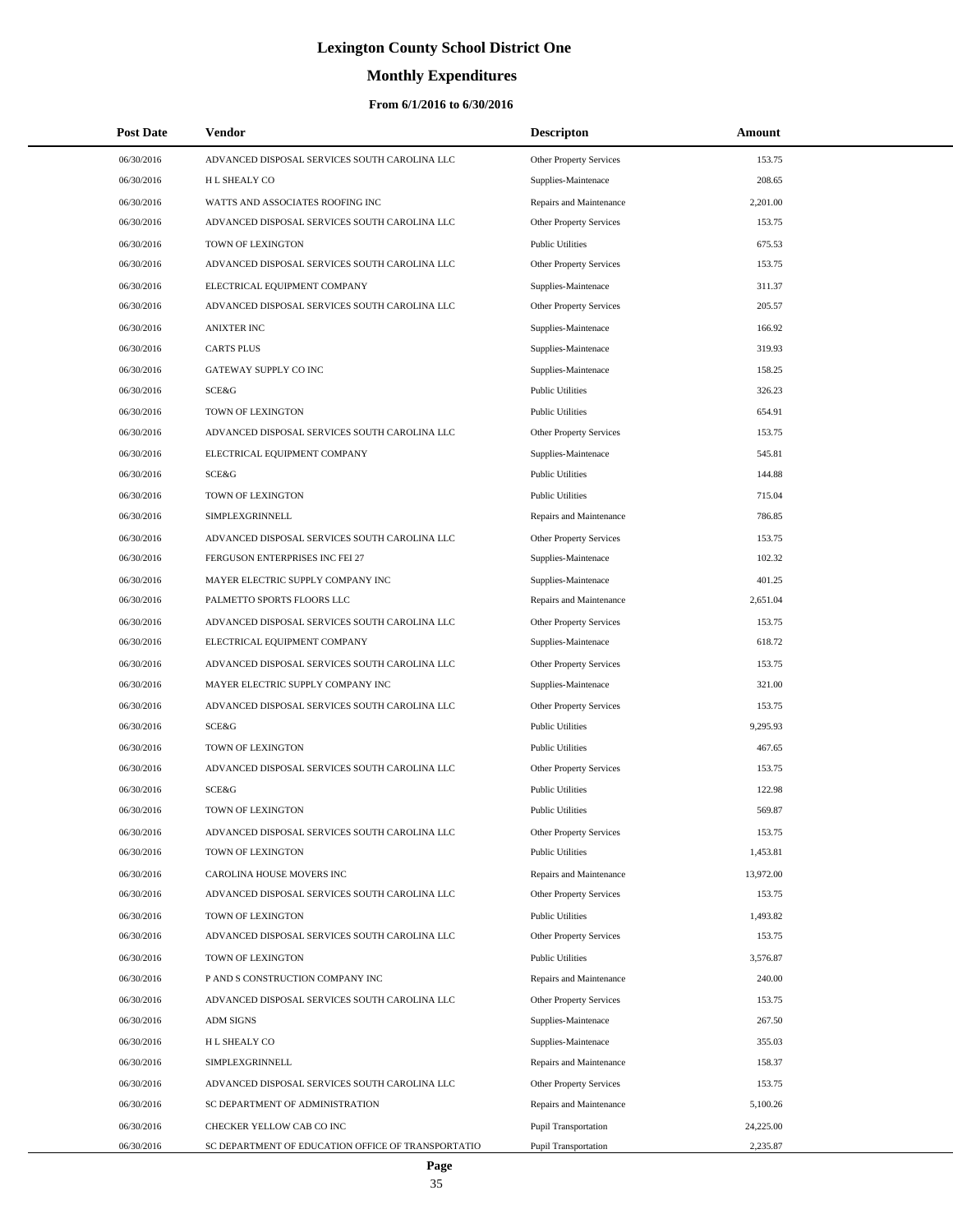# **Monthly Expenditures**

| <b>Post Date</b> | Vendor                                             | <b>Descripton</b>              | Amount    |
|------------------|----------------------------------------------------|--------------------------------|-----------|
| 06/30/2016       | ADVANCED DISPOSAL SERVICES SOUTH CAROLINA LLC      | Other Property Services        | 153.75    |
| 06/30/2016       | <b>HL SHEALY CO</b>                                | Supplies-Maintenace            | 208.65    |
| 06/30/2016       | WATTS AND ASSOCIATES ROOFING INC                   | Repairs and Maintenance        | 2,201.00  |
| 06/30/2016       | ADVANCED DISPOSAL SERVICES SOUTH CAROLINA LLC      | <b>Other Property Services</b> | 153.75    |
| 06/30/2016       | TOWN OF LEXINGTON                                  | <b>Public Utilities</b>        | 675.53    |
| 06/30/2016       | ADVANCED DISPOSAL SERVICES SOUTH CAROLINA LLC      | Other Property Services        | 153.75    |
| 06/30/2016       | ELECTRICAL EQUIPMENT COMPANY                       | Supplies-Maintenace            | 311.37    |
| 06/30/2016       | ADVANCED DISPOSAL SERVICES SOUTH CAROLINA LLC      | <b>Other Property Services</b> | 205.57    |
| 06/30/2016       | <b>ANIXTER INC</b>                                 | Supplies-Maintenace            | 166.92    |
| 06/30/2016       | <b>CARTS PLUS</b>                                  | Supplies-Maintenace            | 319.93    |
| 06/30/2016       | GATEWAY SUPPLY CO INC                              | Supplies-Maintenace            | 158.25    |
| 06/30/2016       | <b>SCE&amp;G</b>                                   | <b>Public Utilities</b>        | 326.23    |
| 06/30/2016       | TOWN OF LEXINGTON                                  | <b>Public Utilities</b>        | 654.91    |
| 06/30/2016       | ADVANCED DISPOSAL SERVICES SOUTH CAROLINA LLC      | Other Property Services        | 153.75    |
| 06/30/2016       | ELECTRICAL EQUIPMENT COMPANY                       | Supplies-Maintenace            | 545.81    |
| 06/30/2016       | <b>SCE&amp;G</b>                                   | <b>Public Utilities</b>        | 144.88    |
| 06/30/2016       | TOWN OF LEXINGTON                                  | <b>Public Utilities</b>        | 715.04    |
| 06/30/2016       | SIMPLEXGRINNELL                                    | Repairs and Maintenance        | 786.85    |
| 06/30/2016       | ADVANCED DISPOSAL SERVICES SOUTH CAROLINA LLC      | Other Property Services        | 153.75    |
| 06/30/2016       | FERGUSON ENTERPRISES INC FEI 27                    | Supplies-Maintenace            | 102.32    |
| 06/30/2016       | MAYER ELECTRIC SUPPLY COMPANY INC                  | Supplies-Maintenace            | 401.25    |
| 06/30/2016       | PALMETTO SPORTS FLOORS LLC                         | Repairs and Maintenance        | 2,651.04  |
| 06/30/2016       | ADVANCED DISPOSAL SERVICES SOUTH CAROLINA LLC      | Other Property Services        | 153.75    |
| 06/30/2016       | ELECTRICAL EQUIPMENT COMPANY                       | Supplies-Maintenace            | 618.72    |
| 06/30/2016       | ADVANCED DISPOSAL SERVICES SOUTH CAROLINA LLC      | Other Property Services        | 153.75    |
| 06/30/2016       | MAYER ELECTRIC SUPPLY COMPANY INC                  | Supplies-Maintenace            | 321.00    |
| 06/30/2016       | ADVANCED DISPOSAL SERVICES SOUTH CAROLINA LLC      | Other Property Services        | 153.75    |
| 06/30/2016       | <b>SCE&amp;G</b>                                   | <b>Public Utilities</b>        | 9,295.93  |
| 06/30/2016       | TOWN OF LEXINGTON                                  | <b>Public Utilities</b>        | 467.65    |
| 06/30/2016       | ADVANCED DISPOSAL SERVICES SOUTH CAROLINA LLC      | Other Property Services        | 153.75    |
| 06/30/2016       | SCE&G                                              | <b>Public Utilities</b>        | 122.98    |
| 06/30/2016       | TOWN OF LEXINGTON                                  | <b>Public Utilities</b>        | 569.87    |
| 06/30/2016       | ADVANCED DISPOSAL SERVICES SOUTH CAROLINA LLC      | Other Property Services        | 153.75    |
| 06/30/2016       | TOWN OF LEXINGTON                                  | <b>Public Utilities</b>        | 1,453.81  |
| 06/30/2016       | CAROLINA HOUSE MOVERS INC                          | Repairs and Maintenance        | 13,972.00 |
| 06/30/2016       | ADVANCED DISPOSAL SERVICES SOUTH CAROLINA LLC      | Other Property Services        | 153.75    |
| 06/30/2016       | TOWN OF LEXINGTON                                  | <b>Public Utilities</b>        | 1,493.82  |
| 06/30/2016       | ADVANCED DISPOSAL SERVICES SOUTH CAROLINA LLC      | Other Property Services        | 153.75    |
| 06/30/2016       | TOWN OF LEXINGTON                                  | <b>Public Utilities</b>        | 3,576.87  |
| 06/30/2016       | P AND S CONSTRUCTION COMPANY INC                   | Repairs and Maintenance        | 240.00    |
| 06/30/2016       | ADVANCED DISPOSAL SERVICES SOUTH CAROLINA LLC      | Other Property Services        | 153.75    |
| 06/30/2016       | <b>ADM SIGNS</b>                                   | Supplies-Maintenace            | 267.50    |
| 06/30/2016       | H L SHEALY CO                                      | Supplies-Maintenace            | 355.03    |
| 06/30/2016       | SIMPLEXGRINNELL                                    | Repairs and Maintenance        | 158.37    |
| 06/30/2016       | ADVANCED DISPOSAL SERVICES SOUTH CAROLINA LLC      | Other Property Services        | 153.75    |
| 06/30/2016       | SC DEPARTMENT OF ADMINISTRATION                    | Repairs and Maintenance        | 5,100.26  |
| 06/30/2016       | CHECKER YELLOW CAB CO INC                          | Pupil Transportation           | 24,225.00 |
| 06/30/2016       | SC DEPARTMENT OF EDUCATION OFFICE OF TRANSPORTATIO | Pupil Transportation           | 2,235.87  |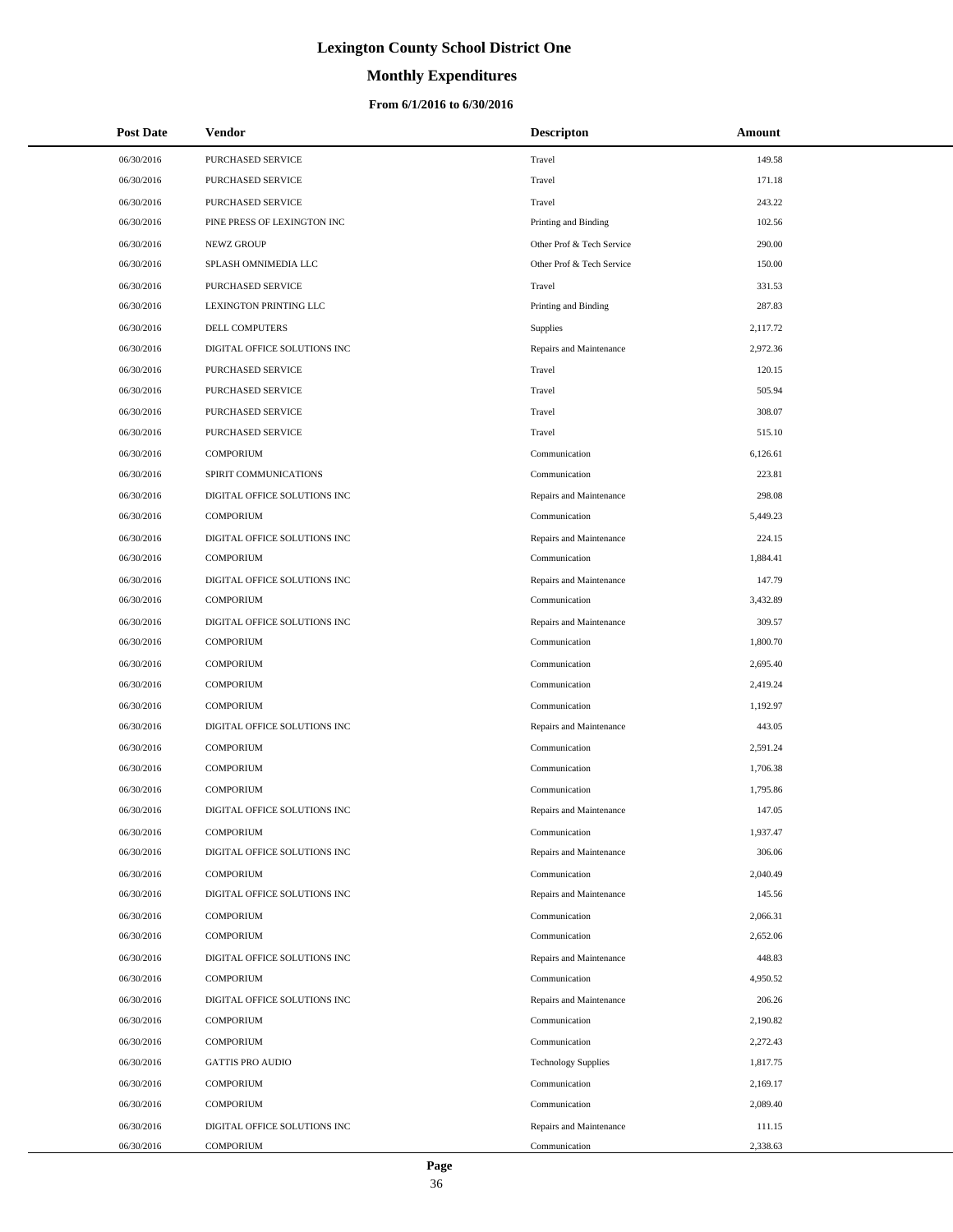# **Monthly Expenditures**

### **From 6/1/2016 to 6/30/2016**

| <b>Post Date</b> | Vendor                       | <b>Descripton</b>          | Amount   |
|------------------|------------------------------|----------------------------|----------|
| 06/30/2016       | <b>PURCHASED SERVICE</b>     | Travel                     | 149.58   |
| 06/30/2016       | PURCHASED SERVICE            | Travel                     | 171.18   |
| 06/30/2016       | PURCHASED SERVICE            | Travel                     | 243.22   |
| 06/30/2016       | PINE PRESS OF LEXINGTON INC  | Printing and Binding       | 102.56   |
| 06/30/2016       | <b>NEWZ GROUP</b>            | Other Prof & Tech Service  | 290.00   |
| 06/30/2016       | SPLASH OMNIMEDIA LLC         | Other Prof & Tech Service  | 150.00   |
| 06/30/2016       | <b>PURCHASED SERVICE</b>     | Travel                     | 331.53   |
| 06/30/2016       | LEXINGTON PRINTING LLC       | Printing and Binding       | 287.83   |
| 06/30/2016       | DELL COMPUTERS               | Supplies                   | 2,117.72 |
| 06/30/2016       | DIGITAL OFFICE SOLUTIONS INC | Repairs and Maintenance    | 2,972.36 |
| 06/30/2016       | PURCHASED SERVICE            | Travel                     | 120.15   |
| 06/30/2016       | PURCHASED SERVICE            | Travel                     | 505.94   |
| 06/30/2016       | PURCHASED SERVICE            | Travel                     | 308.07   |
| 06/30/2016       | PURCHASED SERVICE            | Travel                     | 515.10   |
| 06/30/2016       | <b>COMPORIUM</b>             | Communication              | 6,126.61 |
| 06/30/2016       | SPIRIT COMMUNICATIONS        | Communication              | 223.81   |
| 06/30/2016       | DIGITAL OFFICE SOLUTIONS INC | Repairs and Maintenance    | 298.08   |
| 06/30/2016       | <b>COMPORIUM</b>             | Communication              | 5,449.23 |
| 06/30/2016       | DIGITAL OFFICE SOLUTIONS INC | Repairs and Maintenance    | 224.15   |
| 06/30/2016       | <b>COMPORIUM</b>             | Communication              | 1,884.41 |
| 06/30/2016       | DIGITAL OFFICE SOLUTIONS INC | Repairs and Maintenance    | 147.79   |
| 06/30/2016       | <b>COMPORIUM</b>             | Communication              | 3,432.89 |
| 06/30/2016       | DIGITAL OFFICE SOLUTIONS INC | Repairs and Maintenance    | 309.57   |
| 06/30/2016       | <b>COMPORIUM</b>             | Communication              | 1,800.70 |
| 06/30/2016       | <b>COMPORIUM</b>             | Communication              | 2,695.40 |
| 06/30/2016       | <b>COMPORIUM</b>             | Communication              | 2,419.24 |
| 06/30/2016       | <b>COMPORIUM</b>             | Communication              | 1,192.97 |
| 06/30/2016       | DIGITAL OFFICE SOLUTIONS INC | Repairs and Maintenance    | 443.05   |
| 06/30/2016       | <b>COMPORIUM</b>             | Communication              | 2,591.24 |
| 06/30/2016       | <b>COMPORIUM</b>             | Communication              | 1,706.38 |
| 06/30/2016       | <b>COMPORIUM</b>             | Communication              | 1.795.86 |
| 06/30/2016       | DIGITAL OFFICE SOLUTIONS INC | Repairs and Maintenance    | 147.05   |
| 06/30/2016       | <b>COMPORIUM</b>             | Communication              | 1,937.47 |
| 06/30/2016       | DIGITAL OFFICE SOLUTIONS INC | Repairs and Maintenance    | 306.06   |
| 06/30/2016       | <b>COMPORIUM</b>             | Communication              | 2,040.49 |
| 06/30/2016       | DIGITAL OFFICE SOLUTIONS INC | Repairs and Maintenance    | 145.56   |
| 06/30/2016       | <b>COMPORIUM</b>             | Communication              | 2,066.31 |
| 06/30/2016       | <b>COMPORIUM</b>             | Communication              | 2,652.06 |
| 06/30/2016       | DIGITAL OFFICE SOLUTIONS INC | Repairs and Maintenance    | 448.83   |
| 06/30/2016       | <b>COMPORIUM</b>             | Communication              | 4,950.52 |
| 06/30/2016       | DIGITAL OFFICE SOLUTIONS INC | Repairs and Maintenance    | 206.26   |
| 06/30/2016       | <b>COMPORIUM</b>             | Communication              | 2,190.82 |
| 06/30/2016       | <b>COMPORIUM</b>             | Communication              | 2,272.43 |
| 06/30/2016       | <b>GATTIS PRO AUDIO</b>      | <b>Technology Supplies</b> | 1,817.75 |
| 06/30/2016       | <b>COMPORIUM</b>             | Communication              | 2,169.17 |
| 06/30/2016       | <b>COMPORIUM</b>             | Communication              | 2,089.40 |
| 06/30/2016       | DIGITAL OFFICE SOLUTIONS INC | Repairs and Maintenance    | 111.15   |
| 06/30/2016       | <b>COMPORIUM</b>             | Communication              | 2,338.63 |

÷.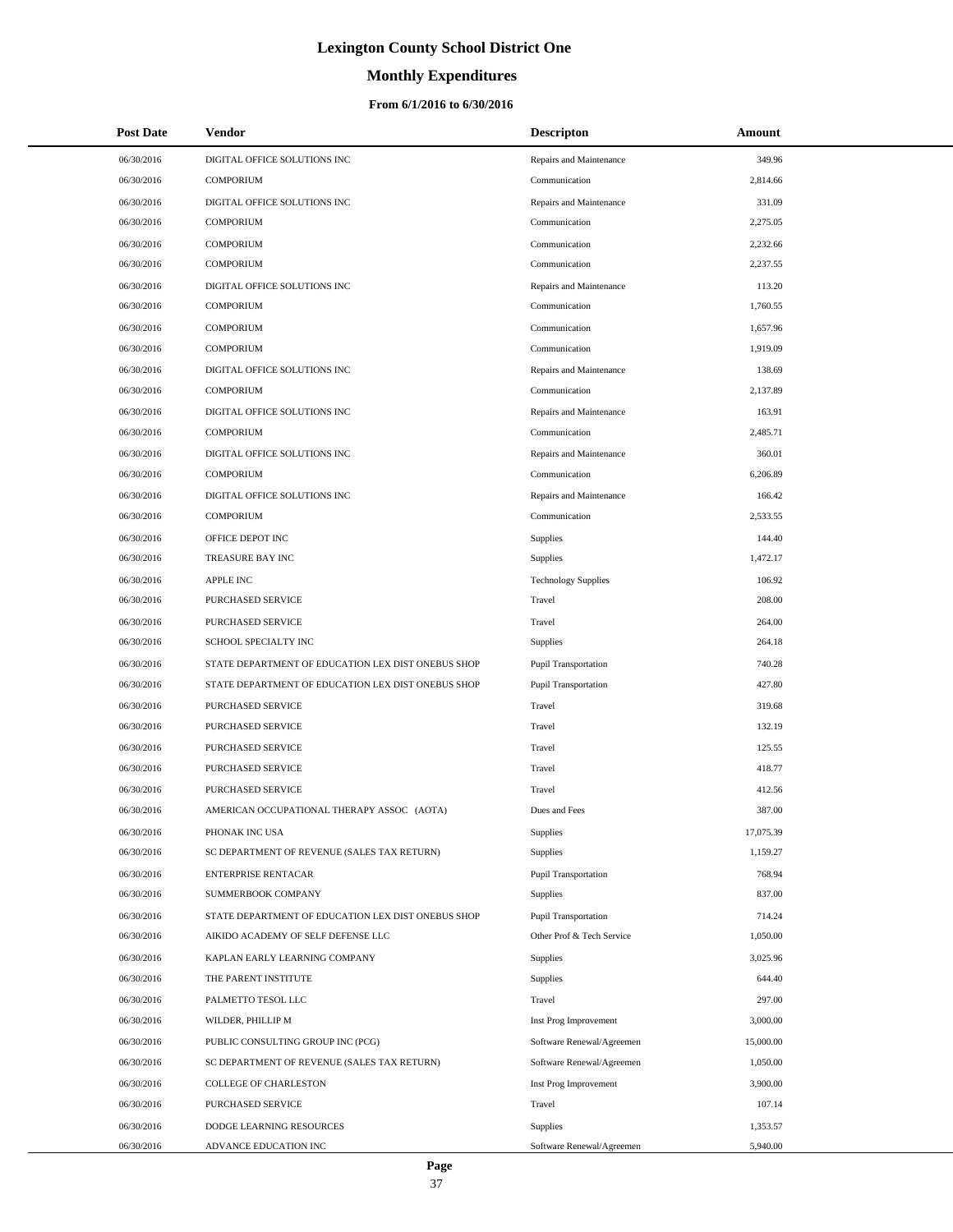# **Monthly Expenditures**

### **From 6/1/2016 to 6/30/2016**

| <b>Post Date</b> | Vendor                                             | <b>Descripton</b>           | Amount    |
|------------------|----------------------------------------------------|-----------------------------|-----------|
| 06/30/2016       | DIGITAL OFFICE SOLUTIONS INC                       | Repairs and Maintenance     | 349.96    |
| 06/30/2016       | <b>COMPORIUM</b>                                   | Communication               | 2,814.66  |
| 06/30/2016       | DIGITAL OFFICE SOLUTIONS INC                       | Repairs and Maintenance     | 331.09    |
| 06/30/2016       | <b>COMPORIUM</b>                                   | Communication               | 2,275.05  |
| 06/30/2016       | <b>COMPORIUM</b>                                   | Communication               | 2,232.66  |
| 06/30/2016       | <b>COMPORIUM</b>                                   | Communication               | 2,237.55  |
| 06/30/2016       | DIGITAL OFFICE SOLUTIONS INC                       | Repairs and Maintenance     | 113.20    |
| 06/30/2016       | <b>COMPORIUM</b>                                   | Communication               | 1,760.55  |
| 06/30/2016       | <b>COMPORIUM</b>                                   | Communication               | 1,657.96  |
| 06/30/2016       | <b>COMPORIUM</b>                                   | Communication               | 1,919.09  |
| 06/30/2016       | DIGITAL OFFICE SOLUTIONS INC                       | Repairs and Maintenance     | 138.69    |
| 06/30/2016       | <b>COMPORIUM</b>                                   | Communication               | 2,137.89  |
| 06/30/2016       | DIGITAL OFFICE SOLUTIONS INC                       | Repairs and Maintenance     | 163.91    |
| 06/30/2016       | <b>COMPORIUM</b>                                   | Communication               | 2,485.71  |
| 06/30/2016       | DIGITAL OFFICE SOLUTIONS INC                       | Repairs and Maintenance     | 360.01    |
| 06/30/2016       | <b>COMPORIUM</b>                                   | Communication               | 6,206.89  |
| 06/30/2016       | DIGITAL OFFICE SOLUTIONS INC                       | Repairs and Maintenance     | 166.42    |
| 06/30/2016       | <b>COMPORIUM</b>                                   | Communication               | 2,533.55  |
| 06/30/2016       | OFFICE DEPOT INC                                   | Supplies                    | 144.40    |
| 06/30/2016       | TREASURE BAY INC                                   | Supplies                    | 1,472.17  |
| 06/30/2016       | <b>APPLE INC</b>                                   | <b>Technology Supplies</b>  | 106.92    |
| 06/30/2016       | PURCHASED SERVICE                                  | Travel                      | 208.00    |
| 06/30/2016       | PURCHASED SERVICE                                  | Travel                      | 264.00    |
| 06/30/2016       | SCHOOL SPECIALTY INC                               | Supplies                    | 264.18    |
| 06/30/2016       | STATE DEPARTMENT OF EDUCATION LEX DIST ONEBUS SHOP | <b>Pupil Transportation</b> | 740.28    |
| 06/30/2016       | STATE DEPARTMENT OF EDUCATION LEX DIST ONEBUS SHOP | Pupil Transportation        | 427.80    |
| 06/30/2016       | PURCHASED SERVICE                                  | Travel                      | 319.68    |
| 06/30/2016       | PURCHASED SERVICE                                  | Travel                      | 132.19    |
| 06/30/2016       | PURCHASED SERVICE                                  | Travel                      | 125.55    |
| 06/30/2016       | PURCHASED SERVICE                                  | Travel                      | 418.77    |
| 06/30/2016       | <b>PURCHASED SERVICE</b>                           | Travel                      | 412.56    |
| 06/30/2016       | AMERICAN OCCUPATIONAL THERAPY ASSOC (AOTA)         | Dues and Fees               | 387.00    |
| 06/30/2016       | PHONAK INC USA                                     | Supplies                    | 17,075.39 |
| 06/30/2016       | SC DEPARTMENT OF REVENUE (SALES TAX RETURN)        | Supplies                    | 1,159.27  |
| 06/30/2016       | <b>ENTERPRISE RENTACAR</b>                         | <b>Pupil Transportation</b> | 768.94    |
| 06/30/2016       | SUMMERBOOK COMPANY                                 | Supplies                    | 837.00    |
| 06/30/2016       | STATE DEPARTMENT OF EDUCATION LEX DIST ONEBUS SHOP | Pupil Transportation        | 714.24    |
| 06/30/2016       | AIKIDO ACADEMY OF SELF DEFENSE LLC                 | Other Prof & Tech Service   | 1,050.00  |
| 06/30/2016       | KAPLAN EARLY LEARNING COMPANY                      | Supplies                    | 3,025.96  |
| 06/30/2016       | THE PARENT INSTITUTE                               | Supplies                    | 644.40    |
| 06/30/2016       | PALMETTO TESOL LLC                                 | Travel                      | 297.00    |
| 06/30/2016       | WILDER, PHILLIP M                                  | Inst Prog Improvement       | 3,000.00  |
| 06/30/2016       | PUBLIC CONSULTING GROUP INC (PCG)                  | Software Renewal/Agreemen   | 15,000.00 |
| 06/30/2016       | SC DEPARTMENT OF REVENUE (SALES TAX RETURN)        | Software Renewal/Agreemen   | 1,050.00  |
| 06/30/2016       | COLLEGE OF CHARLESTON                              | Inst Prog Improvement       | 3,900.00  |
| 06/30/2016       | PURCHASED SERVICE                                  | Travel                      | 107.14    |
| 06/30/2016       | DODGE LEARNING RESOURCES                           | Supplies                    | 1,353.57  |
| 06/30/2016       | ADVANCE EDUCATION INC                              | Software Renewal/Agreemen   | 5,940.00  |

 $\overline{a}$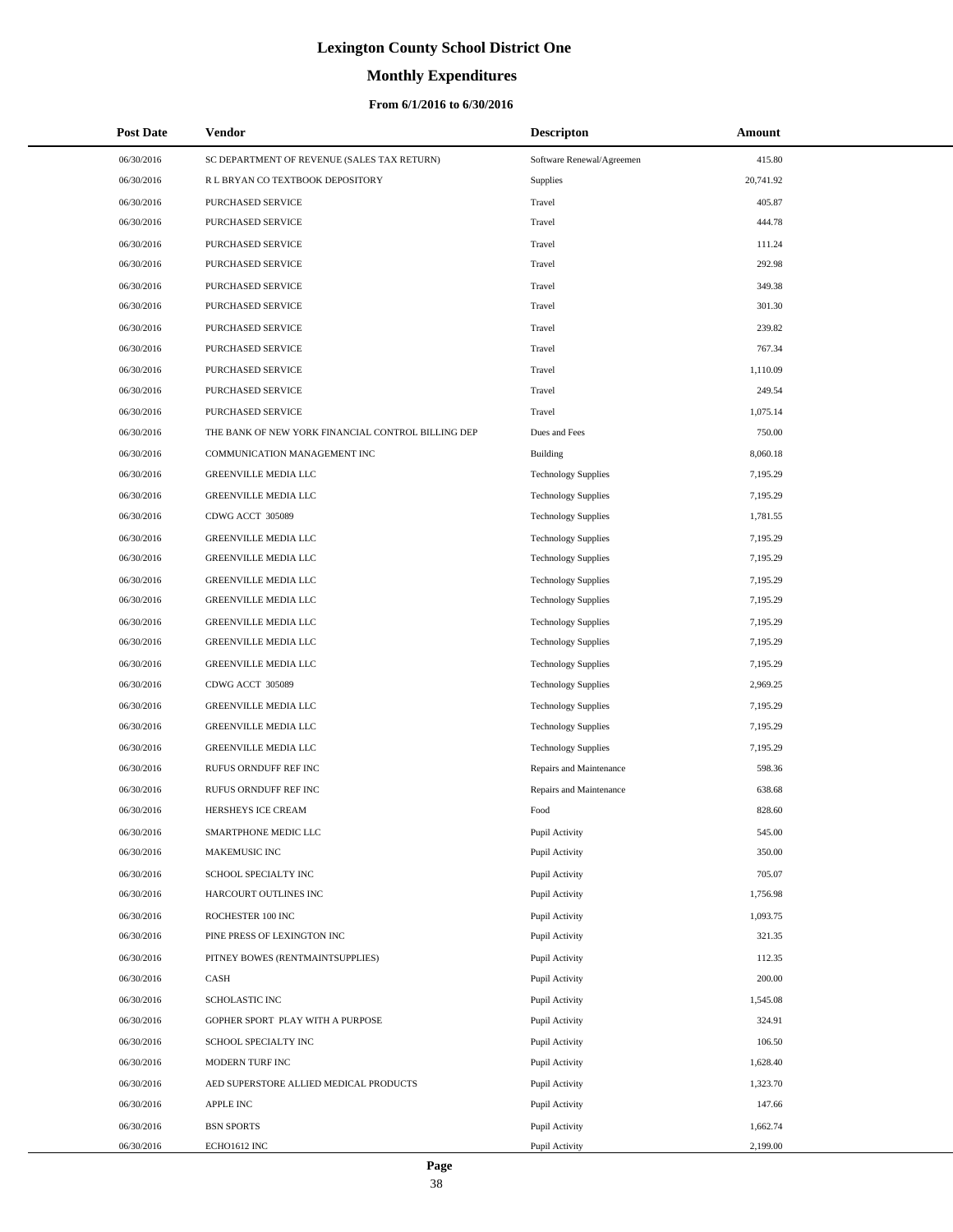# **Monthly Expenditures**

### **From 6/1/2016 to 6/30/2016**

| <b>Post Date</b> | Vendor                                             | <b>Descripton</b>          | Amount    |
|------------------|----------------------------------------------------|----------------------------|-----------|
| 06/30/2016       | SC DEPARTMENT OF REVENUE (SALES TAX RETURN)        | Software Renewal/Agreemen  | 415.80    |
| 06/30/2016       | R L BRYAN CO TEXTBOOK DEPOSITORY                   | Supplies                   | 20,741.92 |
| 06/30/2016       | PURCHASED SERVICE                                  | Travel                     | 405.87    |
| 06/30/2016       | PURCHASED SERVICE                                  | Travel                     | 444.78    |
| 06/30/2016       | PURCHASED SERVICE                                  | Travel                     | 111.24    |
| 06/30/2016       | PURCHASED SERVICE                                  | Travel                     | 292.98    |
| 06/30/2016       | PURCHASED SERVICE                                  | Travel                     | 349.38    |
| 06/30/2016       | PURCHASED SERVICE                                  | Travel                     | 301.30    |
| 06/30/2016       | PURCHASED SERVICE                                  | Travel                     | 239.82    |
| 06/30/2016       | PURCHASED SERVICE                                  | Travel                     | 767.34    |
| 06/30/2016       | PURCHASED SERVICE                                  | Travel                     | 1,110.09  |
| 06/30/2016       | PURCHASED SERVICE                                  | Travel                     | 249.54    |
| 06/30/2016       | PURCHASED SERVICE                                  | Travel                     | 1,075.14  |
| 06/30/2016       | THE BANK OF NEW YORK FINANCIAL CONTROL BILLING DEP | Dues and Fees              | 750.00    |
| 06/30/2016       | COMMUNICATION MANAGEMENT INC                       | Building                   | 8,060.18  |
| 06/30/2016       | GREENVILLE MEDIA LLC                               | <b>Technology Supplies</b> | 7,195.29  |
| 06/30/2016       | <b>GREENVILLE MEDIA LLC</b>                        | <b>Technology Supplies</b> | 7,195.29  |
| 06/30/2016       | CDWG ACCT 305089                                   | <b>Technology Supplies</b> | 1,781.55  |
| 06/30/2016       | <b>GREENVILLE MEDIA LLC</b>                        | <b>Technology Supplies</b> | 7,195.29  |
| 06/30/2016       | <b>GREENVILLE MEDIA LLC</b>                        | <b>Technology Supplies</b> | 7,195.29  |
| 06/30/2016       | GREENVILLE MEDIA LLC                               | <b>Technology Supplies</b> | 7,195.29  |
| 06/30/2016       | <b>GREENVILLE MEDIA LLC</b>                        | <b>Technology Supplies</b> | 7,195.29  |
| 06/30/2016       | <b>GREENVILLE MEDIA LLC</b>                        | <b>Technology Supplies</b> | 7,195.29  |
| 06/30/2016       | <b>GREENVILLE MEDIA LLC</b>                        | <b>Technology Supplies</b> | 7,195.29  |
| 06/30/2016       | <b>GREENVILLE MEDIA LLC</b>                        | <b>Technology Supplies</b> | 7,195.29  |
| 06/30/2016       | CDWG ACCT 305089                                   | <b>Technology Supplies</b> | 2,969.25  |
| 06/30/2016       | <b>GREENVILLE MEDIA LLC</b>                        | <b>Technology Supplies</b> | 7,195.29  |
| 06/30/2016       | <b>GREENVILLE MEDIA LLC</b>                        | <b>Technology Supplies</b> | 7,195.29  |
| 06/30/2016       | <b>GREENVILLE MEDIA LLC</b>                        | <b>Technology Supplies</b> | 7,195.29  |
| 06/30/2016       | RUFUS ORNDUFF REF INC                              | Repairs and Maintenance    | 598.36    |
| 06/30/2016       | RUFUS ORNDUFF REF INC                              | Repairs and Maintenance    | 638.68    |
| 06/30/2016       | HERSHEYS ICE CREAM                                 | Food                       | 828.60    |
| 06/30/2016       | SMARTPHONE MEDIC LLC                               | Pupil Activity             | 545.00    |
| 06/30/2016       | MAKEMUSIC INC                                      | Pupil Activity             | 350.00    |
| 06/30/2016       | SCHOOL SPECIALTY INC                               | Pupil Activity             | 705.07    |
| 06/30/2016       | HARCOURT OUTLINES INC                              | Pupil Activity             | 1,756.98  |
| 06/30/2016       | ROCHESTER 100 INC                                  | Pupil Activity             | 1,093.75  |
| 06/30/2016       | PINE PRESS OF LEXINGTON INC                        | Pupil Activity             | 321.35    |
| 06/30/2016       | PITNEY BOWES (RENTMAINTSUPPLIES)                   | Pupil Activity             | 112.35    |
| 06/30/2016       | CASH                                               | Pupil Activity             | 200.00    |
| 06/30/2016       | SCHOLASTIC INC                                     | Pupil Activity             | 1,545.08  |
| 06/30/2016       | GOPHER SPORT PLAY WITH A PURPOSE                   | Pupil Activity             | 324.91    |
| 06/30/2016       | SCHOOL SPECIALTY INC                               | Pupil Activity             | 106.50    |
| 06/30/2016       | MODERN TURF INC                                    | Pupil Activity             | 1,628.40  |
| 06/30/2016       | AED SUPERSTORE ALLIED MEDICAL PRODUCTS             | Pupil Activity             | 1,323.70  |
| 06/30/2016       | <b>APPLE INC</b>                                   | Pupil Activity             | 147.66    |
| 06/30/2016       | <b>BSN SPORTS</b>                                  | Pupil Activity             | 1,662.74  |
| 06/30/2016       | ECHO1612 INC                                       | Pupil Activity             | 2,199.00  |

 $\overline{\phantom{0}}$